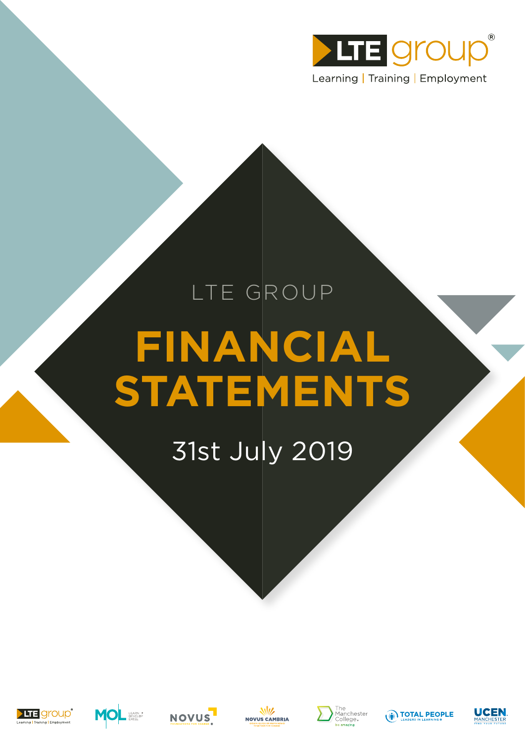

# LTE GROUP **FINANCIAL STATEMENTS**

# 31st July 2019













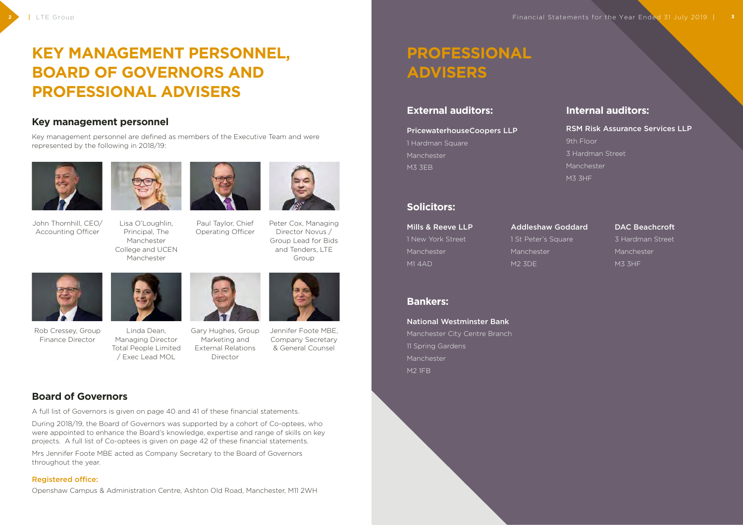# **PROFESSIONAL ADVISERS**

## **External auditors:**

PricewaterhouseCoopers LLP 1 Hardman Square Manchester M3 3EB

## **Internal auditors:**

### RSM Risk Assurance Services LLP

9th Floor

3 Hardman Street

Manchester

M3 3HF

## **Solicitors:**

Mills & Reeve LLP 1 New York Street Manchester M1 4AD

## Addleshaw Goddard 1 St Peter's Square

Manchester M2 3DE

### DAC Beachcroft

3 Hardman Street Manchester M3 3HF

## **Bankers:**

### National Westminster Bank

Manchester City Centre Branch 11 Spring Gardens Manchester M2 1FB

# **KEY MANAGEMENT PERSONNEL, BOARD OF GOVERNORS AND PROFESSIONAL ADVISERS**

## **Key management personnel**

Key management personnel are defined as members of the Executive Team and were represented by the following in 2018/19:



John Thornhill, CEO/ Accounting Officer



Lisa O'Loughlin, Principal, The Manchester College and UCEN Manchester



Paul Taylor, Chief Operating Officer

#### **2** | LTE Group Financial Statements for the Year Ended 31 July 2019 | **3** |



Peter Cox, Managing Director Novus / Group Lead for Bids and Tenders, LTE Group



Rob Cressey, Group Finance Director



Linda Dean, Managing Director Total People Limited / Exec Lead MOL



Gary Hughes, Group Marketing and External Relations Director



Jennifer Foote MBE, Company Secretary & General Counsel

## **Board of Governors**

A full list of Governors is given on page 40 and 41 of these financial statements.

During 2018/19, the Board of Governors was supported by a cohort of Co-optees, who were appointed to enhance the Board's knowledge, expertise and range of skills on key projects. A full list of Co-optees is given on page 42 of these financial statements.

Mrs Jennifer Foote MBE acted as Company Secretary to the Board of Governors throughout the year.

### Registered office:

Openshaw Campus & Administration Centre, Ashton Old Road, Manchester, M11 2WH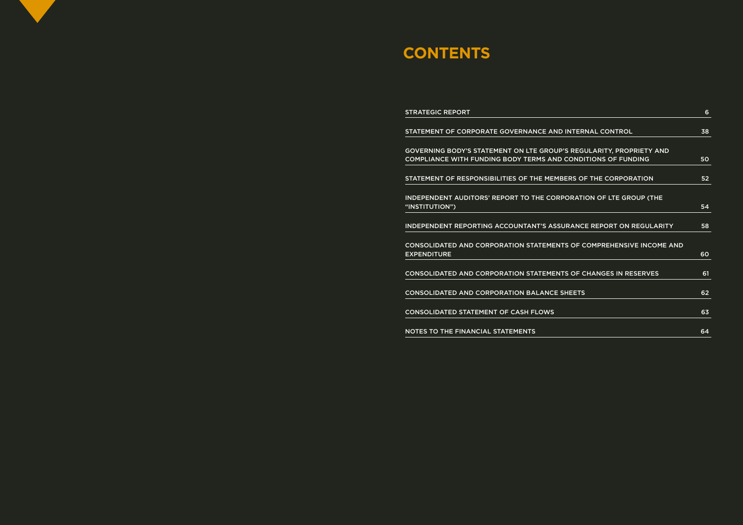# **CONTENTS**

STRATEGIC REPORT

STATEMENT OF CORPORATE GOVERNANCE AND

GOVERNING BODY'S STATEMENT ON LTE GROUP COMPLIANCE WITH FUNDING BODY TERMS AND

STATEMENT OF RESPONSIBILITIES OF THE MEMB

INDEPENDENT AUDITORS' REPORT TO THE CORP "INSTITUTION") 54

INDEPENDENT REPORTING ACCOUNTANT'S ASSUR

CONSOLIDATED AND CORPORATION STATEMENT **EXPENDITURE** 

CONSOLIDATED AND CORPORATION STATEMENT

CONSOLIDATED AND CORPORATION BALANCE S

CONSOLIDATED STATEMENT OF CASH FLOWS

NOTES TO THE FINANCIAL STATEMENTS

| <b>INTERNAL CONTROL</b>               | 38 |
|---------------------------------------|----|
| 'S REGULARITY, PROPRIETY AND          |    |
| <b>CONDITIONS OF FUNDING</b>          | 50 |
| BERS OF THE CORPORATION               | 52 |
| <b>PORATION OF LTE GROUP (THE</b>     |    |
|                                       | 54 |
| URANCE REPORT ON REGULARITY           | 58 |
| <b>TS OF COMPREHENSIVE INCOME AND</b> |    |
|                                       | 60 |
| <b>TS OF CHANGES IN RESERVES</b>      | 61 |
| <b>SHEETS</b>                         | 62 |
|                                       |    |
|                                       | 63 |
|                                       | 64 |
|                                       |    |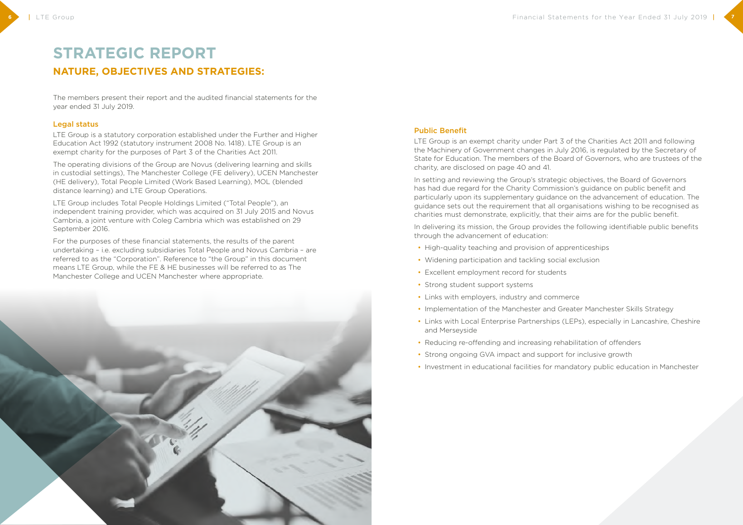## **STRATEGIC REPORT NATURE, OBJECTIVES AND STRATEGIES:**

The members present their report and the audited financial statements for the year ended 31 July 2019.

#### Legal status

LTE Group is a statutory corporation established under the Further and Higher Education Act 1992 (statutory instrument 2008 No. 1418). LTE Group is an exempt charity for the purposes of Part 3 of the Charities Act 2011.

The operating divisions of the Group are Novus (delivering learning and skills in custodial settings), The Manchester College (FE delivery), UCEN Manchester (HE delivery), Total People Limited (Work Based Learning), MOL (blended distance learning) and LTE Group Operations.

LTE Group includes Total People Holdings Limited ("Total People"), an independent training provider, which was acquired on 31 July 2015 and Novus Cambria, a joint venture with Coleg Cambria which was established on 29 September 2016.

For the purposes of these financial statements, the results of the parent undertaking – i.e. excluding subsidiaries Total People and Novus Cambria – are referred to as the "Corporation". Reference to "the Group" in this document means LTE Group, while the FE & HE businesses will be referred to as The Manchester College and UCEN Manchester where appropriate.



#### Public Benefit

LTE Group is an exempt charity under Part 3 of the Charities Act 2011 and following the Machinery of Government changes in July 2016, is regulated by the Secretary of State for Education. The members of the Board of Governors, who are trustees of the charity, are disclosed on page 40 and 41.

In setting and reviewing the Group's strategic objectives, the Board of Governors has had due regard for the Charity Commission's guidance on public benefit and particularly upon its supplementary guidance on the advancement of education. The guidance sets out the requirement that all organisations wishing to be recognised as charities must demonstrate, explicitly, that their aims are for the public benefit.

In delivering its mission, the Group provides the following identifiable public benefits through the advancement of education:

- High-quality teaching and provision of apprenticeships
- Widening participation and tackling social exclusion
- Excellent employment record for students
- Strong student support systems
- Links with employers, industry and commerce
- Implementation of the Manchester and Greater Manchester Skills Strategy
- Links with Local Enterprise Partnerships (LEPs), especially in Lancashire, Cheshire and Merseyside
- Reducing re-offending and increasing rehabilitation of offenders
- Strong ongoing GVA impact and support for inclusive growth
- Investment in educational facilities for mandatory public education in Manchester

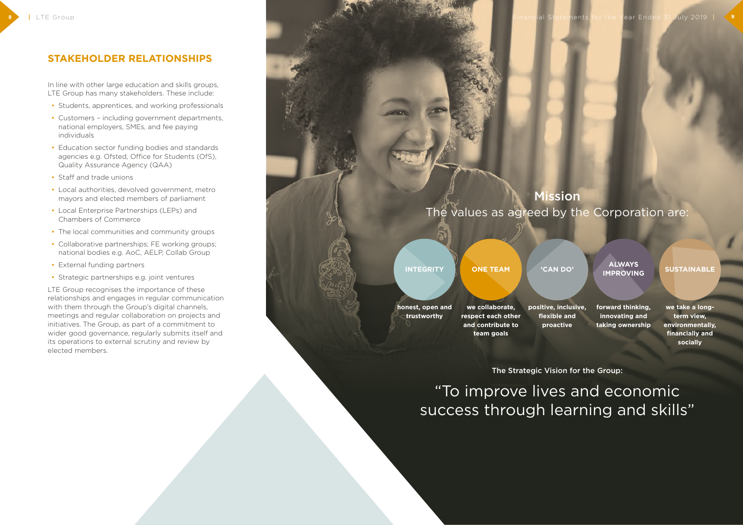"To improve lives and economic success through learning and skills"

**8** Industry Financial Statements for the Year Ended 31 July 2019 | **9** 

The Strategic Vision for the Group:

# Mission

The values as agreed by the Corporation are:

**INTEGRITY**

**honest, open and trustworthy**

**ONE TEAM**

**we collaborate, respect each other and contribute to team goals**

**'CAN DO'**

**positive, inclusive, flexible and proactive**

**ALWAYS IMPROVING**

**forward thinking, innovating and taking ownership** **SUSTAINABLE**

**we take a longterm view, environmentally, financially and socially**

## **STAKEHOLDER RELATIONSHIPS**

In line with other large education and skills groups, LTE Group has many stakeholders. These include:

- Students, apprentices, and working professionals
- Customers including government departments, national employers, SMEs, and fee paying individuals
- Education sector funding bodies and standards agencies e.g. Ofsted, Office for Students (OfS), Quality Assurance Agency (QAA)
- Staff and trade unions
- Local authorities, devolved government, metro mayors and elected members of parliament
- Local Enterprise Partnerships (LEPs) and Chambers of Commerce
- The local communities and community groups
- Collaborative partnerships; FE working groups; national bodies e.g. AoC, AELP, Collab Group
- External funding partners
- Strategic partnerships e.g. joint ventures

LTE Group recognises the importance of these relationships and engages in regular communication with them through the Group's digital channels, meetings and regular collaboration on projects and initiatives. The Group, as part of a commitment to wider good governance, regularly submits itself and its operations to external scrutiny and review by elected members.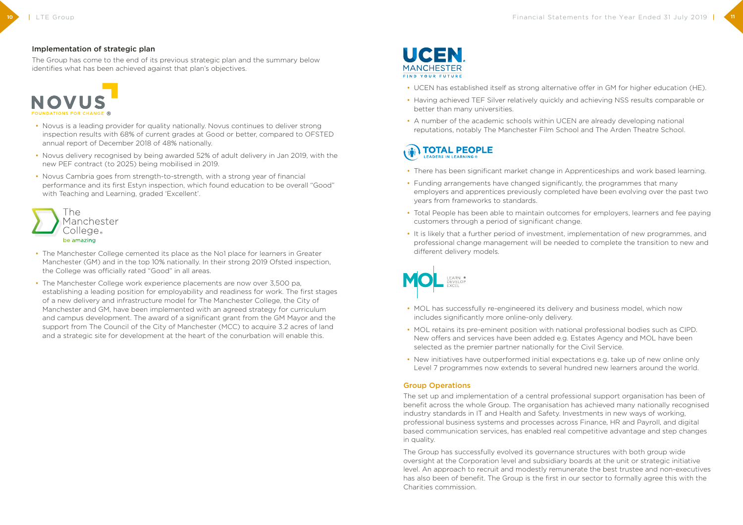### Implementation of strategic plan

The Group has come to the end of its previous strategic plan and the summary below identifies what has been achieved against that plan's objectives.



- Novus is a leading provider for quality nationally. Novus continues to deliver strong inspection results with 68% of current grades at Good or better, compared to OFSTED annual report of December 2018 of 48% nationally.
- Novus delivery recognised by being awarded 52% of adult delivery in Jan 2019, with the new PEF contract (to 2025) being mobilised in 2019.
- Novus Cambria goes from strength-to-strength, with a strong year of financial performance and its first Estyn inspection, which found education to be overall "Good" with Teaching and Learning, graded 'Excellent'.



- The Manchester College cemented its place as the No1 place for learners in Greater Manchester (GM) and in the top 10% nationally. In their strong 2019 Ofsted inspection, the College was officially rated "Good" in all areas.
- The Manchester College work experience placements are now over 3,500 pa, establishing a leading position for employability and readiness for work. The first stages of a new delivery and infrastructure model for The Manchester College, the City of Manchester and GM, have been implemented with an agreed strategy for curriculum and campus development. The award of a significant grant from the GM Mayor and the support from The Council of the City of Manchester (MCC) to acquire 3.2 acres of land and a strategic site for development at the heart of the conurbation will enable this.



• UCEN has established itself as strong alternative offer in GM for higher education (HE).

- 
- Having achieved TEF Silver relatively quickly and achieving NSS results comparable or better than many universities.
- A number of the academic schools within UCEN are already developing national reputations, notably The Manchester Film School and The Arden Theatre School.

# **TOTAL PEOPLE**

- There has been significant market change in Apprenticeships and work based learning.
- Funding arrangements have changed significantly, the programmes that many employers and apprentices previously completed have been evolving over the past two years from frameworks to standards.
- Total People has been able to maintain outcomes for employers, learners and fee paying customers through a period of significant change.
- It is likely that a further period of investment, implementation of new programmes, and different delivery models.



professional change management will be needed to complete the transition to new and

- MOL has successfully re-engineered its delivery and business model, which now includes significantly more online-only delivery.
- MOL retains its pre-eminent position with national professional bodies such as CIPD. New offers and services have been added e.g. Estates Agency and MOL have been selected as the premier partner nationally for the Civil Service.
- New initiatives have outperformed initial expectations e.g. take up of new online only Level 7 programmes now extends to several hundred new learners around the world.

#### Group Operations

The set up and implementation of a central professional support organisation has been of benefit across the whole Group. The organisation has achieved many nationally recognised industry standards in IT and Health and Safety. Investments in new ways of working, professional business systems and processes across Finance, HR and Payroll, and digital based communication services, has enabled real competitive advantage and step changes in quality.

The Group has successfully evolved its governance structures with both group wide oversight at the Corporation level and subsidiary boards at the unit or strategic initiative level. An approach to recruit and modestly remunerate the best trustee and non-executives has also been of benefit. The Group is the first in our sector to formally agree this with the Charities commission.

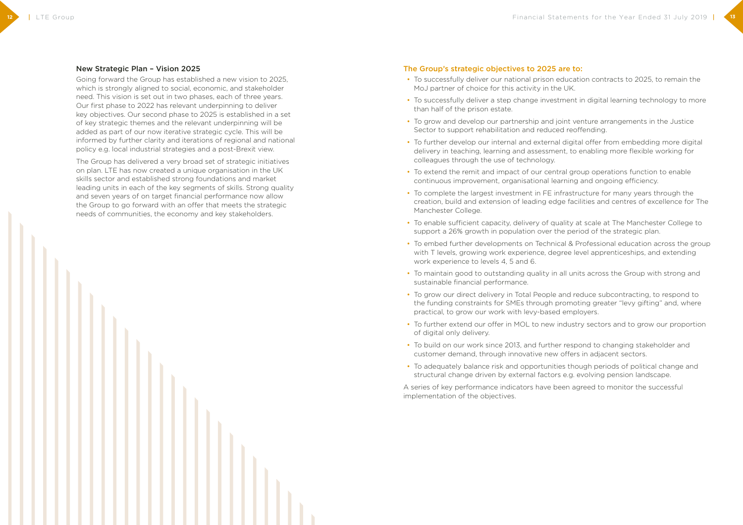#### New Strategic Plan – Vision 2025

Going forward the Group has established a new vision to 2025, which is strongly aligned to social, economic, and stakeholder need. This vision is set out in two phases, each of three years. Our first phase to 2022 has relevant underpinning to deliver key objectives. Our second phase to 2025 is established in a set of key strategic themes and the relevant underpinning will be added as part of our now iterative strategic cycle. This will be informed by further clarity and iterations of regional and national policy e.g. local industrial strategies and a post-Brexit view.

The Group has delivered a very broad set of strategic initiatives on plan. LTE has now created a unique organisation in the UK skills sector and established strong foundations and market leading units in each of the key segments of skills. Strong quality and seven years of on target financial performance now allow the Group to go forward with an offer that meets the strategic needs of communities, the economy and key stakeholders.

#### The Group's strategic objectives to 2025 are to:

- To successfully deliver our national prison education contracts to 2025, to remain the MoJ partner of choice for this activity in the UK.
- To successfully deliver a step change investment in digital learning technology to more than half of the prison estate.
- To grow and develop our partnership and joint venture arrangements in the Justice Sector to support rehabilitation and reduced reoffending.
- To further develop our internal and external digital offer from embedding more digital delivery in teaching, learning and assessment, to enabling more flexible working for colleagues through the use of technology.
- To extend the remit and impact of our central group operations function to enable continuous improvement, organisational learning and ongoing efficiency.
- To complete the largest investment in FE infrastructure for many years through the creation, build and extension of leading edge facilities and centres of excellence for The Manchester College.
- To enable sufficient capacity, delivery of quality at scale at The Manchester College to support a 26% growth in population over the period of the strategic plan.
- To embed further developments on Technical & Professional education across the group with T levels, growing work experience, degree level apprenticeships, and extending work experience to levels 4, 5 and 6.
- To maintain good to outstanding quality in all units across the Group with strong and sustainable financial performance.
- To grow our direct delivery in Total People and reduce subcontracting, to respond to the funding constraints for SMEs through promoting greater "levy gifting" and, where practical, to grow our work with levy-based employers.
- To further extend our offer in MOL to new industry sectors and to grow our proportion of digital only delivery.
- To build on our work since 2013, and further respond to changing stakeholder and customer demand, through innovative new offers in adjacent sectors.
- To adequately balance risk and opportunities though periods of political change and structural change driven by external factors e.g. evolving pension landscape.

A series of key performance indicators have been agreed to monitor the successful implementation of the objectives.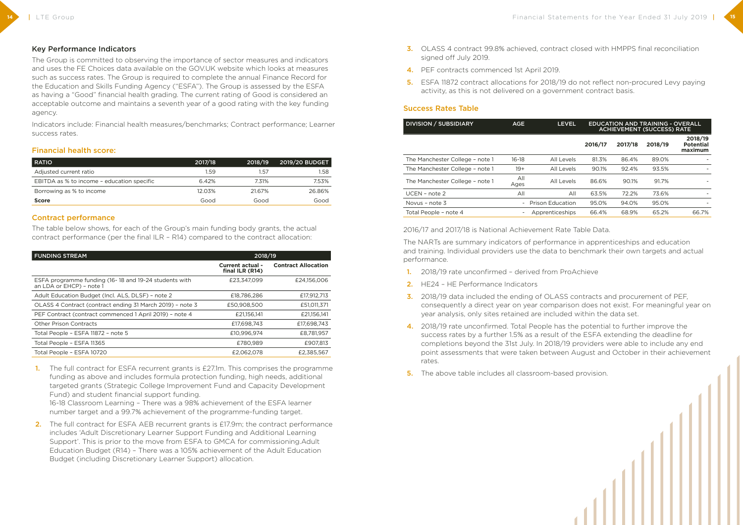### Key Performance Indicators

The Group is committed to observing the importance of sector measures and indicators and uses the FE Choices data available on the GOV.UK website which looks at measures such as success rates. The Group is required to complete the annual Finance Record for the Education and Skills Funding Agency ("ESFA"). The Group is assessed by the ESFA as having a "Good" financial health grading. The current rating of Good is considered an acceptable outcome and maintains a seventh year of a good rating with the key funding agency.

Indicators include: Financial health measures/benchmarks; Contract performance; Learner success rates.

#### Financial health score:

| <b>RATIO</b>                               | 2017/18 | 2018/19 | <b>2019/20 BUDGET</b> |
|--------------------------------------------|---------|---------|-----------------------|
| Adjusted current ratio                     | 1.59    | 57ء     | 1.58                  |
| EBITDA as % to income - education specific | 6.42%   | 7.31%   | 7.53%                 |
| Borrowing as % to income                   | 12.03%  | 21.67%  | 26.86%                |
| <b>Score</b>                               | Good    | Good    | Good                  |

#### Contract performance

The table below shows, for each of the Group's main funding body grants, the actual contract performance (per the final ILR – R14) compared to the contract allocation:

2. The full contract for ESFA AEB recurrent grants is £17.9m; the contract performance includes 'Adult Discretionary Learner Support Funding and Additional Learning Support'. This is prior to the move from ESFA to GMCA for commissioning.Adult Education Budget (R14) – There was a 105% achievement of the Adult Education Budget (including Discretionary Learner Support) allocation.

| <b>FUNDING STREAM</b>                                                             | 2018/19                                    |                            |  |
|-----------------------------------------------------------------------------------|--------------------------------------------|----------------------------|--|
|                                                                                   | <b>Current actual -</b><br>final ILR (R14) | <b>Contract Allocation</b> |  |
| ESFA programme funding (16-18 and 19-24 students with<br>an LDA or EHCP) - note 1 | £23,347,099                                | £24,156,006                |  |
| Adult Education Budget (Incl. ALS, DLSF) - note 2                                 | £18,786,286                                | £17,912,713                |  |
| OLASS 4 Contract (contract ending 31 March 2019) - note 3                         | £50,908,500                                | £51,011,371                |  |
| PEF Contract (contract commenced 1 April 2019) - note 4                           | £21,156,141                                | £21,156,141                |  |
| <b>Other Prison Contracts</b>                                                     | £17,698,743                                | £17,698,743                |  |
| Total People - ESFA 11872 - note 5                                                | £10,996,974                                | £8,781,957                 |  |
| Total People - ESFA 11365                                                         | £780,989                                   | £907,813                   |  |
| Total People - ESFA 10720                                                         | £2,062,078                                 | £2.385.567                 |  |

1. The full contract for ESFA recurrent grants is £27.1m. This comprises the programme funding as above and includes formula protection funding, high needs, additional targeted grants (Strategic College Improvement Fund and Capacity Development Fund) and student financial support funding.

16-18 Classroom Learning – There was a 98% achievement of the ESFA learner number target and a 99.7% achievement of the programme-funding target.

- 3. OLASS 4 contract 99.8% achieved, contract closed with HMPPS final reconciliation signed off July 2019.
- 4. PEF contracts commenced 1st April 2019.
- 5. ESFA 11872 contract allocations for 2018/19 do not reflect non-procured Levy paying activity, as this is not delivered on a government contract basis.

### Success Rates Table

| <b>DIVISION / SUBSIDIARY</b>    | AGE                      | <b>LEVEL</b>            | <b>EDUCATION AND TRAINING - OVERALL</b><br><b>ACHIEVEMENT (SUCCESS) RATE</b> |         |         |                                        |
|---------------------------------|--------------------------|-------------------------|------------------------------------------------------------------------------|---------|---------|----------------------------------------|
|                                 |                          |                         | 2016/17                                                                      | 2017/18 | 2018/19 | 2018/19<br><b>Potential</b><br>maximum |
| The Manchester College - note 1 | $16-18$                  | All Levels              | 81.3%                                                                        | 86.4%   | 89.0%   |                                        |
| The Manchester College - note 1 | $19+$                    | All Levels              | 90.1%                                                                        | 92.4%   | 93.5%   |                                        |
| The Manchester College - note 1 | All<br>Ages              | All Levels              | 86.6%                                                                        | 90.1%   | 91.7%   |                                        |
| $UCEN$ – note 2                 | All                      | All                     | 63.5%                                                                        | 72.2%   | 73.6%   |                                        |
| Novus - note 3                  | $\overline{\phantom{0}}$ | <b>Prison Education</b> | 95.0%                                                                        | 94.0%   | 95.0%   |                                        |
| Total People - note 4           |                          | Apprenticeships         | 66.4%                                                                        | 68.9%   | 65.2%   | 66.7%                                  |

| <b>DIVISION / SUBSIDIARY</b>    | <b>AGE</b>               | <b>LEVEL</b>            | <b>EDUCATION AND TRAINING - OVERALL</b><br><b>ACHIEVEMENT (SUCCESS) RATE</b> |         |         |                                        |
|---------------------------------|--------------------------|-------------------------|------------------------------------------------------------------------------|---------|---------|----------------------------------------|
|                                 |                          |                         | 2016/17                                                                      | 2017/18 | 2018/19 | 2018/19<br><b>Potential</b><br>maximum |
| The Manchester College - note 1 | $16 - 18$                | All Levels              | 81.3%                                                                        | 86.4%   | 89.0%   |                                        |
| The Manchester College - note 1 | $19+$                    | All Levels              | 90.1%                                                                        | 92.4%   | 93.5%   |                                        |
| The Manchester College - note 1 | All<br>Ages              | All Levels              | 86.6%                                                                        | 90.1%   | 91.7%   |                                        |
| $UCEN$ – note 2                 | All                      | All                     | 63.5%                                                                        | 72.2%   | 73.6%   |                                        |
| Novus - note 3                  | $\overline{\phantom{0}}$ | <b>Prison Education</b> | 95.0%                                                                        | 94.0%   | 95.0%   |                                        |
| Total People - note 4           |                          | Apprenticeships         | 66.4%                                                                        | 68.9%   | 65.2%   | 66.7%                                  |

2016/17 and 2017/18 is National Achievement Rate Table Data.

The NARTs are summary indicators of performance in apprenticeships and education and training. Individual providers use the data to benchmark their own targets and actual performance.

consequently a direct year on year comparison does not exist. For meaningful year on

- 1. 2018/19 rate unconfirmed derived from ProAchieve
- 2. HE24 HE Performance Indicators
- 3. 2018/19 data included the ending of OLASS contracts and procurement of PEF, year analysis, only sites retained are included within the data set.
- 4. 2018/19 rate unconfirmed. Total People has the potential to further improve the success rates by a further 1.5% as a result of the ESFA extending the deadline for rates.
- 5. The above table includes all classroom-based provision.

completions beyond the 31st July. In 2018/19 providers were able to include any end point assessments that were taken between August and October in their achievement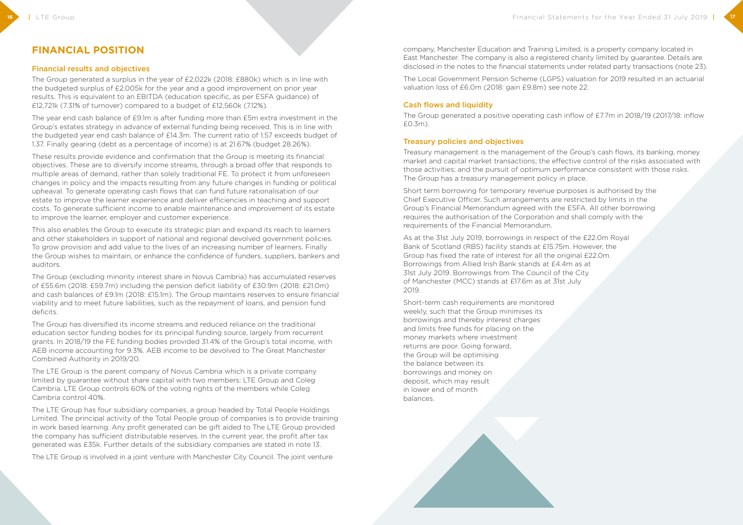## **FINANCIAL POSITION**

#### Financial results and objectives

The Group generated a surplus in the year of £2,022k (2018: £880k) which is in line with the budgeted surplus of £2,005k for the year and a good improvement on prior year results. This is equivalent to an EBITDA (education specific, as per ESFA guidance) of £12,721k (7.31% of turnover) compared to a budget of £12,560k (7.12%).

The year end cash balance of £9.1m is after funding more than £5m extra investment in the Group's estates strategy in advance of external funding being received. This is in line with the budgeted year end cash balance of £14.3m. The current ratio of 1.57 exceeds budget of 1.37. Finally gearing (debt as a percentage of income) is at 21.67% (budget 28.26%).

These results provide evidence and confirmation that the Group is meeting its financial objectives. These are to diversify income streams, through a broad offer that responds to multiple areas of demand, rather than solely traditional FE. To protect it from unforeseen changes in policy and the impacts resulting from any future changes in funding or political upheaval. To generate operating cash flows that can fund future rationalisation of our estate to improve the learner experience and deliver efficiencies in teaching and support costs. To generate sufficient income to enable maintenance and improvement of its estate to improve the learner, employer and customer experience.

This also enables the Group to execute its strategic plan and expand its reach to learners and other stakeholders in support of national and regional devolved government policies. To grow provision and add value to the lives of an increasing number of learners. Finally the Group wishes to maintain, or enhance the confidence of funders, suppliers, bankers and auditors.

The Group (excluding minority interest share in Novus Cambria) has accumulated reserves of £55.6m (2018: £59.7m) including the pension deficit liability of £30.9m (2018: £21.0m) and cash balances of £9.1m (2018: £15.1m). The Group maintains reserves to ensure financial viability and to meet future liabilities, such as the repayment of loans, and pension fund deficits.

The Group has diversified its income streams and reduced reliance on the traditional education sector funding bodies for its principal funding source, largely from recurrent grants. In 2018/19 the FE funding bodies provided 31.4% of the Group's total income, with AEB income accounting for 9.3%. AEB income to be devolved to The Great Manchester Combined Authority in 2019/20.

The LTE Group is the parent company of Novus Cambria which is a private company limited by guarantee without share capital with two members: LTE Group and Coleg Cambria. LTE Group controls 60% of the voting rights of the members while Coleg Cambria control 40%.

The LTE Group has four subsidiary companies, a group headed by Total People Holdings Limited. The principal activity of the Total People group of companies is to provide training in work based learning. Any profit generated can be gift aided to The LTE Group provided the company has sufficient distributable reserves. In the current year, the profit after tax generated was £35k. Further details of the subsidiary companies are stated in note 13.

The LTE Group is involved in a joint venture with Manchester City Council. The joint venture

company, Manchester Education and Training Limited, is a property company located in East Manchester. The company is also a registered charity limited by guarantee. Details are disclosed in the notes to the financial statements under related party transactions (note 23).

The Local Government Pension Scheme (LGPS) valuation for 2019 resulted in an actuarial valuation loss of £6.0m (2018: gain £9.8m) see note 22.

#### Cash flows and liquidity

The Group generated a positive operating cash inflow of £7.7m in 2018/19 (2017/18: inflow £0.3m).

#### Treasury policies and objectives

Treasury management is the management of the Group's cash flows, its banking, money market and capital market transactions; the effective control of the risks associated with those activities; and the pursuit of optimum performance consistent with those risks. The Group has a treasury management policy in place.

Short term borrowing for temporary revenue purposes is authorised by the Chief Executive Officer. Such arrangements are restricted by limits in the Group's Financial Memorandum agreed with the ESFA. All other borrowing requires the authorisation of the Corporation and shall comply with the requirements of the Financial Memorandum.

As at the 31st July 2019, borrowings in respect of the £22.0m Royal Bank of Scotland (RBS) facility stands at £15.75m. However, the Group has fixed the rate of interest for all the original £22.0m. Borrowings from Allied Irish Bank stands at £4.4m as at 31st July 2019. Borrowings from The Council of the City of Manchester (MCC) stands at £17.6m as at 31st July 2019.

Short-term cash requirements are monitored weekly, such that the Group minimises its borrowings and thereby interest charges and limits free funds for placing on the money markets where investment returns are poor. Going forward, the Group will be optimising the balance between its borrowings and money on deposit, which may result in lower end of month balances.

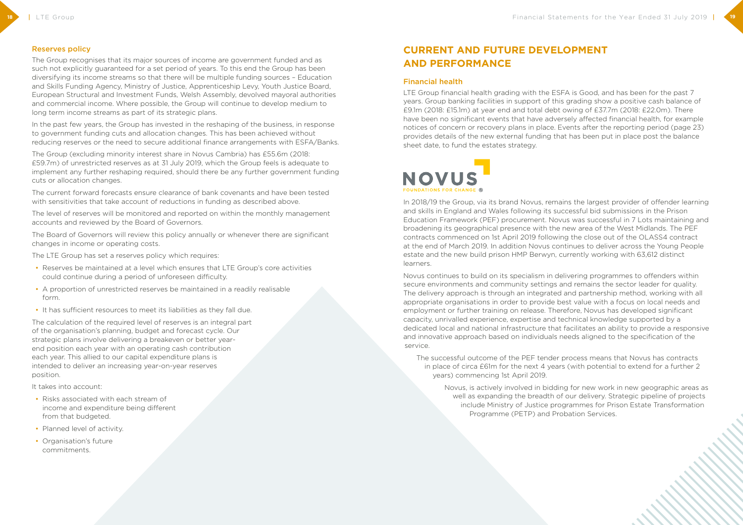#### Reserves policy

The Group recognises that its major sources of income are government funded and as such not explicitly guaranteed for a set period of years. To this end the Group has been diversifying its income streams so that there will be multiple funding sources – Education and Skills Funding Agency, Ministry of Justice, Apprenticeship Levy, Youth Justice Board, European Structural and Investment Funds, Welsh Assembly, devolved mayoral authorities and commercial income. Where possible, the Group will continue to develop medium to long term income streams as part of its strategic plans.

In the past few years, the Group has invested in the reshaping of the business, in response to government funding cuts and allocation changes. This has been achieved without reducing reserves or the need to secure additional finance arrangements with ESFA/Banks.

The Group (excluding minority interest share in Novus Cambria) has £55.6m (2018: £59.7m) of unrestricted reserves as at 31 July 2019, which the Group feels is adequate to implement any further reshaping required, should there be any further government funding cuts or allocation changes.

The current forward forecasts ensure clearance of bank covenants and have been tested with sensitivities that take account of reductions in funding as described above.

The level of reserves will be monitored and reported on within the monthly management accounts and reviewed by the Board of Governors.

The Board of Governors will review this policy annually or whenever there are significant changes in income or operating costs.

LTE Group financial health grading with the ESFA is Good, and has been for the past 7 years. Group banking facilities in support of this grading show a positive cash balance of £9.1m (2018: £15.1m) at year end and total debt owing of £37.7m (2018: £22.0m). There have been no significant events that have adversely affected financial health, for example notices of concern or recovery plans in place. Events after the reporting period (page 23) provides details of the new external funding that has been put in place post the balance sheet date, to fund the estates strategy.



The LTE Group has set a reserves policy which requires:

- Reserves be maintained at a level which ensures that LTE Group's core activities could continue during a period of unforeseen difficulty.
- A proportion of unrestricted reserves be maintained in a readily realisable form.
- It has sufficient resources to meet its liabilities as they fall due.

The calculation of the required level of reserves is an integral part of the organisation's planning, budget and forecast cycle. Our strategic plans involve delivering a breakeven or better yearend position each year with an operating cash contribution each year. This allied to our capital expenditure plans is intended to deliver an increasing year-on-year reserves position.

It takes into account:

- Risks associated with each stream of income and expenditure being different from that budgeted.
- Planned level of activity.
- Organisation's future commitments.

## **CURRENT AND FUTURE DEVELOPMENT AND PERFORMANCE**

#### Financial health

In 2018/19 the Group, via its brand Novus, remains the largest provider of offender learning and skills in England and Wales following its successful bid submissions in the Prison Education Framework (PEF) procurement. Novus was successful in 7 Lots maintaining and broadening its geographical presence with the new area of the West Midlands. The PEF contracts commenced on 1st April 2019 following the close out of the OLASS4 contract at the end of March 2019. In addition Novus continues to deliver across the Young People estate and the new build prison HMP Berwyn, currently working with 63,612 distinct learners.

Novus continues to build on its specialism in delivering programmes to offenders within secure environments and community settings and remains the sector leader for quality. The delivery approach is through an integrated and partnership method, working with all appropriate organisations in order to provide best value with a focus on local needs and employment or further training on release. Therefore, Novus has developed significant capacity, unrivalled experience, expertise and technical knowledge supported by a dedicated local and national infrastructure that facilitates an ability to provide a responsive and innovative approach based on individuals needs aligned to the specification of the service.

The successful outcome of the PEF tender process means that Novus has contracts in place of circa £61m for the next 4 years (with potential to extend for a further 2 years) commencing 1st April 2019.

Novus, is actively involved in bidding for new work in new geographic areas as well as expanding the breadth of our delivery. Strategic pipeline of projects include Ministry of Justice programmes for Prison Estate Transformation Programme (PETP) and Probation Services.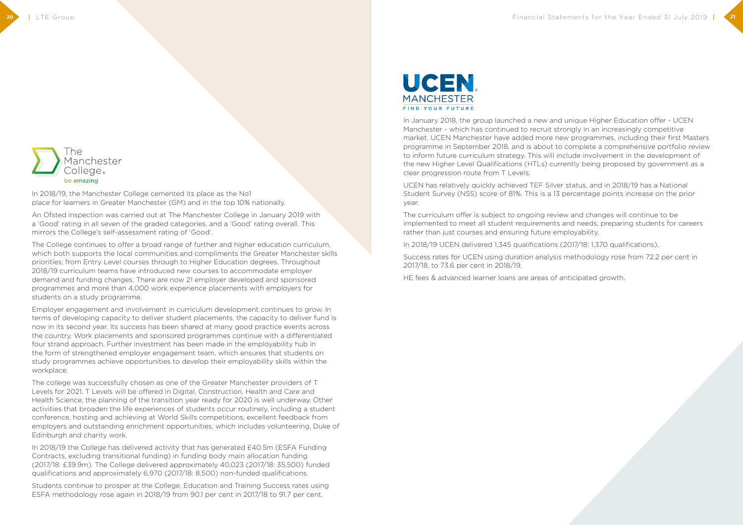

In 2018/19, the Manchester College cemented its place as the No1 place for learners in Greater Manchester (GM) and in the top 10% nationally.

An Ofsted inspection was carried out at The Manchester College in January 2019 with a 'Good' rating in all seven of the graded categories, and a 'Good' rating overall. This mirrors the College's self-assessment rating of 'Good'.

The College continues to offer a broad range of further and higher education curriculum, which both supports the local communities and compliments the Greater Manchester skills priorities; from Entry Level courses through to Higher Education degrees. Throughout 2018/19 curriculum teams have introduced new courses to accommodate employer demand and funding changes. There are now 21 employer developed and sponsored programmes and more than 4,000 work experience placements with employers for students on a study programme.

Employer engagement and involvement in curriculum development continues to grow. In terms of developing capacity to deliver student placements, the capacity to deliver fund is now in its second year. Its success has been shared at many good practice events across the country. Work placements and sponsored programmes continue with a differentiated four strand approach. Further investment has been made in the employability hub in the form of strengthened employer engagement team, which ensures that students on study programmes achieve opportunities to develop their employability skills within the workplace.

The college was successfully chosen as one of the Greater Manchester providers of T Levels for 2021. T Levels will be offered in Digital, Construction, Health and Care and Health Science, the planning of the transition year ready for 2020 is well underway. Other activities that broaden the life experiences of students occur routinely, including a student conference, hosting and achieving at World Skills competitions, excellent feedback from employers and outstanding enrichment opportunities, which includes volunteering, Duke of Edinburgh and charity work.

In 2018/19 the College has delivered activity that has generated £40.5m (ESFA Funding Contracts, excluding transitional funding) in funding body main allocation funding (2017/18: £39.9m). The College delivered approximately 40,023 (2017/18: 35,500) funded qualifications and approximately 6,970 (2017/18: 8,500) non-funded qualifications.

Students continue to prosper at the College. Education and Training Success rates using ESFA methodology rose again in 2018/19 from 90.1 per cent in 2017/18 to 91.7 per cent.



In January 2018, the group launched a new and unique Higher Education offer - UCEN Manchester - which has continued to recruit strongly in an increasingly competitive market. UCEN Manchester have added more new programmes, including their first Masters programme in September 2018, and is about to complete a comprehensive portfolio review to inform future curriculum strategy. This will include involvement in the development of the new Higher Level Qualifications (HTLs) currently being proposed by government as a clear progression route from T Levels.

UCEN has relatively quickly achieved TEF Silver status, and in 2018/19 has a National Student Survey (NSS) score of 81%. This is a 13 percentage points increase on the prior year.

The curriculum offer is subject to ongoing review and changes will continue to be implemented to meet all student requirements and needs, preparing students for careers rather than just courses and ensuring future employability.

In 2018/19 UCEN delivered 1,345 qualifications (2017/18: 1,370 qualifications).

Success rates for UCEN using duration analysis methodology rose from 72.2 per cent in 2017/18, to 73.6 per cent in 2018/19.

HE fees & advanced learner loans are areas of anticipated growth.

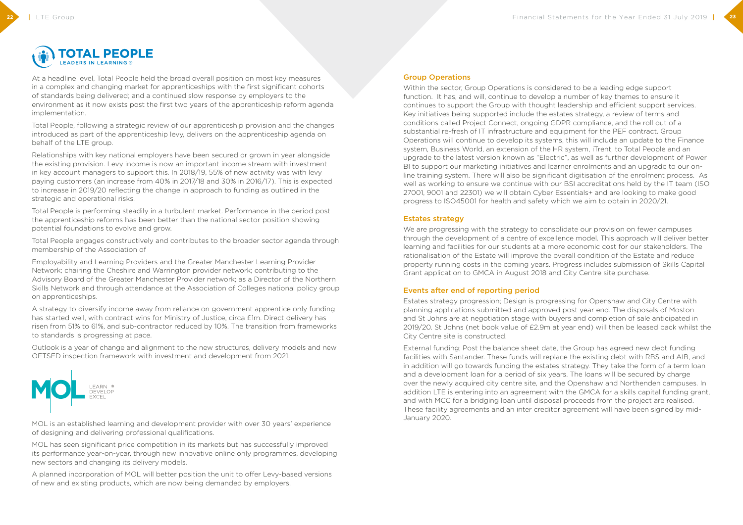

At a headline level, Total People held the broad overall position on most key measures in a complex and changing market for apprenticeships with the first significant cohorts of standards being delivered; and a continued slow response by employers to the environment as it now exists post the first two years of the apprenticeship reform agenda implementation.

Total People, following a strategic review of our apprenticeship provision and the changes introduced as part of the apprenticeship levy, delivers on the apprenticeship agenda on behalf of the LTE group.

Relationships with key national employers have been secured or grown in year alongside the existing provision. Levy income is now an important income stream with investment in key account managers to support this. In 2018/19, 55% of new activity was with levy paying customers (an increase from 40% in 2017/18 and 30% in 2016/17). This is expected to increase in 2019/20 reflecting the change in approach to funding as outlined in the strategic and operational risks.

Total People is performing steadily in a turbulent market. Performance in the period post the apprenticeship reforms has been better than the national sector position showing potential foundations to evolve and grow.

Total People engages constructively and contributes to the broader sector agenda through membership of the Association of

Employability and Learning Providers and the Greater Manchester Learning Provider Network; chairing the Cheshire and Warrington provider network; contributing to the Advisory Board of the Greater Manchester Provider network; as a Director of the Northern Skills Network and through attendance at the Association of Colleges national policy group on apprenticeships.

A strategy to diversify income away from reliance on government apprentice only funding has started well, with contract wins for Ministry of Justice, circa £1m. Direct delivery has risen from 51% to 61%, and sub-contractor reduced by 10%. The transition from frameworks to standards is progressing at pace.

Outlook is a year of change and alignment to the new structures, delivery models and new OFTSED inspection framework with investment and development from 2021.



We are progressing with the strategy to consolidate our provision on fewer campuses through the development of a centre of excellence model. This approach will deliver better learning and facilities for our students at a more economic cost for our stakeholders. The rationalisation of the Estate will improve the overall condition of the Estate and reduce property running costs in the coming years. Progress includes submission of Skills Capital Grant application to GMCA in August 2018 and City Centre site purchase.

MOL is an established learning and development provider with over 30 years' experience of designing and delivering professional qualifications.

MOL has seen significant price competition in its markets but has successfully improved its performance year-on-year, through new innovative online only programmes, developing new sectors and changing its delivery models.

A planned incorporation of MOL will better position the unit to offer Levy-based versions of new and existing products, which are now being demanded by employers.

#### Group Operations

Within the sector, Group Operations is considered to be a leading edge support function. It has, and will, continue to develop a number of key themes to ensure it continues to support the Group with thought leadership and efficient support services. Key initiatives being supported include the estates strategy, a review of terms and conditions called Project Connect, ongoing GDPR compliance, and the roll out of a substantial re-fresh of IT infrastructure and equipment for the PEF contract. Group Operations will continue to develop its systems, this will include an update to the Finance system, Business World, an extension of the HR system, iTrent, to Total People and an upgrade to the latest version known as "Electric", as well as further development of Power BI to support our marketing initiatives and learner enrolments and an upgrade to our online training system. There will also be significant digitisation of the enrolment process. As well as working to ensure we continue with our BSI accreditations held by the IT team (ISO 27001, 9001 and 22301) we will obtain Cyber Essentials+ and are looking to make good progress to ISO45001 for health and safety which we aim to obtain in 2020/21.

#### Estates strategy

#### Events after end of reporting period

Estates strategy progression; Design is progressing for Openshaw and City Centre with planning applications submitted and approved post year end. The disposals of Moston and St Johns are at negotiation stage with buyers and completion of sale anticipated in 2019/20. St Johns (net book value of £2.9m at year end) will then be leased back whilst the City Centre site is constructed.

External funding; Post the balance sheet date, the Group has agreed new debt funding facilities with Santander. These funds will replace the existing debt with RBS and AIB, and in addition will go towards funding the estates strategy. They take the form of a term loan and a development loan for a period of six years. The loans will be secured by charge over the newly acquired city centre site, and the Openshaw and Northenden campuses. In addition LTE is entering into an agreement with the GMCA for a skills capital funding grant, and with MCC for a bridging loan until disposal proceeds from the project are realised. These facility agreements and an inter creditor agreement will have been signed by mid-January 2020.

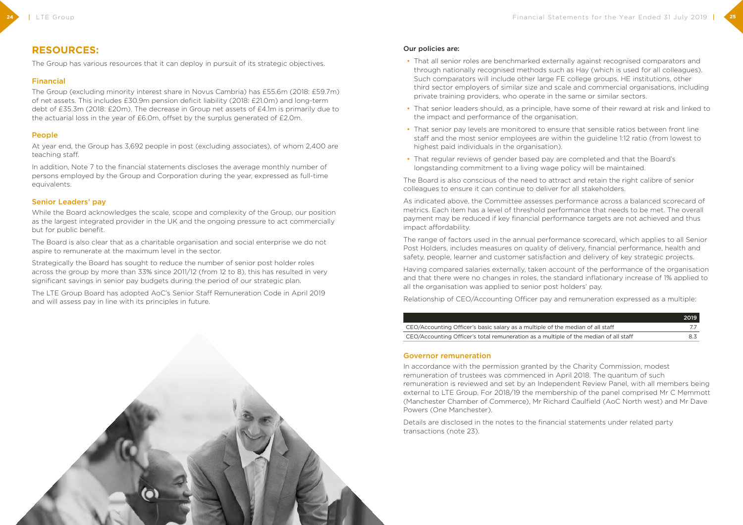## **RESOURCES:**

The Group has various resources that it can deploy in pursuit of its strategic objectives.

### Financial

The Group (excluding minority interest share in Novus Cambria) has £55.6m (2018: £59.7m) of net assets. This includes £30.9m pension deficit liability (2018: £21.0m) and long-term debt of £35.3m (2018: £20m). The decrease in Group net assets of £4.1m is primarily due to the actuarial loss in the year of £6.0m, offset by the surplus generated of £2.0m.

#### People

At year end, the Group has 3,692 people in post (excluding associates), of whom 2,400 are teaching staff.

In addition, Note 7 to the financial statements discloses the average monthly number of persons employed by the Group and Corporation during the year, expressed as full-time equivalents.

#### Senior Leaders' pay

While the Board acknowledges the scale, scope and complexity of the Group, our position as the largest integrated provider in the UK and the ongoing pressure to act commercially but for public benefit.

The Board is also clear that as a charitable organisation and social enterprise we do not aspire to remunerate at the maximum level in the sector.

Strategically the Board has sought to reduce the number of senior post holder roles across the group by more than 33% since 2011/12 (from 12 to 8), this has resulted in very significant savings in senior pay budgets during the period of our strategic plan.

The LTE Group Board has adopted AoC's Senior Staff Remuneration Code in April 2019 and will assess pay in line with its principles in future.



#### Our policies are:

third sector employers of similar size and scale and commercial organisations, including

- That all senior roles are benchmarked externally against recognised comparators and through nationally recognised methods such as Hay (which is used for all colleagues). Such comparators will include other large FE college groups, HE institutions, other private training providers, who operate in the same or similar sectors.
- That senior leaders should, as a principle, have some of their reward at risk and linked to the impact and performance of the organisation.
- That senior pay levels are monitored to ensure that sensible ratios between front line staff and the most senior employees are within the guideline 1:12 ratio (from lowest to highest paid individuals in the organisation).
- That regular reviews of gender based pay are completed and that the Board's longstanding commitment to a living wage policy will be maintained.

The Board is also conscious of the need to attract and retain the right calibre of senior colleagues to ensure it can continue to deliver for all stakeholders.

As indicated above, the Committee assesses performance across a balanced scorecard of metrics. Each item has a level of threshold performance that needs to be met. The overall payment may be reduced if key financial performance targets are not achieved and thus impact affordability.

The range of factors used in the annual performance scorecard, which applies to all Senior Post Holders, includes measures on quality of delivery, financial performance, health and safety, people, learner and customer satisfaction and delivery of key strategic projects.

Having compared salaries externally, taken account of the performance of the organisation and that there were no changes in roles, the standard inflationary increase of 1% applied to all the organisation was applied to senior post holders' pay.

Relationship of CEO/Accounting Officer pay and remuneration expressed as a multiple:

CEO/Accounting Officer's basic salary as a multiple of the

CEO/Accounting Officer's total remuneration as a multiple

|                              | 2019 |
|------------------------------|------|
| e median of all staff.       |      |
| e of the median of all staff | 83   |

#### Governor remuneration

In accordance with the permission granted by the Charity Commission, modest remuneration of trustees was commenced in April 2018. The quantum of such remuneration is reviewed and set by an Independent Review Panel, with all members being external to LTE Group. For 2018/19 the membership of the panel comprised Mr C Memmott (Manchester Chamber of Commerce), Mr Richard Caulfield (AoC North west) and Mr Dave Powers (One Manchester).

Details are disclosed in the notes to the financial statements under related party transactions (note 23).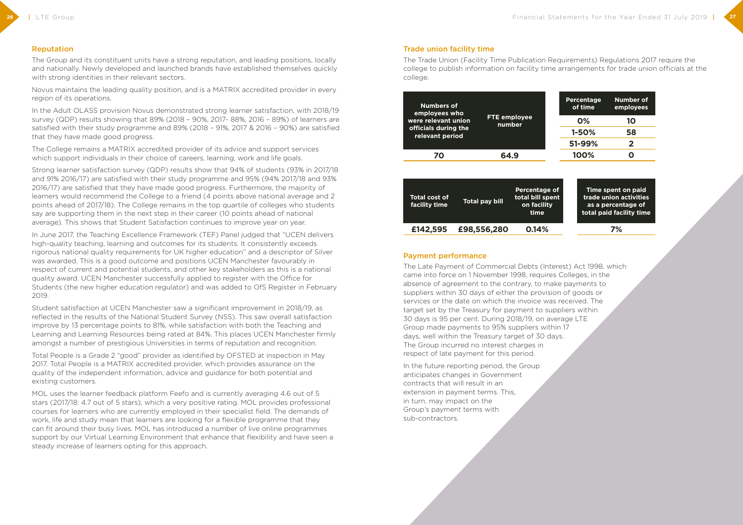#### Reputation

The Group and its constituent units have a strong reputation, and leading positions, locally and nationally. Newly developed and launched brands have established themselves quickly with strong identities in their relevant sectors.

The College remains a MATRIX accredited provider of its advice and support services which support individuals in their choice of careers, learning, work and life goals.

Novus maintains the leading quality position, and is a MATRIX accredited provider in every region of its operations.

In the Adult OLASS provision Novus demonstrated strong learner satisfaction, with 2018/19 survey (QDP) results showing that 89% (2018 – 90%, 2017- 88%, 2016 – 89%) of learners are satisfied with their study programme and 89% (2018 – 91%, 2017 & 2016 – 90%) are satisfied that they have made good progress.

Strong learner satisfaction survey (QDP) results show that 94% of students (93% in 2017/18 and 91% 2016/17) are satisfied with their study programme and 95% (94% 2017/18 and 93% 2016/17) are satisfied that they have made good progress. Furthermore, the majority of learners would recommend the College to a friend (4 points above national average and 2 points ahead of 2017/18). The College remains in the top quartile of colleges who students say are supporting them in the next step in their career (10 points ahead of national average). This shows that Student Satisfaction continues to improve year on year.

In June 2017, the Teaching Excellence Framework (TEF) Panel judged that "UCEN delivers high-quality teaching, learning and outcomes for its students. It consistently exceeds rigorous national quality requirements for UK higher education" and a descriptor of Silver was awarded. This is a good outcome and positions UCEN Manchester favourably in respect of current and potential students, and other key stakeholders as this is a national quality award. UCEN Manchester successfully applied to register with the Office for Students (the new higher education regulator) and was added to OfS Register in February 2019.

Student satisfaction at UCEN Manchester saw a significant improvement in 2018/19, as reflected in the results of the National Student Survey (NSS). This saw overall satisfaction improve by 13 percentage points to 81%, while satisfaction with both the Teaching and Learning and Learning Resources being rated at 84%. This places UCEN Manchester firmly amongst a number of prestigious Universities in terms of reputation and recognition.

Total People is a Grade 2 "good" provider as identified by OFSTED at inspection in May 2017. Total People is a MATRIX accredited provider, which provides assurance on the quality of the independent information, advice and guidance for both potential and existing customers.

MOL uses the learner feedback platform Feefo and is currently averaging 4.6 out of 5 stars (2017/18: 4.7 out of 5 stars), which a very positive rating. MOL provides professional courses for learners who are currently employed in their specialist field. The demands of work, life and study mean that learners are looking for a flexible programme that they can fit around their busy lives. MOL has introduced a number of live online programmes support by our Virtual Learning Environment that enhance that flexibility and have seen a steady increase of learners opting for this approach.

#### Trade union facility time



college to publish information on facility time arrangements for trade union officials at the college.

| <b>Percentage</b><br>of time | <b>Number of</b><br>employees |
|------------------------------|-------------------------------|
| <b>0%</b>                    | 10                            |
| 1-50%                        | 58                            |
| 51-99%                       | $\overline{2}$                |
| 100%                         | 0                             |
|                              |                               |



| <b>Total cost of</b><br>facility time | <b>Total pay bill</b> | <b>Percentage of</b><br>total bill spent<br>on facility<br>time |
|---------------------------------------|-----------------------|-----------------------------------------------------------------|
| £142,595                              | £98,556,280           | 0.14%                                                           |
|                                       |                       |                                                                 |



#### **7%**

#### Payment performance

The Late Payment of Commercial Debts (Interest) Act 1998, which came into force on 1 November 1998, requires Colleges, in the absence of agreement to the contrary, to make payments to suppliers within 30 days of either the provision of goods or services or the date on which the invoice was received. The target set by the Treasury for payment to suppliers within 30 days is 95 per cent. During 2018/19, on average LTE Group made payments to 95% suppliers within 17 days, well within the Treasury target of 30 days. The Group incurred no interest charges in respect of late payment for this period.

In the future reporting period, the Group anticipates changes in Government contracts that will result in an extension in payment terms. This, in turn, may impact on the Group's payment terms with sub-contractors.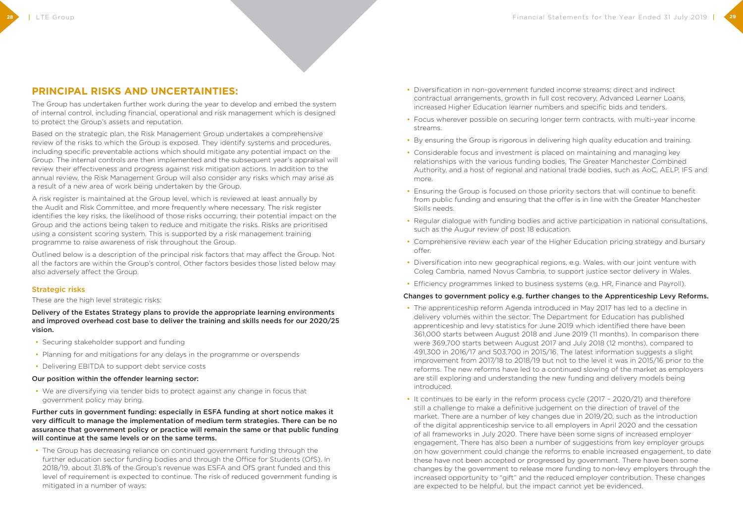## **PRINCIPAL RISKS AND UNCERTAINTIES:**

The Group has undertaken further work during the year to develop and embed the system of internal control, including financial, operational and risk management which is designed to protect the Group's assets and reputation.

Based on the strategic plan, the Risk Management Group undertakes a comprehensive review of the risks to which the Group is exposed. They identify systems and procedures, including specific preventable actions which should mitigate any potential impact on the Group. The internal controls are then implemented and the subsequent year's appraisal will review their effectiveness and progress against risk mitigation actions. In addition to the annual review, the Risk Management Group will also consider any risks which may arise as a result of a new area of work being undertaken by the Group.

A risk register is maintained at the Group level, which is reviewed at least annually by the Audit and Risk Committee, and more frequently where necessary. The risk register identifies the key risks, the likelihood of those risks occurring, their potential impact on the Group and the actions being taken to reduce and mitigate the risks. Risks are prioritised using a consistent scoring system. This is supported by a risk management training programme to raise awareness of risk throughout the Group.

Outlined below is a description of the principal risk factors that may affect the Group. Not all the factors are within the Group's control. Other factors besides those listed below may also adversely affect the Group.

### Strategic risks

These are the high level strategic risks:

Delivery of the Estates Strategy plans to provide the appropriate learning environments and improved overhead cost base to deliver the training and skills needs for our 2020/25 vision.

- Securing stakeholder support and funding
- Planning for and mitigations for any delays in the programme or overspends
- Delivering EBITDA to support debt service costs

#### Our position within the offender learning sector:

• We are diversifying via tender bids to protect against any change in focus that government policy may bring.

Further cuts in government funding: especially in ESFA funding at short notice makes it very difficult to manage the implementation of medium term strategies. There can be no assurance that government policy or practice will remain the same or that public funding will continue at the same levels or on the same terms.

• The Group has decreasing reliance on continued government funding through the further education sector funding bodies and through the Office for Students (OfS). In 2018/19, about 31.8% of the Group's revenue was ESFA and OfS grant funded and this level of requirement is expected to continue. The risk of reduced government funding is mitigated in a number of ways:

- Diversification in non-government funded income streams; direct and indirect contractual arrangements, growth in full cost recovery, Advanced Learner Loans, increased Higher Education learner numbers and specific bids and tenders.
- Focus wherever possible on securing longer term contracts, with multi-year income streams.
- By ensuring the Group is rigorous in delivering high quality education and training.
- Considerable focus and investment is placed on maintaining and managing key relationships with the various funding bodies, The Greater Manchester Combined Authority, and a host of regional and national trade bodies, such as AoC, AELP, IFS and more.
- Ensuring the Group is focused on those priority sectors that will continue to benefit from public funding and ensuring that the offer is in line with the Greater Manchester Skills needs.
- Regular dialogue with funding bodies and active participation in national consultations, such as the Augur review of post 18 education.
- Comprehensive review each year of the Higher Education pricing strategy and bursary offer.
- Diversification into new geographical regions, e.g. Wales, with our joint venture with Coleg Cambria, named Novus Cambria, to support justice sector delivery in Wales.
- Efficiency programmes linked to business systems (e.g. HR, Finance and Payroll).

#### Changes to government policy e.g. further changes to the Apprenticeship Levy Reforms.

- The apprenticeship reform Agenda introduced in May 2017 has led to a decline in delivery volumes within the sector. The Department for Education has published apprenticeship and levy statistics for June 2019 which identified there have been 361,000 starts between August 2018 and June 2019 (11 months). In comparison there were 369,700 starts between August 2017 and July 2018 (12 months), compared to 491,300 in 2016/17 and 503,700 in 2015/16. The latest information suggests a slight improvement from 2017/18 to 2018/19 but not to the level it was in 2015/16 prior to the reforms. The new reforms have led to a continued slowing of the market as employers are still exploring and understanding the new funding and delivery models being introduced.
- It continues to be early in the reform process cycle (2017 2020/21) and therefore still a challenge to make a definitive judgement on the direction of travel of the market. There are a number of key changes due in 2019/20, such as the introduction of the digital apprenticeship service to all employers in April 2020 and the cessation of all frameworks in July 2020. There have been some signs of increased employer engagement. There has also been a number of suggestions from key employer groups these have not been accepted or progressed by government. There have been some increased opportunity to "gift" and the reduced employer contribution. These changes are expected to be helpful, but the impact cannot yet be evidenced.

on how government could change the reforms to enable increased engagement, to date changes by the government to release more funding to non-levy employers through the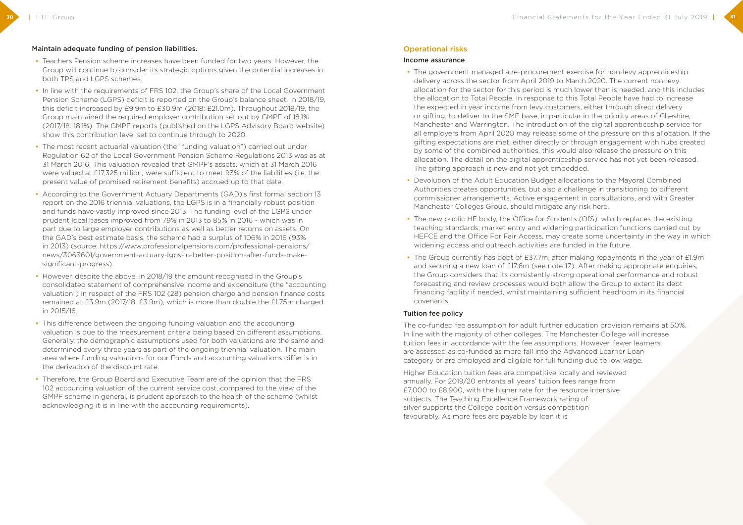#### Maintain adequate funding of pension liabilities.

- Teachers Pension scheme increases have been funded for two years. However, the Group will continue to consider its strategic options given the potential increases in both TPS and LGPS schemes.
- In line with the requirements of FRS 102, the Group's share of the Local Government Pension Scheme (LGPS) deficit is reported on the Group's balance sheet. In 2018/19, this deficit increased by £9.9m to £30.9m (2018: £21.0m). Throughout 2018/19, the Group maintained the required employer contribution set out by GMPF of 18.1% (2017/18: 18.1%). The GMPF reports (published on the LGPS Advisory Board website) show this contribution level set to continue through to 2020.
- The most recent actuarial valuation (the "funding valuation") carried out under Regulation 62 of the Local Government Pension Scheme Regulations 2013 was as at 31 March 2016. This valuation revealed that GMPF's assets, which at 31 March 2016 were valued at £17,325 million, were sufficient to meet 93% of the liabilities (i.e. the present value of promised retirement benefits) accrued up to that date.
- According to the Government Actuary Departments (GAD)'s first formal section 13 report on the 2016 triennial valuations, the LGPS is in a financially robust position and funds have vastly improved since 2013. The funding level of the LGPS under prudent local bases improved from 79% in 2013 to 85% in 2016 - which was in part due to large employer contributions as well as better returns on assets. On the GAD's best estimate basis, the scheme had a surplus of 106% in 2016 (93% in 2013) (source: https://www.professionalpensions.com/professional-pensions/ news/3063601/government-actuary-lgps-in-better-position-after-funds-makesignificant-progress).
- However, despite the above, in 2018/19 the amount recognised in the Group's consolidated statement of comprehensive income and expenditure (the "accounting valuation") in respect of the FRS 102 (28) pension charge and pension finance costs remained at £3.9m (2017/18: £3.9m), which is more than double the £1.75m charged in 2015/16.
- This difference between the ongoing funding valuation and the accounting valuation is due to the measurement criteria being based on different assumptions. Generally, the demographic assumptions used for both valuations are the same and determined every three years as part of the ongoing triennial valuation. The main area where funding valuations for our Funds and accounting valuations differ is in the derivation of the discount rate.
- Therefore, the Group Board and Executive Team are of the opinion that the FRS 102 accounting valuation of the current service cost, compared to the view of the GMPF scheme in general, is prudent approach to the health of the scheme (whilst acknowledging it is in line with the accounting requirements).

#### Operational risks

#### Income assurance

- The government managed a re-procurement exercise for non-levy apprenticeship delivery across the sector from April 2019 to March 2020. The current non-levy allocation for the sector for this period is much lower than is needed, and this includes the allocation to Total People. In response to this Total People have had to increase the expected in year income from levy customers, either through direct delivery or gifting, to deliver to the SME base, in particular in the priority areas of Cheshire, Manchester and Warrington. The introduction of the digital apprenticeship service for all employers from April 2020 may release some of the pressure on this allocation. If the gifting expectations are met, either directly or through engagement with hubs created by some of the combined authorities, this would also release the pressure on this allocation. The detail on the digital apprenticeship service has not yet been released. The gifting approach is new and not yet embedded.
- Devolution of the Adult Education Budget allocations to the Mayoral Combined Authorities creates opportunities, but also a challenge in transitioning to different commissioner arrangements. Active engagement in consultations, and with Greater Manchester Colleges Group, should mitigate any risk here.
- The new public HE body, the Office for Students (OfS), which replaces the existing teaching standards, market entry and widening participation functions carried out by widening access and outreach activities are funded in the future.
- The Group currently has debt of £37.7m, after making repayments in the year of £1.9m and securing a new loan of £17.6m (see note 17). After making appropriate enquiries, the Group considers that its consistently strong operational performance and robust forecasting and review processes would both allow the Group to extent its debt financing facility if needed, whilst maintaining sufficient headroom in its financial covenants.

HEFCE and the Office For Fair Access, may create some uncertainty in the way in which

#### Tuition fee policy

The co-funded fee assumption for adult further education provision remains at 50%. In line with the majority of other colleges, The Manchester College will increase tuition fees in accordance with the fee assumptions. However, fewer learners are assessed as co-funded as more fall into the Advanced Learner Loan category or are employed and eligible for full funding due to low wage.

Higher Education tuition fees are competitive locally and reviewed annually. For 2019/20 entrants all years' tuition fees range from £7,000 to £8,900, with the higher rate for the resource intensive subjects. The Teaching Excellence Framework rating of silver supports the College position versus competition favourably. As more fees are payable by loan it is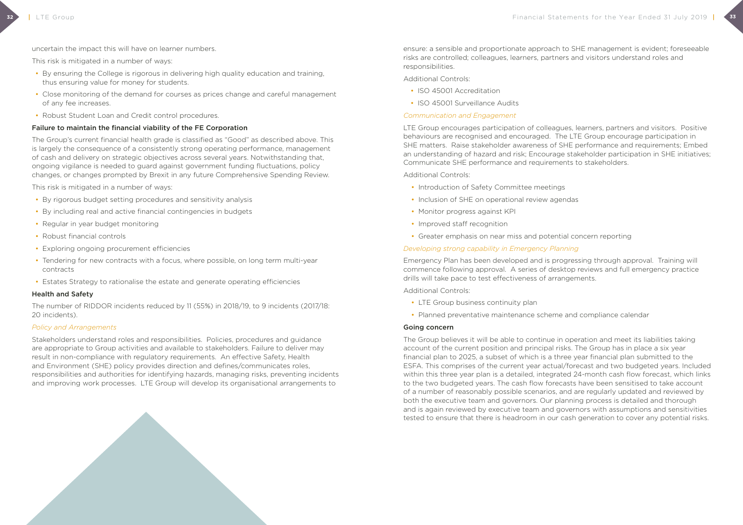- By ensuring the College is rigorous in delivering high quality education and training, thus ensuring value for money for students.
- Close monitoring of the demand for courses as prices change and careful management of any fee increases.
- Robust Student Loan and Credit control procedures.

uncertain the impact this will have on learner numbers.

This risk is mitigated in a number of ways:

#### Failure to maintain the financial viability of the FE Corporation

The Group's current financial health grade is classified as "Good" as described above. This is largely the consequence of a consistently strong operating performance, management of cash and delivery on strategic objectives across several years. Notwithstanding that, ongoing vigilance is needed to guard against government funding fluctuations, policy changes, or changes prompted by Brexit in any future Comprehensive Spending Review.

This risk is mitigated in a number of ways:

- By rigorous budget setting procedures and sensitivity analysis
- By including real and active financial contingencies in budgets
- Regular in year budget monitoring
- Robust financial controls
- Exploring ongoing procurement efficiencies
- Tendering for new contracts with a focus, where possible, on long term multi-year contracts
- Estates Strategy to rationalise the estate and generate operating efficiencies

#### Health and Safety

The number of RIDDOR incidents reduced by 11 (55%) in 2018/19, to 9 incidents (2017/18: 20 incidents).

#### *Policy and Arrangements*

- LTE Group business continuity plan
- Planned preventative maintenance scheme and compliance calendar

Stakeholders understand roles and responsibilities. Policies, procedures and guidance are appropriate to Group activities and available to stakeholders. Failure to deliver may result in non-compliance with regulatory requirements. An effective Safety, Health and Environment (SHE) policy provides direction and defines/communicates roles, responsibilities and authorities for identifying hazards, managing risks, preventing incidents and improving work processes. LTE Group will develop its organisational arrangements to

ensure: a sensible and proportionate approach to SHE management is evident; foreseeable risks are controlled; colleagues, learners, partners and visitors understand roles and responsibilities.

Additional Controls:

- ISO 45001 Accreditation
- ISO 45001 Surveillance Audits

#### *Communication and Engagement*

LTE Group encourages participation of colleagues, learners, partners and visitors. Positive behaviours are recognised and encouraged. The LTE Group encourage participation in SHE matters. Raise stakeholder awareness of SHE performance and requirements; Embed an understanding of hazard and risk; Encourage stakeholder participation in SHE initiatives; Communicate SHE performance and requirements to stakeholders.

Additional Controls:

- Introduction of Safety Committee meetings
- Inclusion of SHE on operational review agendas
- Monitor progress against KPI
- Improved staff recognition
- Greater emphasis on near miss and potential concern reporting

#### *Developing strong capability in Emergency Planning*

Emergency Plan has been developed and is progressing through approval. Training will commence following approval. A series of desktop reviews and full emergency practice drills will take pace to test effectiveness of arrangements.

Additional Controls:

#### Going concern

The Group believes it will be able to continue in operation and meet its liabilities taking account of the current position and principal risks. The Group has in place a six year financial plan to 2025, a subset of which is a three year financial plan submitted to the ESFA. This comprises of the current year actual/forecast and two budgeted years. Included within this three year plan is a detailed, integrated 24-month cash flow forecast, which links to the two budgeted years. The cash flow forecasts have been sensitised to take account of a number of reasonably possible scenarios, and are regularly updated and reviewed by both the executive team and governors. Our planning process is detailed and thorough and is again reviewed by executive team and governors with assumptions and sensitivities tested to ensure that there is headroom in our cash generation to cover any potential risks.

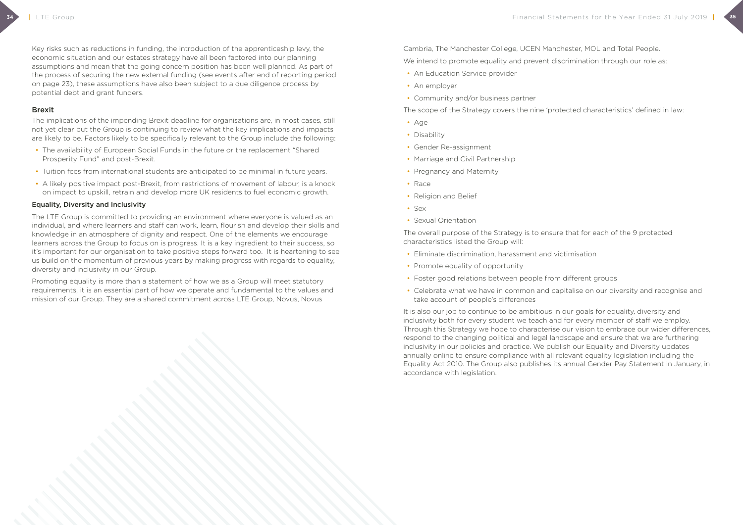Key risks such as reductions in funding, the introduction of the apprenticeship levy, the economic situation and our estates strategy have all been factored into our planning assumptions and mean that the going concern position has been well planned. As part of the process of securing the new external funding (see events after end of reporting period on page 23), these assumptions have also been subject to a due diligence process by potential debt and grant funders.

#### Brexit

The implications of the impending Brexit deadline for organisations are, in most cases, still not yet clear but the Group is continuing to review what the key implications and impacts are likely to be. Factors likely to be specifically relevant to the Group include the following:

- The availability of European Social Funds in the future or the replacement "Shared Prosperity Fund" and post-Brexit.
- Tuition fees from international students are anticipated to be minimal in future years.
- A likely positive impact post-Brexit, from restrictions of movement of labour, is a knock on impact to upskill, retrain and develop more UK residents to fuel economic growth.

Cambria, The Manchester College, UCEN Manchester, MOL and Total People. We intend to promote equality and prevent discrimination through our role as:

- An Education Service provider
- An employer
- Community and/or business partner

#### Equality, Diversity and Inclusivity

The LTE Group is committed to providing an environment where everyone is valued as an individual, and where learners and staff can work, learn, flourish and develop their skills and knowledge in an atmosphere of dignity and respect. One of the elements we encourage learners across the Group to focus on is progress. It is a key ingredient to their success, so it's important for our organisation to take positive steps forward too. It is heartening to see us build on the momentum of previous years by making progress with regards to equality, diversity and inclusivity in our Group.

Promoting equality is more than a statement of how we as a Group will meet statutory requirements, it is an essential part of how we operate and fundamental to the values and mission of our Group. They are a shared commitment across LTE Group, Novus, Novus

The scope of the Strategy covers the nine 'protected characteristics' defined in law:

- Age
- Disability
- Gender Re-assignment
- Marriage and Civil Partnership
- Pregnancy and Maternity
- Race
- Religion and Belief
- Sex
- Sexual Orientation

The overall purpose of the Strategy is to ensure that for each of the 9 protected characteristics listed the Group will:

- Eliminate discrimination, harassment and victimisation
- Promote equality of opportunity
- Foster good relations between people from different groups
- Celebrate what we have in common and capitalise on our diversity and recognise and take account of people's differences

It is also our job to continue to be ambitious in our goals for equality, diversity and inclusivity both for every student we teach and for every member of staff we employ. Through this Strategy we hope to characterise our vision to embrace our wider differences, respond to the changing political and legal landscape and ensure that we are furthering inclusivity in our policies and practice. We publish our Equality and Diversity updates annually online to ensure compliance with all relevant equality legislation including the Equality Act 2010. The Group also publishes its annual Gender Pay Statement in January, in accordance with legislation.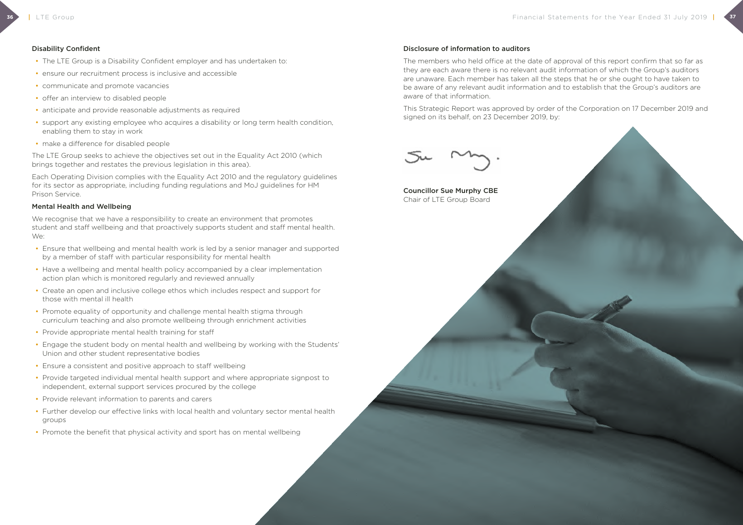#### Disability Confident

- The LTE Group is a Disability Confident employer and has undertaken to:
- ensure our recruitment process is inclusive and accessible
- communicate and promote vacancies
- offer an interview to disabled people
- anticipate and provide reasonable adjustments as required
- support any existing employee who acquires a disability or long term health condition, enabling them to stay in work
- make a difference for disabled people

We recognise that we have a responsibility to create an environment that promotes student and staff wellbeing and that proactively supports student and staff mental health. We:

The LTE Group seeks to achieve the objectives set out in the Equality Act 2010 (which brings together and restates the previous legislation in this area).

Each Operating Division complies with the Equality Act 2010 and the regulatory guidelines for its sector as appropriate, including funding regulations and MoJ guidelines for HM Prison Service.

#### Mental Health and Wellbeing

- Ensure that wellbeing and mental health work is led by a senior manager and supported by a member of staff with particular responsibility for mental health
- Have a wellbeing and mental health policy accompanied by a clear implementation action plan which is monitored regularly and reviewed annually
- Create an open and inclusive college ethos which includes respect and support for those with mental ill health
- Promote equality of opportunity and challenge mental health stigma through curriculum teaching and also promote wellbeing through enrichment activities
- Provide appropriate mental health training for staff
- Engage the student body on mental health and wellbeing by working with the Students' Union and other student representative bodies
- Ensure a consistent and positive approach to staff wellbeing
- Provide targeted individual mental health support and where appropriate signpost to independent, external support services procured by the college
- Provide relevant information to parents and carers
- Further develop our effective links with local health and voluntary sector mental health groups
- Promote the benefit that physical activity and sport has on mental wellbeing

#### Disclosure of information to auditors

The members who held office at the date of approval of this report confirm that so far as they are each aware there is no relevant audit information of which the Group's auditors are unaware. Each member has taken all the steps that he or she ought to have taken to be aware of any relevant audit information and to establish that the Group's auditors are aware of that information.

This Strategic Report was approved by order of the Corporation on 17 December 2019 and signed on its behalf, on 23 December 2019, by:



Councillor Sue Murphy CBE Chair of LTE Group Board

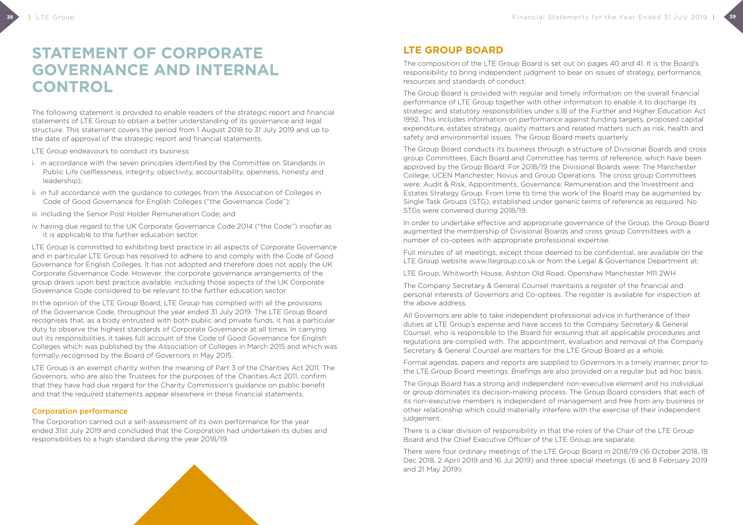# **STATEMENT OF CORPORATE GOVERNANCE AND INTERNAL CONTROL**

The following statement is provided to enable readers of the strategic report and financial statements of LTE Group to obtain a better understanding of its governance and legal structure. This statement covers the period from 1 August 2018 to 31 July 2019 and up to the date of approval of the strategic report and financial statements.

LTE Group endeavours to conduct its business:

- i. in accordance with the seven principles identified by the Committee on Standards in Public Life (selflessness, integrity, objectivity, accountability, openness, honesty and leadership);
- ii. in full accordance with the guidance to colleges from the Association of Colleges in Code of Good Governance for English Colleges ("the Governance Code");
- iii. including the Senior Post Holder Remuneration Code; and
- iv. having due regard to the UK Corporate Governance Code 2014 ("the Code") insofar as it is applicable to the further education sector.

LTE Group is committed to exhibiting best practice in all aspects of Corporate Governance and in particular LTE Group has resolved to adhere to and comply with the Code of Good Governance for English Colleges. It has not adopted and therefore does not apply the UK Corporate Governance Code. However, the corporate governance arrangements of the group draws upon best practice available, including those aspects of the UK Corporate Governance Code considered to be relevant to the further education sector.

In the opinion of the LTE Group Board, LTE Group has complied with all the provisions of the Governance Code, throughout the year ended 31 July 2019. The LTE Group Board recognises that, as a body entrusted with both public and private funds, it has a particular duty to observe the highest standards of Corporate Governance at all times. In carrying out its responsibilities, it takes full account of the Code of Good Governance for English Colleges which was published by the Association of Colleges in March 2015 and which was formally recognised by the Board of Governors in May 2015.

LTE Group is an exempt charity within the meaning of Part 3 of the Charities Act 2011. The Governors, who are also the Trustees for the purposes of the Charities Act 2011, confirm that they have had due regard for the Charity Commission's guidance on public benefit and that the required statements appear elsewhere in these financial statements.

#### Corporation performance

The Corporation carried out a self-assessment of its own performance for the year ended 31st July 2019 and concluded that the Corporation had undertaken its duties and responsibilities to a high standard during the year 2018/19.



The composition of the LTE Group Board is set out on pages 40 and 41. It is the Board's responsibility to bring independent judgment to bear on issues of strategy, performance, resources and standards of conduct.

The Group Board is provided with regular and timely information on the overall financial performance of LTE Group together with other information to enable it to discharge its strategic and statutory responsibilities under s.18 of the Further and Higher Education Act 1992. This includes information on performance against funding targets, proposed capital expenditure, estates strategy, quality matters and related matters such as risk, health and safety and environmental issues. The Group Board meets quarterly.

The Group Board conducts its business through a structure of Divisional Boards and cross group Committees. Each Board and Committee has terms of reference, which have been approved by the Group Board. For 2018/19 the Divisional Boards were: The Manchester College, UCEN Manchester, Novus and Group Operations. The cross group Committees were: Audit & Risk, Appointments, Governance, Remuneration and the Investment and Estates Strategy Group. From time to time the work of the Board may be augmented by Single Task Groups (STG), established under generic terms of reference as required. No STGs were convened during 2018/19.

In order to undertake effective and appropriate governance of the Group, the Group Board augmented the membership of Divisional Boards and cross group Committees with a number of co-optees with appropriate professional expertise.

Full minutes of all meetings, except those deemed to be confidential, are available on the LTE Group website www.ltegroup.co.uk or from the Legal & Governance Department at:

LTE Group, Whitworth House, Ashton Old Road, Openshaw Manchester M11 2WH

The Company Secretary & General Counsel maintains a register of the financial and personal interests of Governors and Co-optees. The register is available for inspection at the above address.

All Governors are able to take independent professional advice in furtherance of their duties at LTE Group's expense and have access to the Company Secretary & General Counsel, who is responsible to the Board for ensuring that all applicable procedures and regulations are complied with. The appointment, evaluation and removal of the Company Secretary & General Counsel are matters for the LTE Group Board as a whole.

Formal agendas, papers and reports are supplied to Governors in a timely manner, prior to the LTE Group Board meetings. Briefings are also provided on a regular but ad hoc basis.

The Group Board has a strong and independent non-executive element and no individual or group dominates its decision-making process. The Group Board considers that each of its non-executive members is independent of management and free from any business or other relationship which could materially interfere with the exercise of their independent judgement.

There is a clear division of responsibility in that the roles of the Chair of the LTE Group Board and the Chief Executive Officer of the LTE Group are separate.

There were four ordinary meetings of the LTE Group Board in 2018/19 (16 October 2018, 18 Dec 2018, 2 April 2019 and 16 Jul 2019) and three special meetings (6 and 8 February 2019 and 21 May 2019).

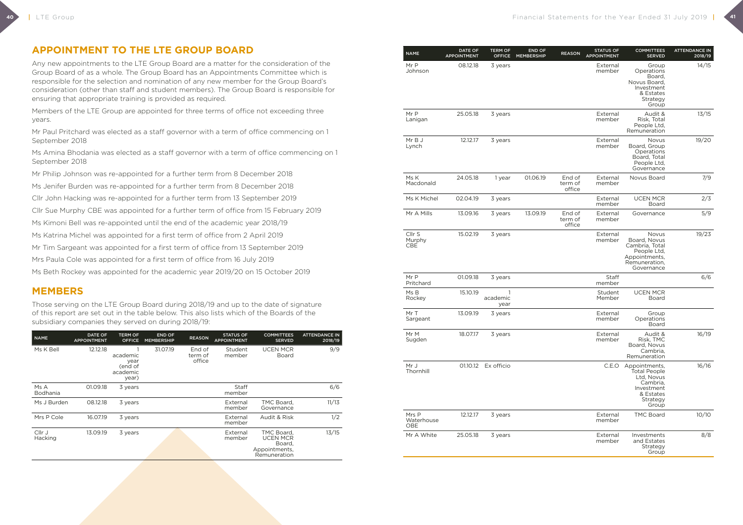**40**

## **APPOINTMENT TO THE LTE GROUP BOARD**

Any new appointments to the LTE Group Board are a matter for the consideration of the Group Board of as a whole. The Group Board has an Appointments Committee which is responsible for the selection and nomination of any new member for the Group Board's consideration (other than staff and student members). The Group Board is responsible for ensuring that appropriate training is provided as required.

Members of the LTE Group are appointed for three terms of office not exceeding three years.

Mr Paul Pritchard was elected as a staff governor with a term of office commencing on 1 September 2018

Ms Amina Bhodania was elected as a staff governor with a term of office commencing on 1 September 2018

Mr Philip Johnson was re-appointed for a further term from 8 December 2018

Ms Jenifer Burden was re-appointed for a further term from 8 December 2018

Cllr John Hacking was re-appointed for a further term from 13 September 2019

Cllr Sue Murphy CBE was appointed for a further term of office from 15 February 2019

Ms Kimoni Bell was re-appointed until the end of the academic year 2018/19

Ms Katrina Michel was appointed for a first term of office from 2 April 2019

Mr Tim Sargeant was appointed for a first term of office from 13 September 2019

Mrs Paula Cole was appointed for a first term of office from 16 July 2019

Ms Beth Rockey was appointed for the academic year 2019/20 on 15 October 2019

### **MEMBERS**

Those serving on the LTE Group Board during 2018/19 and up to the date of signature of this report are set out in the table below. This also lists which of the Boards of the subsidiary companies they served on during 2018/19:

| <b>NAME</b>             | <b>DATE OF</b><br><b>APPOINTMENT</b> | <b>TERM OF</b><br><b>OFFICE</b>                 | <b>END OF</b><br><b>MEMBERSHIP</b> | <b>REASON</b>               | <b>STATUS OF</b><br><b>APPOINTMENT</b> | <b>COMMITTEES</b><br><b>SERVED</b>                                       | <b>ATTENDANCE IN</b><br>2018/19 |
|-------------------------|--------------------------------------|-------------------------------------------------|------------------------------------|-----------------------------|----------------------------------------|--------------------------------------------------------------------------|---------------------------------|
| Ms K Bell               | 12.12.18                             | academic<br>year<br>end of<br>academic<br>year) | 31.07.19                           | End of<br>term of<br>office | Student<br>member                      | <b>UCEN MCR</b><br>Board                                                 | 9/9                             |
| Ms A<br><b>Bodhania</b> | 01.09.18                             | 3 years                                         |                                    |                             | Staff<br>member                        |                                                                          | 6/6                             |
| Ms J Burden             | 08.12.18                             | 3 years                                         |                                    |                             | External<br>member                     | TMC Board,<br>Governance                                                 | 11/13                           |
| Mrs P Cole              | 16.07.19                             | 3 years                                         |                                    |                             | External<br>member                     | Audit & Risk                                                             | 1/2                             |
| Cllr J<br>Hacking       | 13.09.19                             | 3 years                                         |                                    |                             | External<br>member                     | TMC Board.<br><b>UCEN MCR</b><br>Board,<br>Appointments,<br>Remuneration | 13/15                           |

| <b>NAME</b>                        | DATE OF<br><b>APPOINTMENT</b> | <b>TERM OF</b><br><b>OFFICE</b>  | <b>END OF</b><br><b>MEMBERSHIP</b> | <b>REASON</b>               | <b>STATUS OF</b><br><b>APPOINTMENT</b> | <b>COMMITTEES</b><br><b>SERVED</b>                                                                             | <b>ATTENDANCE IN</b><br>2018/19 |
|------------------------------------|-------------------------------|----------------------------------|------------------------------------|-----------------------------|----------------------------------------|----------------------------------------------------------------------------------------------------------------|---------------------------------|
| Mr P<br>Johnson                    | 08.12.18                      | 3 years                          |                                    |                             | External<br>member                     | Group<br>Operations<br>Board,<br>Novus Board.<br>Investment<br>& Estates<br>Strategy<br>Group                  | 14/15                           |
| Mr P<br>Lanigan                    | 25.05.18                      | 3 years                          |                                    |                             | External<br>member                     | Audit &<br>Risk, Total<br>People Ltd.<br>Remuneration                                                          | 13/15                           |
| Mr B J<br>Lynch                    | 12.12.17                      | 3 years                          |                                    |                             | External<br>member                     | Novus<br>Board, Group<br>Operations<br>Board, Total<br>People Ltd,<br>Governance                               | 19/20                           |
| Ms K<br>Macdonald                  | 24.05.18                      | 1 year                           | 01.06.19                           | End of<br>term of<br>office | External<br>member                     | Novus Board                                                                                                    | 7/9                             |
| Ms K Michel                        | 02.04.19                      | 3 years                          |                                    |                             | External<br>member                     | <b>UCEN MCR</b><br><b>Board</b>                                                                                | 2/3                             |
| Mr A Mills                         | 13.09.16                      | 3 years                          | 13.09.19                           | End of<br>term of<br>office | External<br>member                     | Governance                                                                                                     | 5/9                             |
| Cllr <sub>S</sub><br>Murphy<br>CBE | 15.02.19                      | 3 years                          |                                    |                             | External<br>member                     | Novus<br>Board, Novus<br>Cambria, Total<br>People Ltd,<br>Appointments,<br>Remuneration,<br>Governance         | 19/23                           |
| Mr P<br>Pritchard                  | 01.09.18                      | 3 years                          |                                    |                             | Staff<br>member                        |                                                                                                                | 6/6                             |
| Ms B<br>Rockey                     | 15.10.19                      | $\mathbf{1}$<br>academic<br>year |                                    |                             | Student<br>Member                      | <b>UCEN MCR</b><br>Board                                                                                       |                                 |
| Mr T<br>Sargeant                   | 13.09.19                      | 3 years                          |                                    |                             | External<br>member                     | Group<br>Operations<br>Board                                                                                   |                                 |
| Mr M<br>Sugden                     | 18.07.17                      | 3 years                          |                                    |                             | External<br>member                     | Audit &<br>Risk, TMC<br>Board, Novus<br>Cambria,<br>Remuneration                                               | 16/19                           |
| Mr J<br>Thornhill                  | 01.10.12                      | Ex officio                       |                                    |                             | C.E.O                                  | Appointments,<br><b>Total People</b><br>Ltd, Novus<br>Cambria,<br>Investment<br>& Estates<br>Strategy<br>Group | 16/16                           |
| Mrs P<br>Waterhouse<br>OBE         | 12.12.17                      | 3 years                          |                                    |                             | External<br>member                     | <b>TMC Board</b>                                                                                               | 10/10                           |
| Mr A White                         | 25.05.18                      | 3 years                          |                                    |                             | External<br>member                     | Investments<br>and Estates<br>Strategy<br>Group                                                                | 8/8                             |

| <b>NAME</b>                        | <b>DATE OF</b><br><b>APPOINTMENT</b> | <b>TERM OF</b><br><b>OFFICE</b> | <b>END OF</b><br><b>MEMBERSHIP</b> | <b>REASON</b>               | <b>STATUS OF</b><br><b>APPOINTMENT</b> | <b>COMMITTEES</b><br><b>SERVED</b>                                                                             | <b>ATTENDANCE IN</b><br>2018/19 |
|------------------------------------|--------------------------------------|---------------------------------|------------------------------------|-----------------------------|----------------------------------------|----------------------------------------------------------------------------------------------------------------|---------------------------------|
| Mr P<br>Johnson                    | 08.12.18                             | 3 years                         |                                    |                             | External<br>member                     | Group<br>Operations<br>Board,<br>Novus Board,<br>Investment<br>& Estates<br>Strategy<br>Group                  | 14/15                           |
| Mr P<br>Lanigan                    | 25.05.18                             | 3 years                         |                                    |                             | External<br>member                     | Audit &<br>Risk, Total<br>People Ltd,<br>Remuneration                                                          | 13/15                           |
| Mr B J<br>Lynch                    | 12.12.17                             | 3 years                         |                                    |                             | External<br>member                     | Novus<br>Board, Group<br>Operations<br>Board, Total<br>People Ltd,<br>Governance                               | 19/20                           |
| Ms K<br>Macdonald                  | 24.05.18                             | 1 year                          | 01.06.19                           | End of<br>term of<br>office | External<br>member                     | Novus Board                                                                                                    | 7/9                             |
| Ms K Michel                        | 02.04.19                             | 3 years                         |                                    |                             | External<br>member                     | <b>UCEN MCR</b><br><b>Board</b>                                                                                | 2/3                             |
| Mr A Mills                         | 13.09.16                             | 3 years                         | 13.09.19                           | End of<br>term of<br>office | External<br>member                     | Governance                                                                                                     | 5/9                             |
| Cllr <sub>S</sub><br>Murphy<br>CBE | 15.02.19                             | 3 years                         |                                    |                             | External<br>member                     | Novus<br>Board, Novus<br>Cambria, Total<br>People Ltd,<br>Appointments,<br>Remuneration,<br>Governance         | 19/23                           |
| Mr P<br>Pritchard                  | 01.09.18                             | 3 years                         |                                    |                             | Staff<br>member                        |                                                                                                                | 6/6                             |
| Ms B<br>Rockey                     | 15.10.19                             | 1<br>academic<br>year           |                                    |                             | Student<br>Member                      | <b>UCEN MCR</b><br><b>Board</b>                                                                                |                                 |
| Mr T<br>Sargeant                   | 13.09.19                             | 3 years                         |                                    |                             | External<br>member                     | Group<br>Operations<br>Board                                                                                   |                                 |
| Mr M<br>Sugden                     | 18.07.17                             | 3 years                         |                                    |                             | External<br>member                     | Audit &<br>Risk, TMC<br>Board, Novus<br>Cambria,<br>Remuneration                                               | 16/19                           |
| Mr J<br>Thornhill                  | 01.10.12                             | Ex officio                      |                                    |                             | C.E.O                                  | Appointments,<br><b>Total People</b><br>Ltd, Novus<br>Cambria,<br>Investment<br>& Estates<br>Strategy<br>Group | 16/16                           |
| Mrs P<br>Waterhouse<br><b>OBE</b>  | 12.12.17                             | 3 years                         |                                    |                             | External<br>member                     | <b>TMC Board</b>                                                                                               | 10/10                           |
| Mr A White                         | 25.05.18                             | 3 years                         |                                    |                             | External<br>member                     | Investments<br>and Estates<br>Strategy<br>Group                                                                | 8/8                             |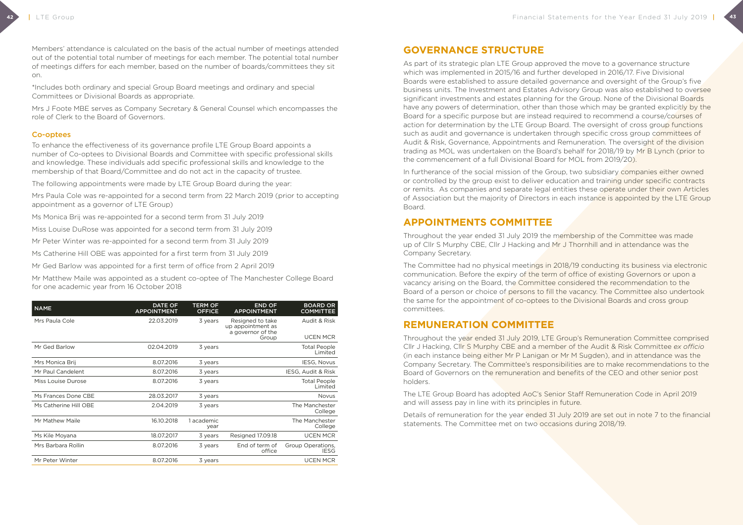Members' attendance is calculated on the basis of the actual number of meetings attended out of the potential total number of meetings for each member. The potential total number of meetings differs for each member, based on the number of boards/committees they sit on.

\*Includes both ordinary and special Group Board meetings and ordinary and special Committees or Divisional Boards as appropriate.

Mrs J Foote MBE serves as Company Secretary & General Counsel which encompasses the role of Clerk to the Board of Governors.

#### Co-optees

To enhance the effectiveness of its governance profile LTE Group Board appoints a number of Co-optees to Divisional Boards and Committee with specific professional skills and knowledge. These individuals add specific professional skills and knowledge to the membership of that Board/Committee and do not act in the capacity of trustee.

The following appointments were made by LTE Group Board during the year:

Mrs Paula Cole was re-appointed for a second term from 22 March 2019 (prior to accepting appointment as a governor of LTE Group)

Ms Monica Brij was re-appointed for a second term from 31 July 2019

Miss Louise DuRose was appointed for a second term from 31 July 2019

Mr Peter Winter was re-appointed for a second term from 31 July 2019

Ms Catherine Hill OBE was appointed for a first term from 31 July 2019

Mr Ged Barlow was appointed for a first term of office from 2 April 2019

Mr Matthew Maile was appointed as a student co-optee of The Manchester College Board for one academic year from 16 October 2018

In furtherance of the social mission of the Group, two subsidiary companies either owned or controlled by the group exist to deliver education and training under specific contracts or remits. As companies and separate legal entities these operate under their own Articles of Association but the majority of Directors in each instance is appointed by the LTE Group Board.

| <b>NAME</b>           | <b>DATE OF</b><br><b>APPOINTMENT</b> | <b>TERM OF</b><br><b>OFFICE</b> | <b>END OF</b><br><b>APPOINTMENT</b>                        | <b>BOARD OR</b><br><b>COMMITTEE</b> |
|-----------------------|--------------------------------------|---------------------------------|------------------------------------------------------------|-------------------------------------|
| Mrs Paula Cole        | 22.03.2019                           | 3 years                         | Resigned to take<br>up appointment as<br>a governor of the | Audit & Risk                        |
|                       |                                      |                                 | Group                                                      | <b>UCEN MCR</b>                     |
| Mr Ged Barlow         | 02.04.2019                           | 3 years                         |                                                            | <b>Total People</b><br>Limited      |
| Mrs Monica Brij       | 8.07.2016                            | 3 years                         |                                                            | <b>IESG, Novus</b>                  |
| Mr Paul Candelent     | 8.07.2016                            | 3 years                         |                                                            | IESG, Audit & Risk                  |
| Miss Louise Durose    | 8.07.2016                            | 3 years                         |                                                            | <b>Total People</b><br>Limited      |
| Ms Frances Done CBE   | 28.03.2017                           | 3 years                         |                                                            | <b>Novus</b>                        |
| Ms Catherine Hill OBE | 2.04.2019                            | 3 years                         |                                                            | The Manchester<br>College           |
| Mr Mathew Maile       | 16.10.2018                           | 1 academic<br>year              |                                                            | The Manchester<br>College           |
| Ms Kile Moyana        | 18.07.2017                           | 3 years                         | Resigned 17.09.18                                          | <b>UCEN MCR</b>                     |
| Mrs Barbara Rollin    | 8.07.2016                            | 3 years                         | End of term of<br>office                                   | Group Operations,<br>IESG           |
| Mr Peter Winter       | 8.07.2016                            | 3 years                         |                                                            | <b>UCEN MCR</b>                     |

## **GOVERNANCE STRUCTURE**

As part of its strategic plan LTE Group approved the move to a governance structure which was implemented in 2015/16 and further developed in 2016/17. Five Divisional Boards were established to assure detailed governance and oversight of the Group's five business units. The Investment and Estates Advisory Group was also established to oversee significant investments and estates planning for the Group. None of the Divisional Boards have any powers of determination, other than those which may be granted explicitly by the Board for a specific purpose but are instead required to recommend a course/courses of action for determination by the LTE Group Board. The oversight of cross group functions such as audit and governance is undertaken through specific cross group committees of Audit & Risk, Governance, Appointments and Remuneration. The oversight of the division trading as MOL was undertaken on the Board's behalf for 2018/19 by Mr B Lynch (prior to the commencement of a full Divisional Board for MOL from 2019/20).

## **APPOINTMENTS COMMITTEE**

Throughout the year ended 31 July 2019 the membership of the Committee was made up of Cllr S Murphy CBE, Cllr J Hacking and Mr J Thornhill and in attendance was the Company Secretary.

The Committee had no physical meetings in 2018/19 conducting its business via electronic communication. Before the expiry of the term of office of existing Governors or upon a vacancy arising on the Board, the Committee considered the recommendation to the Board of a person or choice of persons to fill the vacancy. The Committee also undertook the same for the appointment of co-optees to the Divisional Boards and cross group committees.

## **REMUNERATION COMMITTEE**

Throughout the year ended 31 July 2019, LTE Group's Remuneration Committee comprised Cllr J Hacking, Cllr S Murphy CBE and a member of the Audit & Risk Committee *ex officio* (in each instance being either Mr P Lanigan or Mr M Sugden), and in attendance was the Company Secretary. The Committee's responsibilities are to make recommendations to the Board of Governors on the remuneration and benefits of the CEO and other senior post holders.

The LTE Group Board has adopted AoC's Senior Staff Remuneration Code in April 2019 and will assess pay in line with its principles in future.

Details of remuneration for the year ended 31 July 2019 are set out in note 7 to the financial statements. The Committee met on two occasions during 2018/19.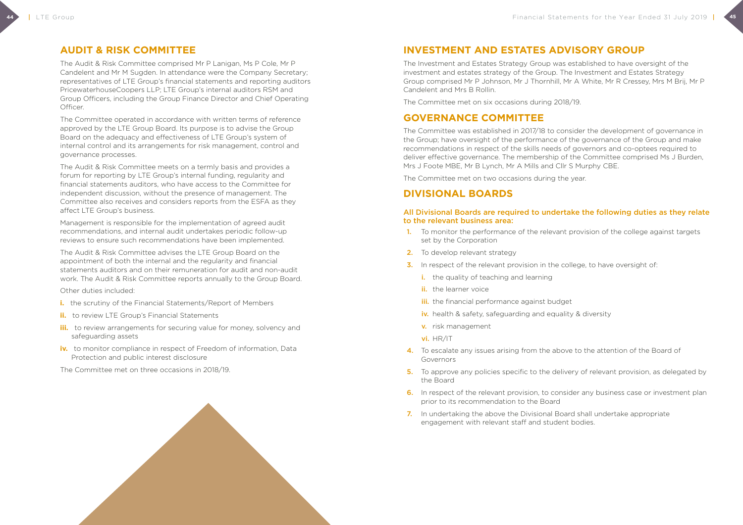## **AUDIT & RISK COMMITTEE**

The Audit & Risk Committee comprised Mr P Lanigan, Ms P Cole, Mr P Candelent and Mr M Sugden. In attendance were the Company Secretary; representatives of LTE Group's financial statements and reporting auditors PricewaterhouseCoopers LLP; LTE Group's internal auditors RSM and Group Officers, including the Group Finance Director and Chief Operating Officer.

The Committee operated in accordance with written terms of reference approved by the LTE Group Board. Its purpose is to advise the Group Board on the adequacy and effectiveness of LTE Group's system of internal control and its arrangements for risk management, control and governance processes.

The Audit & Risk Committee meets on a termly basis and provides a forum for reporting by LTE Group's internal funding, regularity and financial statements auditors, who have access to the Committee for independent discussion, without the presence of management. The Committee also receives and considers reports from the ESFA as they affect LTE Group's business.

- **i.** the scrutiny of the Financial Statements/Report of Members
- **ii.** to review LTE Group's Financial Statements
- **iii.** to review arrangements for securing value for money, solvency and safeguarding assets
- **iv.** to monitor compliance in respect of Freedom of information, Data Protection and public interest disclosure

Management is responsible for the implementation of agreed audit recommendations, and internal audit undertakes periodic follow-up reviews to ensure such recommendations have been implemented.

The Audit & Risk Committee advises the LTE Group Board on the appointment of both the internal and the regularity and financial statements auditors and on their remuneration for audit and non-audit work. The Audit & Risk Committee reports annually to the Group Board.

Other duties included:

- 1. To monitor the performance of the relevant provision of the college against targets set by the Corporation
- 2. To develop relevant strategy
- **3.** In respect of the relevant provision in the college, to have oversight of:
	- i. the quality of teaching and learning
	- ii. the learner voice
	- **iii.** the financial performance against budget
	- iv. health & safety, safeguarding and equality & diversity
	- v. risk management
	- vi. HR/IT
- 4. To escalate any issues arising from the above to the attention of the Board of Governors
- 5. To approve any policies specific to the delivery of relevant provision, as delegated by the Board
- 6. In respect of the relevant provision, to consider any business case or investment plan prior to its recommendation to the Board
- 7. In undertaking the above the Divisional Board shall undertake appropriate engagement with relevant staff and student bodies.



The Committee met on three occasions in 2018/19.

## **INVESTMENT AND ESTATES ADVISORY GROUP**

The Investment and Estates Strategy Group was established to have oversight of the investment and estates strategy of the Group. The Investment and Estates Strategy Group comprised Mr P Johnson, Mr J Thornhill, Mr A White, Mr R Cressey, Mrs M Brij, Mr P Candelent and Mrs B Rollin.

The Committee met on six occasions during 2018/19.

### **GOVERNANCE COMMITTEE**

The Committee was established in 2017/18 to consider the development of governance in the Group; have oversight of the performance of the governance of the Group and make recommendations in respect of the skills needs of governors and co-optees required to deliver effective governance. The membership of the Committee comprised Ms J Burden, Mrs J Foote MBE, Mr B Lynch, Mr A Mills and Cllr S Murphy CBE.

The Committee met on two occasions during the year.

### **DIVISIONAL BOARDS**

#### All Divisional Boards are required to undertake the following duties as they relate to the relevant business area: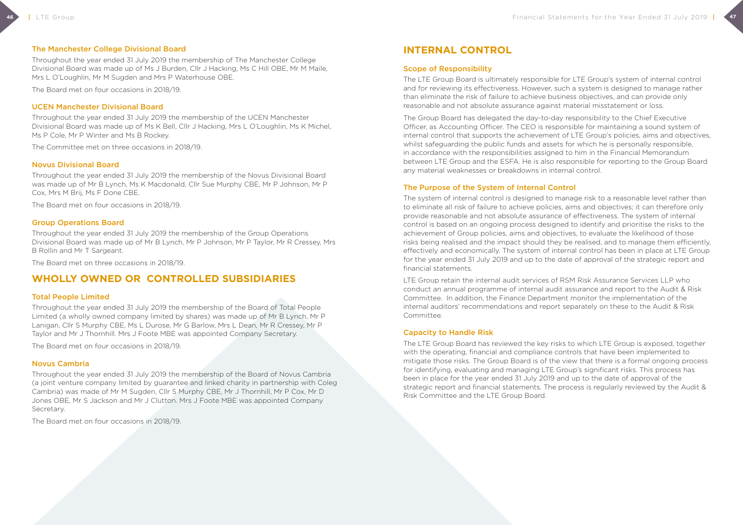## **INTERNAL CONTROL**

#### Scope of Responsibility

The LTE Group Board is ultimately responsible for LTE Group's system of internal control and for reviewing its effectiveness. However, such a system is designed to manage rather than eliminate the risk of failure to achieve business objectives, and can provide only reasonable and not absolute assurance against material misstatement or loss.

The Group Board has delegated the day-to-day responsibility to the Chief Executive Officer, as Accounting Officer. The CEO is responsible for maintaining a sound system of internal control that supports the achievement of LTE Group's policies, aims and objectives, whilst safeguarding the public funds and assets for which he is personally responsible, in accordance with the responsibilities assigned to him in the Financial Memorandum between LTE Group and the ESFA. He is also responsible for reporting to the Group Board any material weaknesses or breakdowns in internal control.

#### The Purpose of the System of Internal Control

The system of internal control is designed to manage risk to a reasonable level rather than to eliminate all risk of failure to achieve policies, aims and objectives; it can therefore only provide reasonable and not absolute assurance of effectiveness. The system of internal control is based on an ongoing process designed to identify and prioritise the risks to the achievement of Group policies, aims and objectives, to evaluate the likelihood of those risks being realised and the impact should they be realised, and to manage them efficiently, effectively and economically. The system of internal control has been in place at LTE Group for the year ended 31 July 2019 and up to the date of approval of the strategic report and financial statements.

LTE Group retain the internal audit services of RSM Risk Assurance Services LLP who conduct an annual programme of internal audit assurance and report to the Audit & Risk Committee. In addition, the Finance Department monitor the implementation of the internal auditors' recommendations and report separately on these to the Audit & Risk Committee.

#### Capacity to Handle Risk

The LTE Group Board has reviewed the key risks to which LTE Group is exposed, together with the operating, financial and compliance controls that have been implemented to mitigate those risks. The Group Board is of the view that there is a formal ongoing process for identifying, evaluating and managing LTE Group's significant risks. This process has been in place for the year ended 31 July 2019 and up to the date of approval of the strategic report and financial statements. The process is regularly reviewed by the Audit & Risk Committee and the LTE Group Board.



#### The Manchester College Divisional Board

Throughout the year ended 31 July 2019 the membership of The Manchester College Divisional Board was made up of Ms J Burden, Cllr J Hacking, Ms C Hill OBE, Mr M Maile, Mrs L O'Loughlin, Mr M Sugden and Mrs P Waterhouse OBE.

The Board met on four occasions in 2018/19.

#### UCEN Manchester Divisional Board

Throughout the year ended 31 July 2019 the membership of the UCEN Manchester Divisional Board was made up of Ms K Bell, Cllr J Hacking, Mrs L O'Loughlin, Ms K Michel, Ms P Cole, Mr P Winter and Ms B Rockey.

The Committee met on three occasions in 2018/19.

#### Novus Divisional Board

Throughout the year ended 31 July 2019 the membership of the Novus Divisional Board was made up of Mr B Lynch, Ms K Macdonald, Cllr Sue Murphy CBE, Mr P Johnson, Mr P Cox, Mrs M Brij, Ms F Done CBE.

The Board met on four occasions in 2018/19.

#### Group Operations Board

Throughout the year ended 31 July 2019 the membership of the Group Operations Divisional Board was made up of Mr B Lynch, Mr P Johnson, Mr P Taylor, Mr R Cressey, Mrs B Rollin and Mr T Sargeant.

The Board met on three occasions in 2018/19.

### **WHOLLY OWNED OR CONTROLLED SUBSIDIARIES**

#### Total People Limited

Throughout the year ended 31 July 2019 the membership of the Board of Total People Limited (a wholly owned company limited by shares) was made up of Mr B Lynch, Mr P Lanigan, Cllr S Murphy CBE, Ms L Durose, Mr G Barlow, Mrs L Dean, Mr R Cressey, Mr P Taylor and Mr J Thornhill. Mrs J Foote MBE was appointed Company Secretary.

The Board met on four occasions in 2018/19.

#### Novus Cambria

Throughout the year ended 31 July 2019 the membership of the Board of Novus Cambria (a joint venture company limited by guarantee and linked charity in partnership with Coleg Cambria) was made of Mr M Sugden, Cllr S Murphy CBE, Mr J Thornhill, Mr P Cox, Mr D Jones OBE, Mr S Jackson and Mr J Clutton. Mrs J Foote MBE was appointed Company Secretary.

The Board met on four occasions in 2018/19.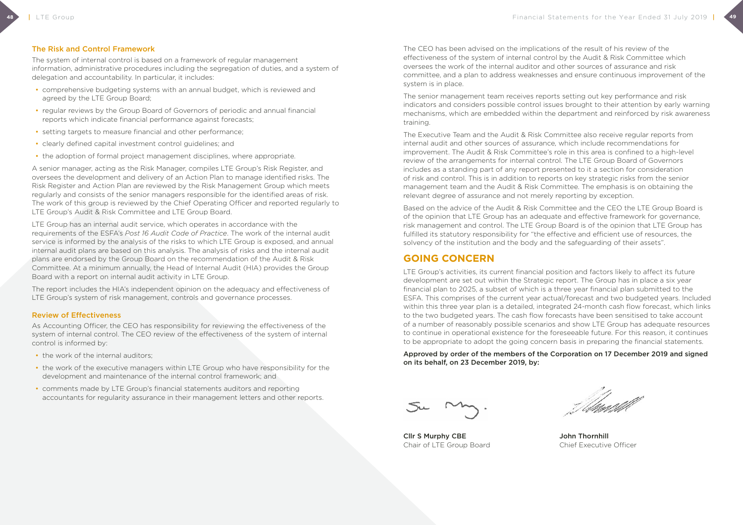#### The Risk and Control Framework

The system of internal control is based on a framework of regular management information, administrative procedures including the segregation of duties, and a system of delegation and accountability. In particular, it includes:

- comprehensive budgeting systems with an annual budget, which is reviewed and agreed by the LTE Group Board;
- regular reviews by the Group Board of Governors of periodic and annual financial reports which indicate financial performance against forecasts;
- setting targets to measure financial and other performance;
- clearly defined capital investment control guidelines; and
- the adoption of formal project management disciplines, where appropriate.

A senior manager, acting as the Risk Manager, compiles LTE Group's Risk Register, and oversees the development and delivery of an Action Plan to manage identified risks. The Risk Register and Action Plan are reviewed by the Risk Management Group which meets regularly and consists of the senior managers responsible for the identified areas of risk. The work of this group is reviewed by the Chief Operating Officer and reported regularly to LTE Group's Audit & Risk Committee and LTE Group Board.

- the work of the internal auditors:
- the work of the executive managers within LTE Group who have responsibility for the development and maintenance of the internal control framework; and
- comments made by LTE Group's financial statements auditors and reporting accountants for regularity assurance in their management letters and other reports.

LTE Group has an internal audit service, which operates in accordance with the requirements of the ESFA's *Post 16 Audit Code of Practice*. The work of the internal audit service is informed by the analysis of the risks to which LTE Group is exposed, and annual internal audit plans are based on this analysis. The analysis of risks and the internal audit plans are endorsed by the Group Board on the recommendation of the Audit & Risk Committee. At a minimum annually, the Head of Internal Audit (HIA) provides the Group Board with a report on internal audit activity in LTE Group.

The report includes the HIA's independent opinion on the adequacy and effectiveness of LTE Group's system of risk management, controls and governance processes.

#### Review of Effectiveness

As Accounting Officer, the CEO has responsibility for reviewing the effectiveness of the system of internal control. The CEO review of the effectiveness of the system of internal control is informed by:

Cllr S Murphy CBE John Thornhill Chair of LTE Group Board Chief Executive Officer

The CEO has been advised on the implications of the result of his review of the effectiveness of the system of internal control by the Audit & Risk Committee which oversees the work of the internal auditor and other sources of assurance and risk committee, and a plan to address weaknesses and ensure continuous improvement of the system is in place.

The senior management team receives reports setting out key performance and risk indicators and considers possible control issues brought to their attention by early warning mechanisms, which are embedded within the department and reinforced by risk awareness training.

The Executive Team and the Audit & Risk Committee also receive regular reports from internal audit and other sources of assurance, which include recommendations for improvement. The Audit & Risk Committee's role in this area is confined to a high-level review of the arrangements for internal control. The LTE Group Board of Governors includes as a standing part of any report presented to it a section for consideration of risk and control. This is in addition to reports on key strategic risks from the senior management team and the Audit & Risk Committee. The emphasis is on obtaining the relevant degree of assurance and not merely reporting by exception.

Based on the advice of the Audit & Risk Committee and the CEO the LTE Group Board is of the opinion that LTE Group has an adequate and effective framework for governance, risk management and control. The LTE Group Board is of the opinion that LTE Group has fulfilled its statutory responsibility for "the effective and efficient use of resources, the solvency of the institution and the body and the safeguarding of their assets".

## **GOING CONCERN**

LTE Group's activities, its current financial position and factors likely to affect its future development are set out within the Strategic report. The Group has in place a six year financial plan to 2025, a subset of which is a three year financial plan submitted to the ESFA. This comprises of the current year actual/forecast and two budgeted years. Included within this three year plan is a detailed, integrated 24-month cash flow forecast, which links to the two budgeted years. The cash flow forecasts have been sensitised to take account of a number of reasonably possible scenarios and show LTE Group has adequate resources to continue in operational existence for the foreseeable future. For this reason, it continues to be appropriate to adopt the going concern basis in preparing the financial statements.

Approved by order of the members of the Corporation on 17 December 2019 and signed on its behalf, on 23 December 2019, by: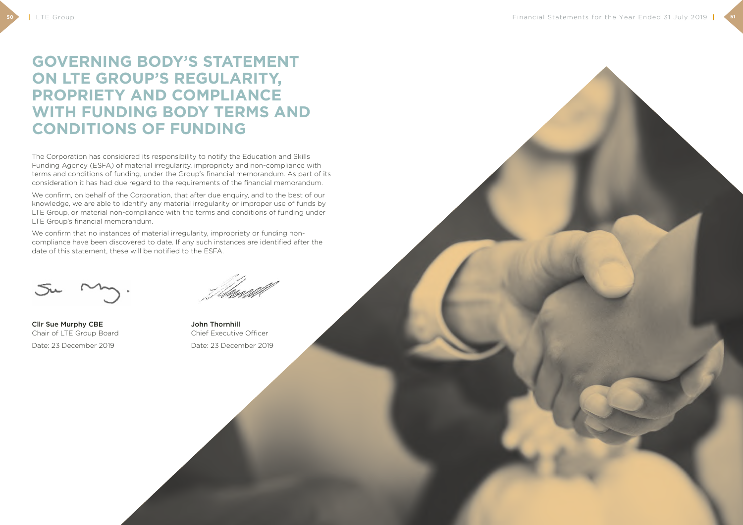**50**

# **GOVERNING BODY'S STATEMENT ON LTE GROUP'S REGULARITY, PROPRIETY AND COMPLIANCE WITH FUNDING BODY TERMS AND CONDITIONS OF FUNDING**

The Corporation has considered its responsibility to notify the Education and Skills Funding Agency (ESFA) of material irregularity, impropriety and non-compliance with terms and conditions of funding, under the Group's financial memorandum. As part of its consideration it has had due regard to the requirements of the financial memorandum.

We confirm that no instances of material irregularity, impropriety or funding noncompliance have been discovered to date. If any such instances are identified after the date of this statement, these will be notified to the ESFA.



We confirm, on behalf of the Corporation, that after due enquiry, and to the best of our knowledge, we are able to identify any material irregularity or improper use of funds by LTE Group, or material non-compliance with the terms and conditions of funding under LTE Group's financial memorandum.

Cllr Sue Murphy CBE John Thornhill Chair of LTE Group Board Chief Executive Officer

Date: 23 December 2019 Date: 23 December 2019

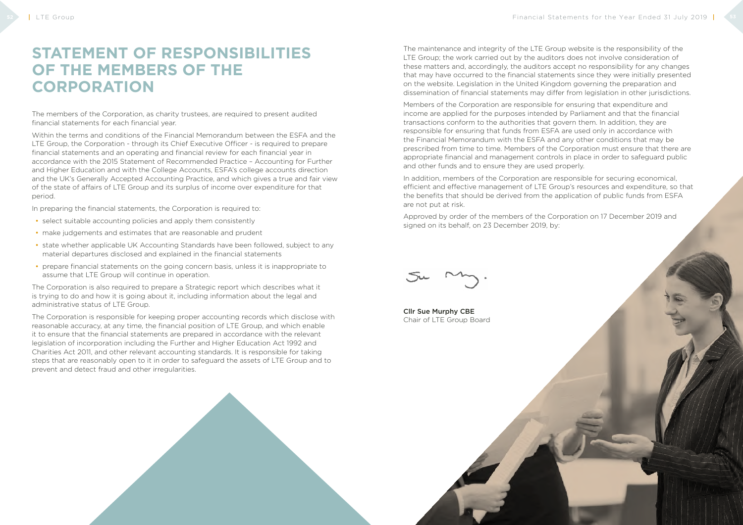# **STATEMENT OF RESPONSIBILITIES OF THE MEMBERS OF THE CORPORATION**

The members of the Corporation, as charity trustees, are required to present audited financial statements for each financial year.

Within the terms and conditions of the Financial Memorandum between the ESFA and the LTE Group, the Corporation - through its Chief Executive Officer - is required to prepare financial statements and an operating and financial review for each financial year in accordance with the 2015 Statement of Recommended Practice – Accounting for Further and Higher Education and with the College Accounts, ESFA's college accounts direction and the UK's Generally Accepted Accounting Practice, and which gives a true and fair view of the state of affairs of LTE Group and its surplus of income over expenditure for that period.

In preparing the financial statements, the Corporation is required to:

- select suitable accounting policies and apply them consistently
- make judgements and estimates that are reasonable and prudent
- state whether applicable UK Accounting Standards have been followed, subject to any material departures disclosed and explained in the financial statements
- prepare financial statements on the going concern basis, unless it is inappropriate to assume that LTE Group will continue in operation.

The Corporation is also required to prepare a Strategic report which describes what it is trying to do and how it is going about it, including information about the legal and administrative status of LTE Group.

The Corporation is responsible for keeping proper accounting records which disclose with reasonable accuracy, at any time, the financial position of LTE Group, and which enable it to ensure that the financial statements are prepared in accordance with the relevant legislation of incorporation including the Further and Higher Education Act 1992 and Charities Act 2011, and other relevant accounting standards. It is responsible for taking steps that are reasonably open to it in order to safeguard the assets of LTE Group and to prevent and detect fraud and other irregularities.

The maintenance and integrity of the LTE Group website is the responsibility of the LTE Group; the work carried out by the auditors does not involve consideration of these matters and, accordingly, the auditors accept no responsibility for any changes that may have occurred to the financial statements since they were initially presented on the website. Legislation in the United Kingdom governing the preparation and dissemination of financial statements may differ from legislation in other jurisdictions.

Members of the Corporation are responsible for ensuring that expenditure and income are applied for the purposes intended by Parliament and that the financial transactions conform to the authorities that govern them. In addition, they are responsible for ensuring that funds from ESFA are used only in accordance with the Financial Memorandum with the ESFA and any other conditions that may be prescribed from time to time. Members of the Corporation must ensure that there are appropriate financial and management controls in place in order to safeguard public and other funds and to ensure they are used properly.

In addition, members of the Corporation are responsible for securing economical, efficient and effective management of LTE Group's resources and expenditure, so that the benefits that should be derived from the application of public funds from ESFA are not put at risk.

Approved by order of the members of the Corporation on 17 December 2019 and signed on its behalf, on 23 December 2019, by:

Cllr Sue Murphy CBE Chair of LTE Group Board

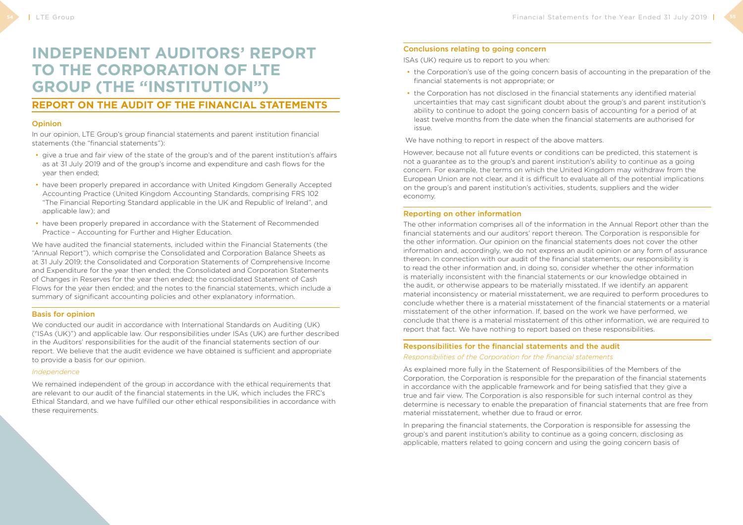# **INDEPENDENT AUDITORS' REPORT TO THE CORPORATION OF LTE GROUP (THE "INSTITUTION")**

## **REPORT ON THE AUDIT OF THE FINANCIAL STATEMENTS**

#### **Opinion**

In our opinion, LTE Group's group financial statements and parent institution financial statements (the "financial statements"):

- give a true and fair view of the state of the group's and of the parent institution's affairs as at 31 July 2019 and of the group's income and expenditure and cash flows for the year then ended;
- have been properly prepared in accordance with United Kingdom Generally Accepted Accounting Practice (United Kingdom Accounting Standards, comprising FRS 102 "The Financial Reporting Standard applicable in the UK and Republic of Ireland", and applicable law); and
- have been properly prepared in accordance with the Statement of Recommended Practice – Accounting for Further and Higher Education.

We conducted our audit in accordance with International Standards on Auditing (UK) ("ISAs (UK)") and applicable law. Our responsibilities under ISAs (UK) are further described in the Auditors' responsibilities for the audit of the financial statements section of our report. We believe that the audit evidence we have obtained is sufficient and appropriate to provide a basis for our opinion.

We have audited the financial statements, included within the Financial Statements (the "Annual Report"), which comprise the Consolidated and Corporation Balance Sheets as at 31 July 2019; the Consolidated and Corporation Statements of Comprehensive Income and Expenditure for the year then ended; the Consolidated and Corporation Statements of Changes in Reserves for the year then ended; the consolidated Statement of Cash Flows for the year then ended; and the notes to the financial statements, which include a summary of significant accounting policies and other explanatory information.

#### Basis for opinion

#### *Independence*

We remained independent of the group in accordance with the ethical requirements that are relevant to our audit of the financial statements in the UK, which includes the FRC's Ethical Standard, and we have fulfilled our other ethical responsibilities in accordance with these requirements.

#### Conclusions relating to going concern

ISAs (UK) require us to report to you when:

- the Corporation's use of the going concern basis of accounting in the preparation of the financial statements is not appropriate; or
- the Corporation has not disclosed in the financial statements any identified material uncertainties that may cast significant doubt about the group's and parent institution's ability to continue to adopt the going concern basis of accounting for a period of at least twelve months from the date when the financial statements are authorised for issue.

We have nothing to report in respect of the above matters.

However, because not all future events or conditions can be predicted, this statement is not a guarantee as to the group's and parent institution's ability to continue as a going concern. For example, the terms on which the United Kingdom may withdraw from the European Union are not clear, and it is difficult to evaluate all of the potential implications on the group's and parent institution's activities, students, suppliers and the wider economy.

#### Reporting on other information

The other information comprises all of the information in the Annual Report other than the financial statements and our auditors' report thereon. The Corporation is responsible for the other information. Our opinion on the financial statements does not cover the other information and, accordingly, we do not express an audit opinion or any form of assurance thereon. In connection with our audit of the financial statements, our responsibility is to read the other information and, in doing so, consider whether the other information is materially inconsistent with the financial statements or our knowledge obtained in the audit, or otherwise appears to be materially misstated. If we identify an apparent material inconsistency or material misstatement, we are required to perform procedures to conclude whether there is a material misstatement of the financial statements or a material misstatement of the other information. If, based on the work we have performed, we conclude that there is a material misstatement of this other information, we are required to report that fact. We have nothing to report based on these responsibilities.

### Responsibilities for the financial statements and the audit *Responsibilities of the Corporation for the financial statements*

As explained more fully in the Statement of Responsibilities of the Members of the Corporation, the Corporation is responsible for the preparation of the financial statements in accordance with the applicable framework and for being satisfied that they give a true and fair view. The Corporation is also responsible for such internal control as they determine is necessary to enable the preparation of financial statements that are free from material misstatement, whether due to fraud or error.

In preparing the financial statements, the Corporation is responsible for assessing the group's and parent institution's ability to continue as a going concern, disclosing as applicable, matters related to going concern and using the going concern basis of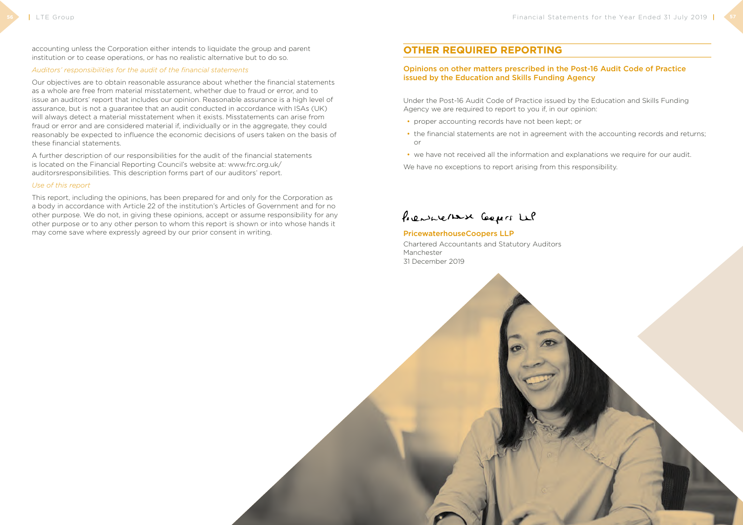accounting unless the Corporation either intends to liquidate the group and parent institution or to cease operations, or has no realistic alternative but to do so.

#### *Auditors' responsibilities for the audit of the financial statements*

Our objectives are to obtain reasonable assurance about whether the financial statements as a whole are free from material misstatement, whether due to fraud or error, and to issue an auditors' report that includes our opinion. Reasonable assurance is a high level of assurance, but is not a guarantee that an audit conducted in accordance with ISAs (UK) will always detect a material misstatement when it exists. Misstatements can arise from fraud or error and are considered material if, individually or in the aggregate, they could reasonably be expected to influence the economic decisions of users taken on the basis of these financial statements.

A further description of our responsibilities for the audit of the financial statements is located on the Financial Reporting Council's website at: www.frc.org.uk/ auditorsresponsibilities. This description forms part of our auditors' report.

#### *Use of this report*

This report, including the opinions, has been prepared for and only for the Corporation as a body in accordance with Article 22 of the institution's Articles of Government and for no other purpose. We do not, in giving these opinions, accept or assume responsibility for any other purpose or to any other person to whom this report is shown or into whose hands it may come save where expressly agreed by our prior consent in writing.

## **OTHER REQUIRED REPORTING**

### Opinions on other matters prescribed in the Post-16 Audit Code of Practice issued by the Education and Skills Funding Agency

Under the Post-16 Audit Code of Practice issued by the Education and Skills Funding Agency we are required to report to you if, in our opinion:

- proper accounting records have not been kept; or
- the financial statements are not in agreement with the accounting records and returns; or
- we have not received all the information and explanations we require for our audit.

We have no exceptions to report arising from this responsibility.

## Prensuerant Coopers Le

#### PricewaterhouseCoopers LLP

Chartered Accountants and Statutory Auditors Manchester 31 December 2019

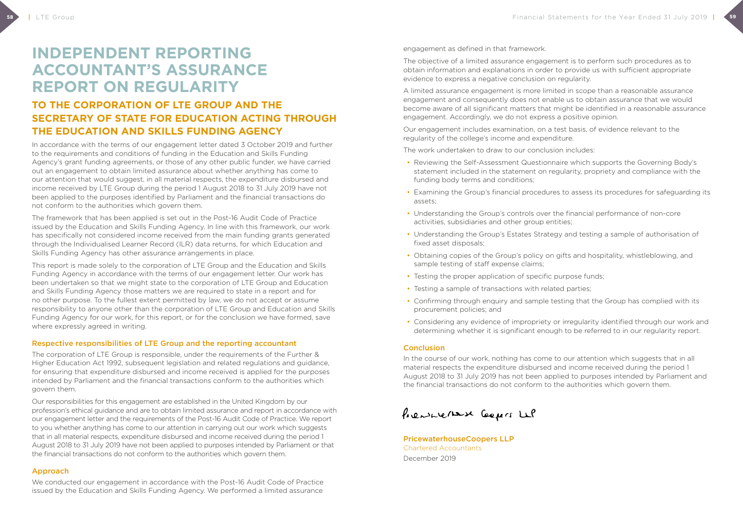# **INDEPENDENT REPORTING ACCOUNTANT'S ASSURANCE REPORT ON REGULARITY**

## **TO THE CORPORATION OF LTE GROUP AND THE SECRETARY OF STATE FOR EDUCATION ACTING THROUGH THE EDUCATION AND SKILLS FUNDING AGENCY**

In accordance with the terms of our engagement letter dated 3 October 2019 and further to the requirements and conditions of funding in the Education and Skills Funding Agency's grant funding agreements, or those of any other public funder, we have carried out an engagement to obtain limited assurance about whether anything has come to our attention that would suggest, in all material respects, the expenditure disbursed and income received by LTE Group during the period 1 August 2018 to 31 July 2019 have not been applied to the purposes identified by Parliament and the financial transactions do not conform to the authorities which govern them.

The framework that has been applied is set out in the Post-16 Audit Code of Practice issued by the Education and Skills Funding Agency. In line with this framework, our work has specifically not considered income received from the main funding grants generated through the Individualised Learner Record (ILR) data returns, for which Education and Skills Funding Agency has other assurance arrangements in place.

This report is made solely to the corporation of LTE Group and the Education and Skills Funding Agency in accordance with the terms of our engagement letter. Our work has been undertaken so that we might state to the corporation of LTE Group and Education and Skills Funding Agency those matters we are required to state in a report and for no other purpose. To the fullest extent permitted by law, we do not accept or assume responsibility to anyone other than the corporation of LTE Group and Education and Skills Funding Agency for our work, for this report, or for the conclusion we have formed, save where expressly agreed in writing.

#### Respective responsibilities of LTE Group and the reporting accountant

The corporation of LTE Group is responsible, under the requirements of the Further & Higher Education Act 1992, subsequent legislation and related regulations and guidance, for ensuring that expenditure disbursed and income received is applied for the purposes intended by Parliament and the financial transactions conform to the authorities which govern them.

Our responsibilities for this engagement are established in the United Kingdom by our profession's ethical guidance and are to obtain limited assurance and report in accordance with our engagement letter and the requirements of the Post-16 Audit Code of Practice. We report to you whether anything has come to our attention in carrying out our work which suggests that in all material respects, expenditure disbursed and income received during the period 1 August 2018 to 31 July 2019 have not been applied to purposes intended by Parliament or that the financial transactions do not conform to the authorities which govern them.

#### Approach

We conducted our engagement in accordance with the Post-16 Audit Code of Practice issued by the Education and Skills Funding Agency. We performed a limited assurance

engagement as defined in that framework.

The objective of a limited assurance engagement is to perform such procedures as to obtain information and explanations in order to provide us with sufficient appropriate evidence to express a negative conclusion on regularity.

A limited assurance engagement is more limited in scope than a reasonable assurance engagement and consequently does not enable us to obtain assurance that we would become aware of all significant matters that might be identified in a reasonable assurance engagement. Accordingly, we do not express a positive opinion.

Our engagement includes examination, on a test basis, of evidence relevant to the regularity of the college's income and expenditure.

The work undertaken to draw to our conclusion includes:

- Reviewing the Self-Assessment Questionnaire which supports the Governing Body's statement included in the statement on regularity, propriety and compliance with the funding body terms and conditions;
- Examining the Group's financial procedures to assess its procedures for safeguarding its assets;
- Understanding the Group's controls over the financial performance of non-core activities, subsidiaries and other group entities;
- Understanding the Group's Estates Strategy and testing a sample of authorisation of fixed asset disposals;
- Obtaining copies of the Group's policy on gifts and hospitality, whistleblowing, and sample testing of staff expense claims;
- Testing the proper application of specific purpose funds;
- Testing a sample of transactions with related parties;
- Confirming through enquiry and sample testing that the Group has complied with its procurement policies; and
- Considering any evidence of impropriety or irregularity identified through our work and determining whether it is significant enough to be referred to in our regularity report.

#### **Conclusion**

In the course of our work, nothing has come to our attention which suggests that in all material respects the expenditure disbursed and income received during the period 1 August 2018 to 31 July 2019 has not been applied to purposes intended by Parliament and the financial transactions do not conform to the authorities which govern them.

Prensuerase Coopers Le

PricewaterhouseCoopers LLP Chartered Accountants December 2019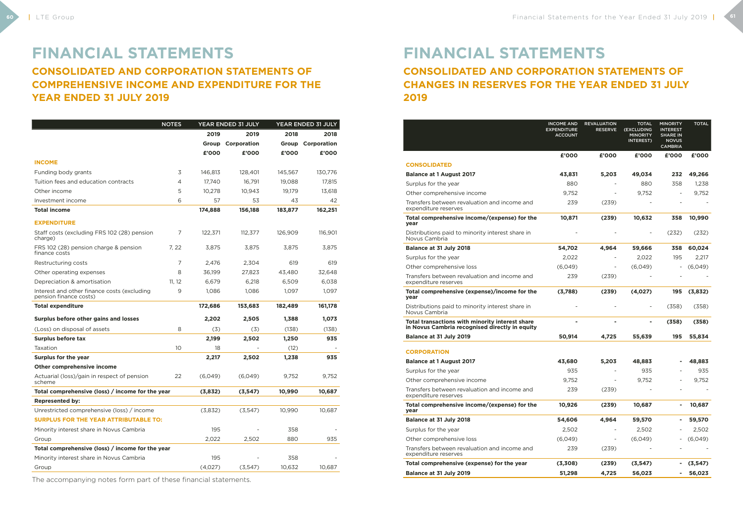# **FINANCIAL STATEMENTS**

**CONSOLIDATED AND CORPORATION STATEMENTS OF COMPREHENSIVE INCOME AND EXPENDITURE FOR THE YEAR ENDED 31 JULY 2019**

|                                                                       | <b>NOTES</b> |         | <b>YEAR ENDED 31 JULY</b> |         | YEAR ENDED 31 JULY |
|-----------------------------------------------------------------------|--------------|---------|---------------------------|---------|--------------------|
|                                                                       |              | 2019    | 2019                      | 2018    | 2018               |
|                                                                       |              | Group   | Corporation               | Group   | Corporation        |
|                                                                       |              | £'000   | £'000                     | £'000   | £'000              |
| <b>INCOME</b>                                                         |              |         |                           |         |                    |
| Funding body grants                                                   | 3            | 146,813 | 128,401                   | 145,567 | 130,776            |
| Tuition fees and education contracts                                  | 4            | 17,740  | 16,791                    | 19,088  | 17,815             |
| Other income                                                          | 5            | 10,278  | 10,943                    | 19,179  | 13,618             |
| Investment income                                                     | 6            | 57      | 53                        | 43      | 42                 |
| <b>Total income</b>                                                   |              | 174,888 | 156,188                   | 183,877 | 162,251            |
| <b>EXPENDITURE</b>                                                    |              |         |                           |         |                    |
| Staff costs (excluding FRS 102 (28) pension<br>charge)                | 7            | 122,371 | 112,377                   | 126,909 | 116,901            |
| FRS 102 (28) pension charge & pension<br>finance costs                | 7, 22        | 3,875   | 3,875                     | 3,875   | 3,875              |
| Restructuring costs                                                   | 7            | 2,476   | 2,304                     | 619     | 619                |
| Other operating expenses                                              | 8            | 36,199  | 27,823                    | 43,480  | 32,648             |
| Depreciation & amortisation                                           | 11, 12       | 6,679   | 6,218                     | 6.509   | 6,038              |
| Interest and other finance costs (excluding<br>pension finance costs) | 9            | 1,086   | 1,086                     | 1.097   | 1.097              |
| <b>Total expenditure</b>                                              |              | 172,686 | 153,683                   | 182,489 | 161,178            |
| Surplus before other gains and losses                                 |              | 2,202   | 2,505                     | 1,388   | 1,073              |
| (Loss) on disposal of assets                                          | 8            | (3)     | (3)                       | (138)   | (138)              |
| <b>Surplus before tax</b>                                             |              | 2,199   | 2,502                     | 1,250   | 935                |
| Taxation                                                              | 10           | 18      |                           | (12)    |                    |
| Surplus for the year                                                  |              | 2,217   | 2,502                     | 1,238   | 935                |
| Other comprehensive income                                            |              |         |                           |         |                    |
| Actuarial (loss)/gain in respect of pension<br>scheme                 | 22           | (6,049) | (6,049)                   | 9.752   | 9.752              |
| Total comprehensive (loss) / income for the year                      |              | (3,832) | (3, 547)                  | 10,990  | 10,687             |
| <b>Represented by:</b>                                                |              |         |                           |         |                    |
| Unrestricted comprehensive (loss) / income                            |              | (3,832) | (3,547)                   | 10,990  | 10,687             |
| <b>SURPLUS FOR THE YEAR ATTRIBUTABLE TO:</b>                          |              |         |                           |         |                    |
| Minority interest share in Novus Cambria                              |              | 195     |                           | 358     |                    |
| Group                                                                 |              | 2,022   | 2,502                     | 880     | 935                |
| Total comprehensive (loss) / income for the year                      |              |         |                           |         |                    |
| Minority interest share in Novus Cambria                              |              | 195     |                           | 358     |                    |
| Group                                                                 |              | (4,027) | (3,547)                   | 10,632  | 10,687             |

The accompanying notes form part of these financial statements.

## **FINANCIAL STATEMENTS CONSOLIDATED AND CORPORATION STATEMENTS OF CHANGES IN RESERVES FOR THE YEAR ENDED 31 JULY 2019**

|                                                                                                   | <b>INCOME AND</b><br><b>EXPENDITURE</b><br><b>ACCOUNT</b> | <b>REVALUATION</b><br><b>RESERVE</b> | <b>TOTAL</b><br>(EXCLUDING<br><b>MINORITY</b><br>INTEREST) | <b>MINORITY</b><br><b>INTEREST</b><br><b>SHARE IN</b><br><b>NOVUS</b><br><b>CAMBRIA</b> | <b>TOTAL</b> |
|---------------------------------------------------------------------------------------------------|-----------------------------------------------------------|--------------------------------------|------------------------------------------------------------|-----------------------------------------------------------------------------------------|--------------|
|                                                                                                   | £'000                                                     | £'000                                | £'000                                                      | £'000                                                                                   | £'000        |
| <b>CONSOLIDATED</b>                                                                               |                                                           |                                      |                                                            |                                                                                         |              |
| <b>Balance at 1 August 2017</b>                                                                   | 43,831                                                    | 5,203                                | 49,034                                                     | 232                                                                                     | 49,266       |
| Surplus for the year                                                                              | 880                                                       |                                      | 880                                                        | 358                                                                                     | 1,238        |
| Other comprehensive income                                                                        | 9,752                                                     |                                      | 9,752                                                      |                                                                                         | 9,752        |
| Transfers between revaluation and income and<br>expenditure reserves                              | 239                                                       | (239)                                |                                                            |                                                                                         |              |
| Total comprehensive income/(expense) for the<br>year                                              | 10,871                                                    | (239)                                | 10,632                                                     | 358                                                                                     | 10,990       |
| Distributions paid to minority interest share in<br>Novus Cambria                                 |                                                           |                                      | $\overline{\phantom{0}}$                                   | (232)                                                                                   | (232)        |
| Balance at 31 July 2018                                                                           | 54,702                                                    | 4,964                                | 59,666                                                     | 358                                                                                     | 60,024       |
| Surplus for the year                                                                              | 2,022                                                     |                                      | 2,022                                                      | 195                                                                                     | 2,217        |
| Other comprehensive loss                                                                          | (6,049)                                                   |                                      | (6,049)                                                    |                                                                                         | (6,049)      |
| Transfers between revaluation and income and<br>expenditure reserves                              | 239                                                       | (239)                                |                                                            |                                                                                         |              |
| Total comprehensive (expense)/income for the<br>year                                              | (3,788)                                                   | (239)                                | (4,027)                                                    | 195                                                                                     | (3,832)      |
| Distributions paid to minority interest share in<br>Novus Cambria                                 |                                                           |                                      | $\overline{\phantom{0}}$                                   | (358)                                                                                   | (358)        |
| Total transactions with minority interest share<br>in Novus Cambria recognised directly in equity | $\blacksquare$                                            | $\blacksquare$                       | ۰                                                          | (358)                                                                                   | (358)        |
| Balance at 31 July 2019                                                                           | 50,914                                                    | 4,725                                | 55,639                                                     | 195                                                                                     | 55,834       |
| <b>CORPORATION</b>                                                                                |                                                           |                                      |                                                            |                                                                                         |              |
| <b>Balance at 1 August 2017</b>                                                                   | 43,680                                                    | 5,203                                | 48,883                                                     |                                                                                         | 48,883       |
| Surplus for the year                                                                              | 935                                                       |                                      | 935                                                        |                                                                                         | 935          |
| Other comprehensive income                                                                        | 9,752                                                     |                                      | 9,752                                                      |                                                                                         | 9,752        |
| Transfers between revaluation and income and<br>expenditure reserves                              | 239                                                       | (239)                                |                                                            |                                                                                         |              |
| Total comprehensive income/(expense) for the<br>year                                              | 10,926                                                    | (239)                                | 10,687                                                     |                                                                                         | 10,687       |
| Balance at 31 July 2018                                                                           | 54,606                                                    | 4,964                                | 59,570                                                     | $\blacksquare$                                                                          | 59,570       |
| Surplus for the year                                                                              | 2,502                                                     |                                      | 2,502                                                      |                                                                                         | 2,502        |
| Other comprehensive loss                                                                          | (6,049)                                                   | $\qquad \qquad \blacksquare$         | (6,049)                                                    |                                                                                         | (6,049)      |
| Transfers between revaluation and income and<br>expenditure reserves                              | 239                                                       | (239)                                |                                                            |                                                                                         |              |
| Total comprehensive (expense) for the year                                                        | (3,308)                                                   | (239)                                | (3, 547)                                                   | $\blacksquare$                                                                          | (3, 547)     |
| Balance at 31 July 2019                                                                           | 51,298                                                    | 4,725                                | 56,023                                                     |                                                                                         | 56,023       |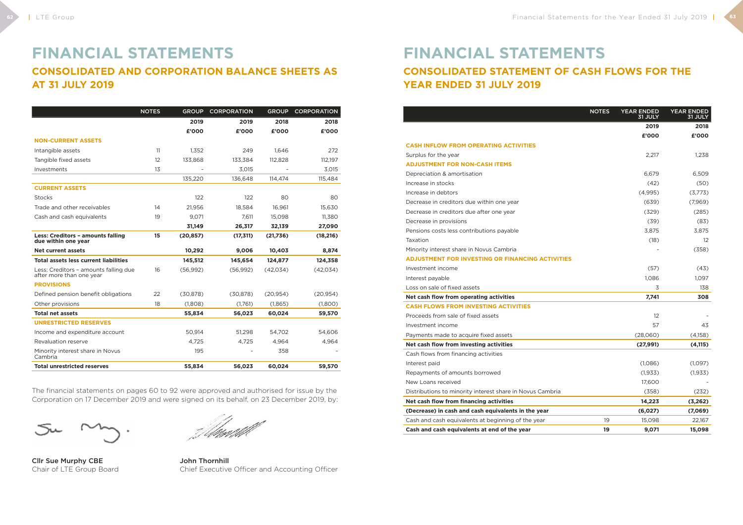## **FINANCIAL STATEMENTS CONSOLIDATED AND CORPORATION BALANCE SHEETS AS AT 31 JULY 2019**

|                                                                   | <b>NOTES</b> | <b>GROUP</b> | <b>CORPORATION</b> | <b>GROUP</b> | <b>CORPORATION</b> |
|-------------------------------------------------------------------|--------------|--------------|--------------------|--------------|--------------------|
|                                                                   |              | 2019         | 2019               | 2018         | 2018               |
|                                                                   |              | £'000        | £'000              | £'000        | £'000              |
| <b>NON-CURRENT ASSETS</b>                                         |              |              |                    |              |                    |
| Intangible assets                                                 | 11           | 1,352        | 249                | 1.646        | 272                |
| Tangible fixed assets                                             | 12           | 133,868      | 133,384            | 112,828      | 112,197            |
| Investments                                                       | 13           |              | 3.015              |              | 3,015              |
|                                                                   |              | 135,220      | 136,648            | 114.474      | 115,484            |
| <b>CURRENT ASSETS</b>                                             |              |              |                    |              |                    |
| <b>Stocks</b>                                                     |              | 122          | 122                | 80           | 80                 |
| Trade and other receivables                                       | 14           | 21,956       | 18.584             | 16.961       | 15,630             |
| Cash and cash equivalents                                         | 19           | 9,071        | 7,611              | 15,098       | 11,380             |
|                                                                   |              | 31,149       | 26,317             | 32,139       | 27,090             |
| Less: Creditors - amounts falling<br>due within one year          | 15           | (20, 857)    | (17, 311)          | (21,736)     | (18,216)           |
| <b>Net current assets</b>                                         |              | 10,292       | 9,006              | 10,403       | 8,874              |
| <b>Total assets less current liabilities</b>                      |              | 145,512      | 145,654            | 124,877      | 124,358            |
| Less: Creditors - amounts falling due<br>after more than one year | 16           | (56,992)     | (56,992)           | (42, 034)    | (42,034)           |
| <b>PROVISIONS</b>                                                 |              |              |                    |              |                    |
| Defined pension benefit obligations                               | 22           | (30, 878)    | (30, 878)          | (20, 954)    | (20, 954)          |
| Other provisions                                                  | 18           | (1,808)      | (1,761)            | (1,865)      | (1,800)            |
| <b>Total net assets</b>                                           |              | 55,834       | 56,023             | 60,024       | 59,570             |
| <b>UNRESTRICTED RESERVES</b>                                      |              |              |                    |              |                    |
| Income and expenditure account                                    |              | 50,914       | 51,298             | 54,702       | 54,606             |
| Revaluation reserve                                               |              | 4,725        | 4,725              | 4,964        | 4,964              |
| Minority interest share in Novus<br>Cambria                       |              | 195          |                    | 358          |                    |
| <b>Total unrestricted reserves</b>                                |              | 55,834       | 56,023             | 60,024       | 59,570             |

The financial statements on pages 60 to 92 were approved and authorised for issue by the Corporation on 17 December 2019 and were signed on its behalf, on 23 December 2019, by:

Cllr Sue Murphy CBE John Thornhill

Chair of LTE Group Board Chief Executive Officer and Accounting Officer

# **FINANCIAL STATEMENTS CONSOLIDATED STATEMENT OF CASH FLOWS FOR THE YEAR ENDED 31 JULY 2019**

|                                                           | <b>NOTES</b> | <b>YEAR ENDED</b><br>31 JULY | <b>YEAR ENDED</b><br>31 JULY |
|-----------------------------------------------------------|--------------|------------------------------|------------------------------|
|                                                           |              | 2019                         | 2018                         |
|                                                           |              | £'000                        | £'000                        |
| <b>CASH INFLOW FROM OPERATING ACTIVITIES</b>              |              |                              |                              |
| Surplus for the year                                      |              | 2,217                        | 1,238                        |
| <b>ADJUSTMENT FOR NON-CASH ITEMS</b>                      |              |                              |                              |
| Depreciation & amortisation                               |              | 6,679                        | 6,509                        |
| Increase in stocks                                        |              | (42)                         | (50)                         |
| Increase in debtors                                       |              | (4,995)                      | (3,773)                      |
| Decrease in creditors due within one year                 |              | (639)                        | (7,969)                      |
| Decrease in creditors due after one year                  |              | (329)                        | (285)                        |
| Decrease in provisions                                    |              | (39)                         | (83)                         |
| Pensions costs less contributions payable                 |              | 3,875                        | 3,875                        |
| Taxation                                                  |              | (18)                         | $12 \overline{ }$            |
| Minority interest share in Novus Cambria                  |              |                              | (358)                        |
| <b>ADJUSTMENT FOR INVESTING OR FINANCING ACTIVITIES</b>   |              |                              |                              |
| Investment income                                         |              | (57)                         | (43)                         |
| Interest payable                                          |              | 1,086                        | 1,097                        |
| Loss on sale of fixed assets                              |              | 3                            | 138                          |
| Net cash flow from operating activities                   |              | 7,741                        | 308                          |
| <b>CASH FLOWS FROM INVESTING ACTIVITIES</b>               |              |                              |                              |
| Proceeds from sale of fixed assets                        |              | 12                           |                              |
| Investment income                                         |              | 57                           | 43                           |
| Payments made to acquire fixed assets                     |              | (28,060)                     | (4,158)                      |
| Net cash flow from investing activities                   |              | (27, 991)                    | (4, 115)                     |
| Cash flows from financing activities                      |              |                              |                              |
| Interest paid                                             |              | (1,086)                      | (1,097)                      |
| Repayments of amounts borrowed                            |              | (1, 933)                     | (1, 933)                     |
| New Loans received                                        |              | 17,600                       |                              |
| Distributions to minority interest share in Novus Cambria |              | (358)                        | (232)                        |
| Net cash flow from financing activities                   |              | 14,223                       | (3, 262)                     |
| (Decrease) in cash and cash equivalents in the year       |              | (6,027)                      | (7,069)                      |
| Cash and cash equivalents at beginning of the year        | 19           | 15,098                       | 22,167                       |
| Cash and cash equivalents at end of the year              | 19           | 9,071                        | 15,098                       |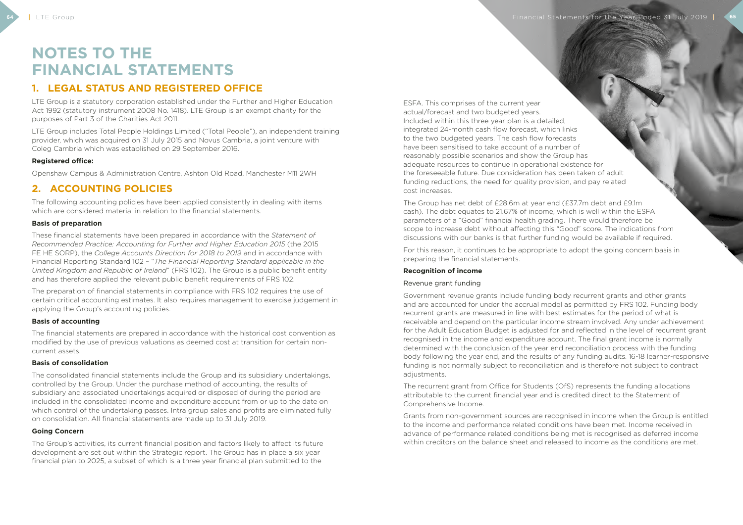# **NOTES TO THE FINANCIAL STATEMENTS**

## **1. LEGAL STATUS AND REGISTERED OFFICE**

LTE Group is a statutory corporation established under the Further and Higher Education Act 1992 (statutory instrument 2008 No. 1418). LTE Group is an exempt charity for the purposes of Part 3 of the Charities Act 2011.

LTE Group includes Total People Holdings Limited ("Total People"), an independent training provider, which was acquired on 31 July 2015 and Novus Cambria, a joint venture with Coleg Cambria which was established on 29 September 2016.

#### **Registered office:**

Openshaw Campus & Administration Centre, Ashton Old Road, Manchester M11 2WH

## **2. ACCOUNTING POLICIES**

The following accounting policies have been applied consistently in dealing with items which are considered material in relation to the financial statements.

#### **Basis of preparation**

These financial statements have been prepared in accordance with the *Statement of Recommended Practice: Accounting for Further and Higher Education 2015* (the 2015 FE HE SORP), the *College Accounts Direction for 2018 to 2019* and in accordance with Financial Reporting Standard 102 – "*The Financial Reporting Standard applicable in the United Kingdom and Republic of Ireland*" (FRS 102). The Group is a public benefit entity and has therefore applied the relevant public benefit requirements of FRS 102.

The preparation of financial statements in compliance with FRS 102 requires the use of certain critical accounting estimates. It also requires management to exercise judgement in applying the Group's accounting policies.

#### **Basis of accounting**

The financial statements are prepared in accordance with the historical cost convention as modified by the use of previous valuations as deemed cost at transition for certain noncurrent assets.

#### **Basis of consolidation**

The consolidated financial statements include the Group and its subsidiary undertakings, controlled by the Group. Under the purchase method of accounting, the results of subsidiary and associated undertakings acquired or disposed of during the period are included in the consolidated income and expenditure account from or up to the date on which control of the undertaking passes. Intra group sales and profits are eliminated fully on consolidation. All financial statements are made up to 31 July 2019.

#### **Going Concern**

The Group's activities, its current financial position and factors likely to affect its future development are set out within the Strategic report. The Group has in place a six year financial plan to 2025, a subset of which is a three year financial plan submitted to the

ESFA. This comprises of the current year actual/forecast and two budgeted years. Included within this three year plan is a detailed, integrated 24-month cash flow forecast, which links to the two budgeted years. The cash flow forecasts have been sensitised to take account of a number of reasonably possible scenarios and show the Group has adequate resources to continue in operational existence for the foreseeable future. Due consideration has been taken of adult funding reductions, the need for quality provision, and pay related cost increases.

The Group has net debt of £28.6m at year end (£37.7m debt and £9.1m cash). The debt equates to 21.67% of income, which is well within the ESFA parameters of a "Good" financial health grading. There would therefore be scope to increase debt without affecting this "Good" score. The indications from discussions with our banks is that further funding would be available if required.

For this reason, it continues to be appropriate to adopt the going concern basis in preparing the financial statements.

#### **Recognition of income**

#### Revenue grant funding

Government revenue grants include funding body recurrent grants and other grants and are accounted for under the accrual model as permitted by FRS 102. Funding body recurrent grants are measured in line with best estimates for the period of what is receivable and depend on the particular income stream involved. Any under achievement for the Adult Education Budget is adjusted for and reflected in the level of recurrent grant recognised in the income and expenditure account. The final grant income is normally determined with the conclusion of the year end reconciliation process with the funding body following the year end, and the results of any funding audits. 16-18 learner-responsive funding is not normally subject to reconciliation and is therefore not subject to contract adjustments.

The recurrent grant from Office for Students (OfS) represents the funding allocations attributable to the current financial year and is credited direct to the Statement of Comprehensive Income.

Grants from non-government sources are recognised in income when the Group is entitled to the income and performance related conditions have been met. Income received in advance of performance related conditions being met is recognised as deferred income within creditors on the balance sheet and released to income as the conditions are met.

**64** I LTE Group **Financial Statements for the Year Ended 31 July 2019 | 65**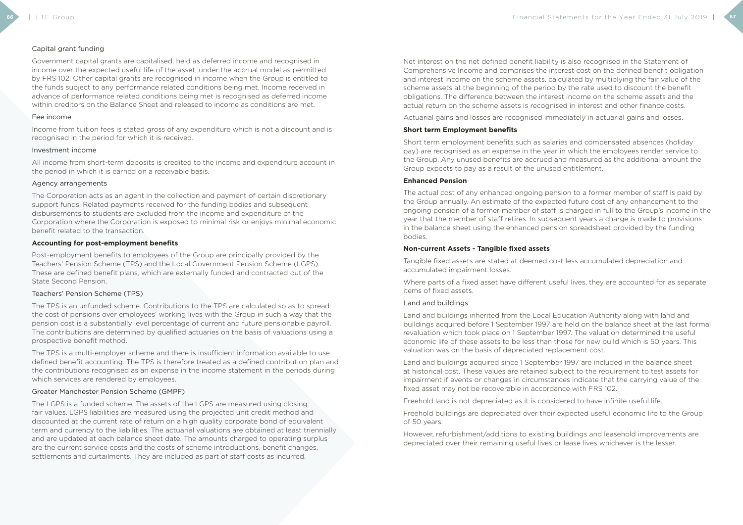#### Capital grant funding

Government capital grants are capitalised, held as deferred income and recognised in income over the expected useful life of the asset, under the accrual model as permitted by FRS 102. Other capital grants are recognised in income when the Group is entitled to the funds subject to any performance related conditions being met. Income received in advance of performance related conditions being met is recognised as deferred income within creditors on the Balance Sheet and released to income as conditions are met.

#### Fee income

Income from tuition fees is stated gross of any expenditure which is not a discount and is recognised in the period for which it is received.

#### Investment income

All income from short-term deposits is credited to the income and expenditure account in the period in which it is earned on a receivable basis.

#### Agency arrangements

The Corporation acts as an agent in the collection and payment of certain discretionary support funds. Related payments received for the funding bodies and subsequent disbursements to students are excluded from the income and expenditure of the Corporation where the Corporation is exposed to minimal risk or enjoys minimal economic benefit related to the transaction.

#### **Accounting for post-employment benefits**

Post-employment benefits to employees of the Group are principally provided by the Teachers' Pension Scheme (TPS) and the Local Government Pension Scheme (LGPS). These are defined benefit plans, which are externally funded and contracted out of the State Second Pension.

#### Teachers' Pension Scheme (TPS)

The TPS is an unfunded scheme. Contributions to the TPS are calculated so as to spread the cost of pensions over employees' working lives with the Group in such a way that the pension cost is a substantially level percentage of current and future pensionable payroll. The contributions are determined by qualified actuaries on the basis of valuations using a prospective benefit method.

The TPS is a multi-employer scheme and there is insufficient information available to use defined benefit accounting. The TPS is therefore treated as a defined contribution plan and the contributions recognised as an expense in the income statement in the periods during which services are rendered by employees.

#### Greater Manchester Pension Scheme (GMPF)

The LGPS is a funded scheme. The assets of the LGPS are measured using closing fair values. LGPS liabilities are measured using the projected unit credit method and discounted at the current rate of return on a high quality corporate bond of equivalent term and currency to the liabilities. The actuarial valuations are obtained at least triennially and are updated at each balance sheet date. The amounts charged to operating surplus are the current service costs and the costs of scheme introductions, benefit changes, settlements and curtailments. They are included as part of staff costs as incurred.

Net interest on the net defined benefit liability is also recognised in the Statement of Comprehensive Income and comprises the interest cost on the defined benefit obligation and interest income on the scheme assets, calculated by multiplying the fair value of the scheme assets at the beginning of the period by the rate used to discount the benefit obligations. The difference between the interest income on the scheme assets and the actual return on the scheme assets is recognised in interest and other finance costs.

Actuarial gains and losses are recognised immediately in actuarial gains and losses.

#### **Short term Employment benefits**

Short term employment benefits such as salaries and compensated absences (holiday pay) are recognised as an expense in the year in which the employees render service to the Group. Any unused benefits are accrued and measured as the additional amount the Group expects to pay as a result of the unused entitlement.

#### **Enhanced Pension**

The actual cost of any enhanced ongoing pension to a former member of staff is paid by the Group annually. An estimate of the expected future cost of any enhancement to the ongoing pension of a former member of staff is charged in full to the Group's income in the year that the member of staff retires. In subsequent years a charge is made to provisions in the balance sheet using the enhanced pension spreadsheet provided by the funding bodies.

#### **Non-current Assets - Tangible fixed assets**

Tangible fixed assets are stated at deemed cost less accumulated depreciation and accumulated impairment losses.

Where parts of a fixed asset have different useful lives, they are accounted for as separate items of fixed assets.

#### Land and buildings

Land and buildings inherited from the Local Education Authority along with land and buildings acquired before 1 September 1997 are held on the balance sheet at the last formal revaluation which took place on 1 September 1997. The valuation determined the useful economic life of these assets to be less than those for new build which is 50 years. This valuation was on the basis of depreciated replacement cost.

Land and buildings acquired since 1 September 1997 are included in the balance sheet at historical cost. These values are retained subject to the requirement to test assets for impairment if events or changes in circumstances indicate that the carrying value of the fixed asset may not be recoverable in accordance with FRS 102.

Freehold land is not depreciated as it is considered to have infinite useful life.

Freehold buildings are depreciated over their expected useful economic life to the Group of 50 years.

However, refurbishment/additions to existing buildings and leasehold improvements are depreciated over their remaining useful lives or lease lives whichever is the lesser.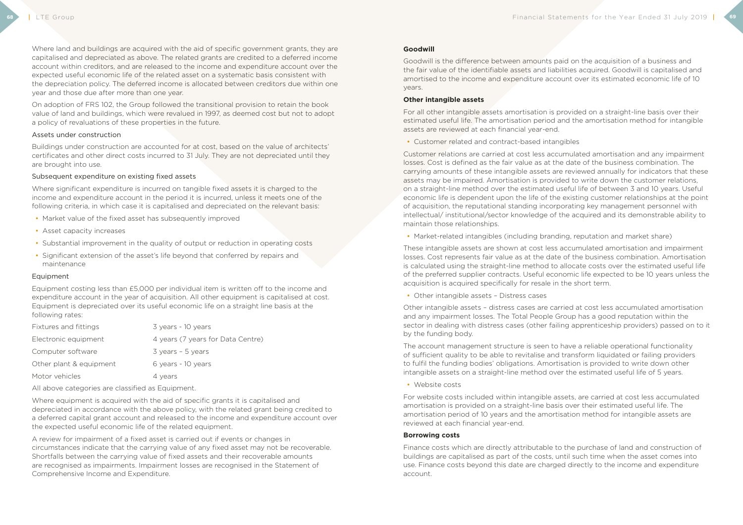Where land and buildings are acquired with the aid of specific government grants, they are capitalised and depreciated as above. The related grants are credited to a deferred income account within creditors, and are released to the income and expenditure account over the expected useful economic life of the related asset on a systematic basis consistent with the depreciation policy. The deferred income is allocated between creditors due within one year and those due after more than one year.

Where significant expenditure is incurred on tangible fixed assets it is charged to the income and expenditure account in the period it is incurred, unless it meets one of the following criteria, in which case it is capitalised and depreciated on the relevant basis:

On adoption of FRS 102, the Group followed the transitional provision to retain the book value of land and buildings, which were revalued in 1997, as deemed cost but not to adopt a policy of revaluations of these properties in the future.

#### Assets under construction

Buildings under construction are accounted for at cost, based on the value of architects' certificates and other direct costs incurred to 31 July. They are not depreciated until they are brought into use.

#### Subsequent expenditure on existing fixed assets

Where equipment is acquired with the aid of specific grants it is capitalised and depreciated in accordance with the above policy, with the related grant being credited to a deferred capital grant account and released to the income and expenditure account over the expected useful economic life of the related equipment.

- Market value of the fixed asset has subsequently improved
- Asset capacity increases
- Substantial improvement in the quality of output or reduction in operating costs
- Significant extension of the asset's life beyond that conferred by repairs and maintenance

#### Equipment

Equipment costing less than £5,000 per individual item is written off to the income and expenditure account in the year of acquisition. All other equipment is capitalised at cost. Equipment is depreciated over its useful economic life on a straight line basis at the following rates:

| Fixtures and fittings   | 3 years - 10 years                  |
|-------------------------|-------------------------------------|
| Electronic equipment    | 4 years (7 years for Data Centre)   |
| Computer software       | $3 \text{ years} - 5 \text{ years}$ |
| Other plant & equipment | 6 years - 10 years                  |
| Motor vehicles          | 4 years                             |
|                         |                                     |

All above categories are classified as Equipment.

A review for impairment of a fixed asset is carried out if events or changes in circumstances indicate that the carrying value of any fixed asset may not be recoverable. Shortfalls between the carrying value of fixed assets and their recoverable amounts are recognised as impairments. Impairment losses are recognised in the Statement of Comprehensive Income and Expenditure.

#### **Goodwill**

Goodwill is the difference between amounts paid on the acquisition of a business and the fair value of the identifiable assets and liabilities acquired. Goodwill is capitalised and amortised to the income and expenditure account over its estimated economic life of 10 years.

#### **Other intangible assets**

For all other intangible assets amortisation is provided on a straight-line basis over their estimated useful life. The amortisation period and the amortisation method for intangible assets are reviewed at each financial year-end.

• Customer related and contract-based intangibles

Customer relations are carried at cost less accumulated amortisation and any impairment losses. Cost is defined as the fair value as at the date of the business combination. The carrying amounts of these intangible assets are reviewed annually for indicators that these assets may be impaired. Amortisation is provided to write down the customer relations, on a straight-line method over the estimated useful life of between 3 and 10 years. Useful economic life is dependent upon the life of the existing customer relationships at the point of acquisition, the reputational standing incorporating key management personnel with intellectual/ institutional/sector knowledge of the acquired and its demonstrable ability to maintain those relationships.

• Market-related intangibles (including branding, reputation and market share)

These intangible assets are shown at cost less accumulated amortisation and impairment losses. Cost represents fair value as at the date of the business combination. Amortisation is calculated using the straight-line method to allocate costs over the estimated useful life of the preferred supplier contracts. Useful economic life expected to be 10 years unless the acquisition is acquired specifically for resale in the short term.

• Other intangible assets - Distress cases

Other intangible assets – distress cases are carried at cost less accumulated amortisation and any impairment losses. The Total People Group has a good reputation within the sector in dealing with distress cases (other failing apprenticeship providers) passed on to it by the funding body.

The account management structure is seen to have a reliable operational functionality of sufficient quality to be able to revitalise and transform liquidated or failing providers to fulfil the funding bodies' obligations. Amortisation is provided to write down other intangible assets on a straight-line method over the estimated useful life of 5 years.

• Website costs

For website costs included within intangible assets, are carried at cost less accumulated amortisation is provided on a straight-line basis over their estimated useful life. The amortisation period of 10 years and the amortisation method for intangible assets are reviewed at each financial year-end.

#### **Borrowing costs**

Finance costs which are directly attributable to the purchase of land and construction of buildings are capitalised as part of the costs, until such time when the asset comes into use. Finance costs beyond this date are charged directly to the income and expenditure account.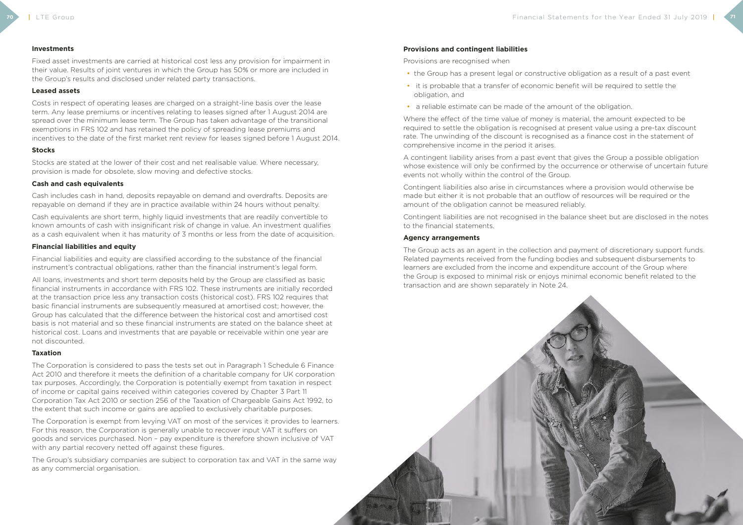#### **Investments**

Fixed asset investments are carried at historical cost less any provision for impairment in their value. Results of joint ventures in which the Group has 50% or more are included in the Group's results and disclosed under related party transactions.

#### **Leased assets**

Costs in respect of operating leases are charged on a straight-line basis over the lease term. Any lease premiums or incentives relating to leases signed after 1 August 2014 are spread over the minimum lease term. The Group has taken advantage of the transitional exemptions in FRS 102 and has retained the policy of spreading lease premiums and incentives to the date of the first market rent review for leases signed before 1 August 2014.

Cash equivalents are short term, highly liquid investments that are readily convertible to known amounts of cash with insignificant risk of change in value. An investment qualifies as a cash equivalent when it has maturity of 3 months or less from the date of acquisition.

#### **Stocks**

Stocks are stated at the lower of their cost and net realisable value. Where necessary, provision is made for obsolete, slow moving and defective stocks.

#### **Cash and cash equivalents**

Cash includes cash in hand, deposits repayable on demand and overdrafts. Deposits are repayable on demand if they are in practice available within 24 hours without penalty.

The Corporation is exempt from levying VAT on most of the services it provides to learners. For this reason, the Corporation is generally unable to recover input VAT it suffers on goods and services purchased. Non – pay expenditure is therefore shown inclusive of VAT with any partial recovery netted off against these figures.

#### **Financial liabilities and equity**

Financial liabilities and equity are classified according to the substance of the financial instrument's contractual obligations, rather than the financial instrument's legal form.

All loans, investments and short term deposits held by the Group are classified as basic financial instruments in accordance with FRS 102. These instruments are initially recorded at the transaction price less any transaction costs (historical cost). FRS 102 requires that basic financial instruments are subsequently measured at amortised cost; however, the Group has calculated that the difference between the historical cost and amortised cost basis is not material and so these financial instruments are stated on the balance sheet at historical cost. Loans and investments that are payable or receivable within one year are not discounted.

#### **Taxation**

The Corporation is considered to pass the tests set out in Paragraph 1 Schedule 6 Finance Act 2010 and therefore it meets the definition of a charitable company for UK corporation tax purposes. Accordingly, the Corporation is potentially exempt from taxation in respect of income or capital gains received within categories covered by Chapter 3 Part 11 Corporation Tax Act 2010 or section 256 of the Taxation of Chargeable Gains Act 1992, to the extent that such income or gains are applied to exclusively charitable purposes.

The Group's subsidiary companies are subject to corporation tax and VAT in the same way as any commercial organisation.

#### **Provisions and contingent liabilities**

Provisions are recognised when

- the Group has a present legal or constructive obligation as a result of a past event
- it is probable that a transfer of economic benefit will be required to settle the obligation, and
- a reliable estimate can be made of the amount of the obligation.

Where the effect of the time value of money is material, the amount expected to be required to settle the obligation is recognised at present value using a pre-tax discount rate. The unwinding of the discount is recognised as a finance cost in the statement of comprehensive income in the period it arises.

A contingent liability arises from a past event that gives the Group a possible obligation whose existence will only be confirmed by the occurrence or otherwise of uncertain future events not wholly within the control of the Group.

Contingent liabilities also arise in circumstances where a provision would otherwise be made but either it is not probable that an outflow of resources will be required or the amount of the obligation cannot be measured reliably.

Contingent liabilities are not recognised in the balance sheet but are disclosed in the notes to the financial statements.

#### **Agency arrangements**

The Group acts as an agent in the collection and payment of discretionary support funds. Related payments received from the funding bodies and subsequent disbursements to learners are excluded from the income and expenditure account of the Group where the Group is exposed to minimal risk or enjoys minimal economic benefit related to the transaction and are shown separately in Note 24.

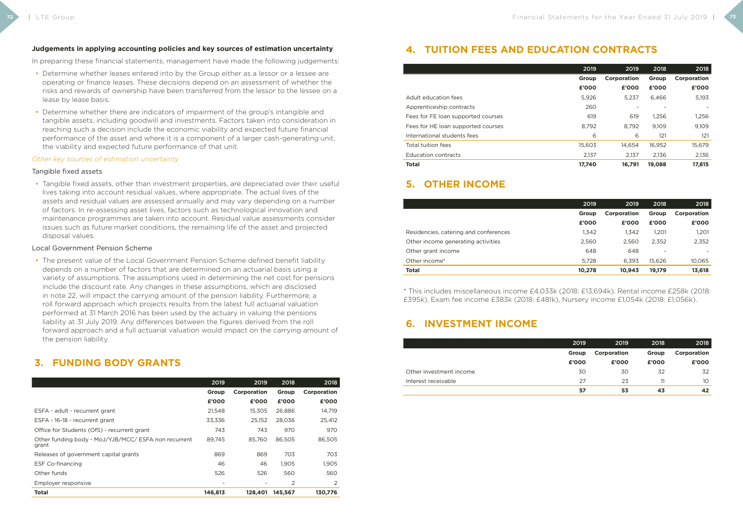#### **Judgements in applying accounting policies and key sources of estimation uncertainty**

In preparing these financial statements, management have made the following judgements:

- Determine whether leases entered into by the Group either as a lessor or a lessee are operating or finance leases. These decisions depend on an assessment of whether the risks and rewards of ownership have been transferred from the lessor to the lessee on a lease by lease basis.
- Determine whether there are indicators of impairment of the group's intangible and tangible assets, including goodwill and investments. Factors taken into consideration in reaching such a decision include the economic viability and expected future financial performance of the asset and where it is a component of a larger cash-generating unit, the viability and expected future performance of that unit.

#### *Other key sources of estimation uncertainty*

#### Tangible fixed assets

• Tangible fixed assets, other than investment properties, are depreciated over their useful lives taking into account residual values, where appropriate. The actual lives of the assets and residual values are assessed annually and may vary depending on a number of factors. In re-assessing asset lives, factors such as technological innovation and maintenance programmes are taken into account. Residual value assessments consider issues such as future market conditions, the remaining life of the asset and projected disposal values.

#### Local Government Pension Scheme

• The present value of the Local Government Pension Scheme defined benefit liability depends on a number of factors that are determined on an actuarial basis using a variety of assumptions. The assumptions used in determining the net cost for pensions include the discount rate. Any changes in these assumptions, which are disclosed in note 22, will impact the carrying amount of the pension liability. Furthermore, a roll forward approach which projects results from the latest full actuarial valuation performed at 31 March 2016 has been used by the actuary in valuing the pensions liability at 31 July 2019. Any differences between the figures derived from the roll forward approach and a full actuarial valuation would impact on the carrying amount of the pension liability.

## **3. FUNDING BODY GRANTS**

|                                                               | 2019    | 2019        | 2018    | 2018        |
|---------------------------------------------------------------|---------|-------------|---------|-------------|
|                                                               | Group   | Corporation | Group   | Corporation |
|                                                               | £'000   | £'000       | £'000   | £'000       |
| ESFA - adult - recurrent grant                                | 21,548  | 15.305      | 26,886  | 14,719      |
| ESFA - 16-18 - recurrent grant                                | 33,336  | 25.152      | 28,036  | 25,412      |
| Office for Students (OfS) - recurrent grant                   | 743     | 743         | 970     | 970         |
| Other funding body - MoJ/YJB/MCC/ ESFA non recurrent<br>grant | 89,745  | 85,760      | 86,505  | 86,505      |
| Releases of government capital grants                         | 869     | 869         | 703     | 703         |
| <b>ESF Co-financing</b>                                       | 46      | 46          | 1,905   | 1,905       |
| Other funds                                                   | 526     | 526         | 560     | 560         |
| Employer responsive                                           |         |             | 2       | 2           |
| <b>Total</b>                                                  | 146,813 | 128,401     | 145,567 | 130,776     |

## **4. TUITION FEES AND EDUCATION CONTRACTS**

|                                    | 2019   | 2019        | 2018   | 2018        |
|------------------------------------|--------|-------------|--------|-------------|
|                                    | Group  | Corporation | Group  | Corporation |
|                                    | £'000  | £'000       | £'000  | £'000       |
| Adult education fees               | 5,926  | 5.237       | 6,466  | 5,193       |
| Apprenticeship contracts           | 260    |             |        |             |
| Fees for FE loan supported courses | 619    | 619         | 1,256  | 1,256       |
| Fees for HE loan supported courses | 8.792  | 8.792       | 9.109  | 9,109       |
| International students fees        | 6      | 6           | 121    | 121         |
| Total tuition fees                 | 15,603 | 14.654      | 16,952 | 15,679      |
| <b>Education contracts</b>         | 2,137  | 2.137       | 2.136  | 2,136       |
| <b>Total</b>                       | 17.740 | 16.791      | 19.088 | 17.815      |

## **5. OTHER INCOME**

|                                       | 2019   | 2019        | 2018   | 2018        |
|---------------------------------------|--------|-------------|--------|-------------|
|                                       | Group  | Corporation | Group  | Corporation |
|                                       | £'000  | £'000       | £'000  | £'000       |
| Residencies, catering and conferences | 1,342  | 1.342       | 1.201  | 1,201       |
| Other income generating activities    | 2,560  | 2.560       | 2,352  | 2,352       |
| Other grant income                    | 648    | 648         |        |             |
| Other income*                         | 5.728  | 6.393       | 15.626 | 10,065      |
| Total                                 | 10,278 | 10.943      | 19.179 | 13,618      |

\* This includes miscellaneous income £4,033k (2018: £13,694k), Rental income £258k (2018: £395k), Exam fee income £383k (2018: £481k), Nursery income £1,054k (2018: £1,056k).

## **6. INVESTMENT INCOME**

Other investment income Interest receivable

| 2018        | 2018  | 2019        | 2019  |
|-------------|-------|-------------|-------|
| Corporation | Group | Corporation | Group |
| £'000       | £'000 | £'000       | £'000 |
| 32          | 32    | 30          | 30    |
| 10          | 11    | 23          | 27    |
| 42          | 43    | 53          | 57    |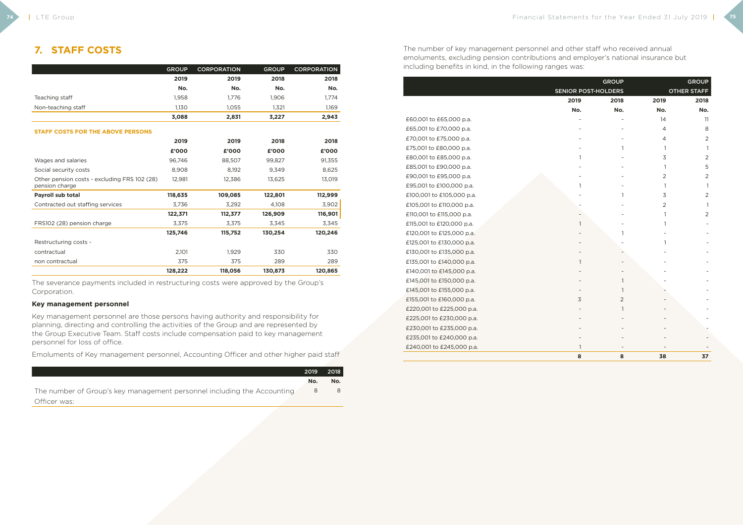## **7. STAFF COSTS**

|                                                                | <b>GROUP</b> | <b>CORPORATION</b> | <b>GROUP</b> | <b>CORPORATION</b> |
|----------------------------------------------------------------|--------------|--------------------|--------------|--------------------|
|                                                                | 2019         | 2019               | 2018         | 2018               |
|                                                                | No.          | No.                | No.          | No.                |
| Teaching staff                                                 | 1,958        | 1,776              | 1,906        | 1,774              |
| Non-teaching staff                                             | 1.130        | 1.055              | 1,321        | 1,169              |
|                                                                | 3,088        | 2,831              | 3,227        | 2,943              |
| <b>STAFF COSTS FOR THE ABOVE PERSONS</b>                       |              |                    |              |                    |
|                                                                | 2019         | 2019               | 2018         | 2018               |
|                                                                | £'000        | £'000              | £'000        | £'000              |
| Wages and salaries                                             | 96,746       | 88,507             | 99,827       | 91,355             |
| Social security costs                                          | 8.908        | 8.192              | 9.349        | 8,625              |
| Other pension costs - excluding FRS 102 (28)<br>pension charge | 12,981       | 12,386             | 13,625       | 13,019             |
| Payroll sub total                                              | 118,635      | 109,085            | 122,801      | 112,999            |
| Contracted out staffing services                               | 3.736        | 3,292              | 4.108        | 3,902              |
|                                                                | 122,371      | 112,377            | 126,909      | 116,901            |
| FRS102 (28) pension charge                                     | 3,375        | 3,375              | 3,345        | 3,345              |
|                                                                | 125,746      | 115,752            | 130,254      | 120,246            |
| Restructuring costs -                                          |              |                    |              |                    |
| contractual                                                    | 2,101        | 1,929              | 330          | 330                |

non contractual 375 375 289 289

**128,222 118,056 130,873 120,865**

The severance payments included in restructuring costs were approved by the Group's Corporation.

#### **Key management personnel**

Key management personnel are those persons having authority and responsibility for planning, directing and controlling the activities of the Group and are represented by the Group Executive Team. Staff costs include compensation paid to key management personnel for loss of office.

Emoluments of Key management personnel, Accounting Officer and other higher paid staff

|                                                                         | 2019 | <b>2018</b> |
|-------------------------------------------------------------------------|------|-------------|
|                                                                         | No.  | No.         |
| The number of Group's key management personnel including the Accounting | 8    | 8           |
| Officer was:                                                            |      |             |

The number of key management personnel and other staff who received annual emoluments, excluding pension contributions and employer's national insurance but including benefits in kind, in the following ranges was:

£65,001 to £70,000 p.a. £70,001 to £75,000 p.a. £75,001 to £80,000 p.a. £80,001 to £85,000 p.a. £85,001 to £90,000 p.a. £90,001 to £95,000 p.a. £95,001 to £100,000 p.a. £100,001 to £105,000 p.a. £105,001 to £110,000 p.a. £110,001 to £115,000 p.a. £115,001 to £120,000 p.a. £120,001 to £125,000 p.a. £125,001 to £130,000 p.a. £130,001 to £135,000 p.a. £135,001 to £140,000 p.a. £140,001 to £145,000 p.a. £145,001 to £150,000 p.a. £145,001 to £155,000 p.a. £155,001 to £160,000 p.a. £220,001 to £225,000 p.a. £225,001 to £230,000 p.a. £230,001 to £235,000 p.a. £235,001 to £240,000 p.a. £240,001 to £245,000 p.a.

£60,001 to £65,000 p.a.

|                            | <b>GROUP</b>   |                | <b>GROUP</b>       |
|----------------------------|----------------|----------------|--------------------|
| <b>SENIOR POST-HOLDERS</b> |                |                | <b>OTHER STAFF</b> |
| 2019                       | 2018           | 2019           | 2018               |
| No.                        | No.            | No.            | No.                |
|                            |                | 14             | 11                 |
|                            |                | $\overline{4}$ | 8                  |
|                            |                | $\overline{4}$ | $\overline{2}$     |
|                            | 1              | $\mathbf{1}$   | $\mathbf{1}$       |
| 1                          |                | 3              | $\overline{2}$     |
|                            |                | $\mathbf{1}$   | 5                  |
|                            |                | $\overline{2}$ | $\overline{2}$     |
| 1                          |                | $\mathbf{1}$   | $\mathbf{1}$       |
|                            | 1              | 3              | $\overline{2}$     |
|                            |                | $\overline{2}$ | $\mathbf{1}$       |
|                            |                | $\mathbf{1}$   | $\overline{2}$     |
| $\mathbf{1}$               |                | 1              |                    |
|                            | $\mathbf{1}$   |                |                    |
|                            |                | 1              |                    |
|                            |                |                |                    |
| 1                          |                |                |                    |
|                            |                |                |                    |
|                            | $\mathbf{1}$   |                |                    |
|                            | $\mathbf{1}$   |                |                    |
| 3                          | $\overline{2}$ |                |                    |
|                            | $\mathbf{1}$   |                |                    |
|                            |                |                |                    |
|                            |                |                |                    |
|                            |                |                |                    |
| $\mathbf{1}$               |                |                |                    |
| 8                          | 8              | 38             | 37                 |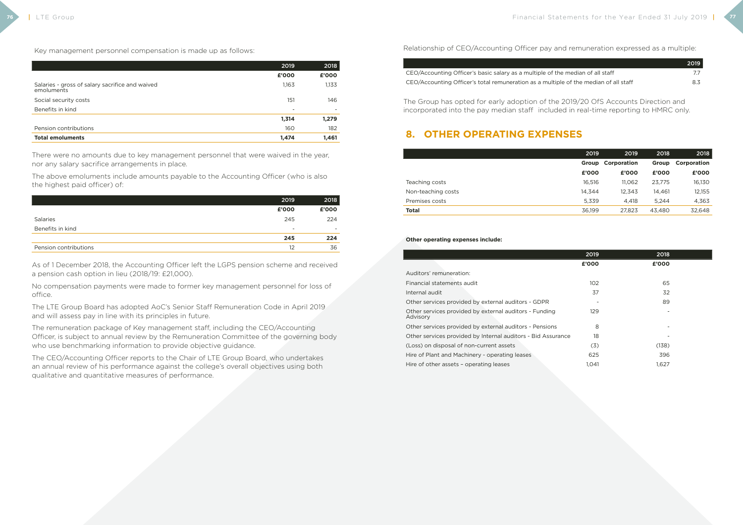Key management personnel compensation is made up as follows:

|                                                               | 2019                     | 2018                     |
|---------------------------------------------------------------|--------------------------|--------------------------|
|                                                               | £'000                    | £'000                    |
| Salaries - gross of salary sacrifice and waived<br>emoluments | 1,163                    | 1,133                    |
| Social security costs                                         | 151                      | 146                      |
| Benefits in kind                                              | $\overline{\phantom{0}}$ | $\overline{\phantom{0}}$ |
|                                                               | 1,314                    | 1,279                    |
| Pension contributions                                         | 160                      | 182                      |
| <b>Total emoluments</b>                                       | 1,474                    | 1,461                    |

There were no amounts due to key management personnel that were waived in the year, nor any salary sacrifice arrangements in place.

The above emoluments include amounts payable to the Accounting Officer (who is also the highest paid officer) of:

|                       | 2019                     | 2018                     |
|-----------------------|--------------------------|--------------------------|
|                       | £'000                    | £'000                    |
| Salaries              | 245                      | 224                      |
| Benefits in kind      | $\overline{\phantom{a}}$ | $\overline{\phantom{a}}$ |
|                       | 245                      | 224                      |
| Pension contributions | 12                       | 36                       |

As of 1 December 2018, the Accounting Officer left the LGPS pension scheme and received a pension cash option in lieu (2018/19: £21,000).

No compensation payments were made to former key management personnel for loss of office.

The LTE Group Board has adopted AoC's Senior Staff Remuneration Code in April 2019 and will assess pay in line with its principles in future.

Auditors' remuneration: Financial statements audit Internal audit Other services provided by external auditors - GDPR Other services provided by external auditors - Funding Advisory Other services provided by external auditors - Pensions Other services provided by Internal auditors - Bid Assurar (Loss) on disposal of non-current assets Hire of Plant and Machinery - operating leases Hire of other assets - operating leases

The remuneration package of Key management staff, including the CEO/Accounting Officer, is subject to annual review by the Remuneration Committee of the governing body who use benchmarking information to provide objective guidance.

The CEO/Accounting Officer reports to the Chair of LTE Group Board, who undertakes an annual review of his performance against the college's overall objectives using both qualitative and quantitative measures of performance.

#### Relationship of CEO/Accounting Officer pay and remuneration expressed as a multiple:

CEO/Accounting Officer's basic salary as a multiple of the CEO/Accounting Officer's total remuneration as a multiple

|                              | 2019 |
|------------------------------|------|
| e median of all staff        | 77   |
| e of the median of all staff | 83   |

The Group has opted for early adoption of the 2019/20 OfS Accounts Direction and incorporated into the pay median staff included in real-time reporting to HMRC only.

## **8. OTHER OPERATING EXPENSES**

| <b>Total</b>       |  |
|--------------------|--|
| Premises costs     |  |
| Non-teaching costs |  |
| Feaching costs     |  |
|                    |  |

|                    | 2019   | 2019        | 2018         | 2018        |
|--------------------|--------|-------------|--------------|-------------|
|                    | Group  | Corporation | <b>Group</b> | Corporation |
|                    | £'000  | £'000       | £'000        | £'000       |
| Teaching costs     | 16,516 | 11.062      | 23,775       | 16,130      |
| Non-teaching costs | 14.344 | 12.343      | 14.461       | 12,155      |
| Premises costs     | 5,339  | 4,418       | 5.244        | 4,363       |
| Total              | 36.199 | 27,823      | 43.480       | 32,648      |

#### **Other operating expenses include:**

| 2019      | 2018  |  |
|-----------|-------|--|
| £'000     | £'000 |  |
|           |       |  |
| 102       | 65    |  |
| 37        | 32    |  |
|           | 89    |  |
| 129       |       |  |
| 8         | -     |  |
|           |       |  |
| 18<br>nce |       |  |
| (3)       | (138) |  |
| 625       | 396   |  |
| 1,041     | 1,627 |  |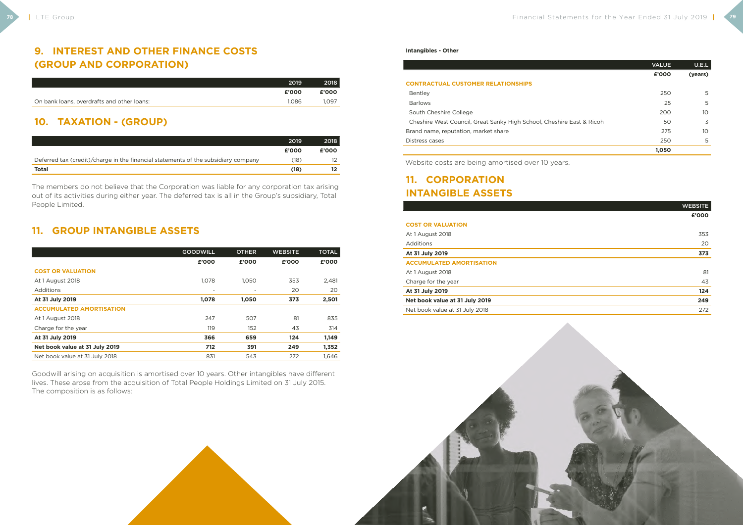## **9. INTEREST AND OTHER FINANCE COSTS (GROUP AND CORPORATION)**

|                                            | 2019  | 2018  |
|--------------------------------------------|-------|-------|
|                                            | £'000 | £'000 |
| On bank loans, overdrafts and other loans: | 1.086 | 1.097 |

## **10. TAXATION - (GROUP)**

|                                                                                    | 2019  | 2018  |
|------------------------------------------------------------------------------------|-------|-------|
|                                                                                    | £'000 | £'000 |
| Deferred tax (credit)/charge in the financial statements of the subsidiary company | (18)  |       |
| <b>Total</b>                                                                       | (18)  |       |

The members do not believe that the Corporation was liable for any corporation tax arising out of its activities during either year. The deferred tax is all in the Group's subsidiary, Total People Limited.

## **11. GROUP INTANGIBLE ASSETS**

|                                 | <b>GOODWILL</b> | <b>OTHER</b> | <b>WEBSITE</b> | <b>TOTAL</b> |
|---------------------------------|-----------------|--------------|----------------|--------------|
|                                 | £'000           | £'000        | £'000          | £'000        |
| <b>COST OR VALUATION</b>        |                 |              |                |              |
| At 1 August 2018                | 1,078           | 1,050        | 353            | 2,481        |
| Additions                       |                 |              | 20             | 20           |
| At 31 July 2019                 | 1,078           | 1,050        | 373            | 2,501        |
| <b>ACCUMULATED AMORTISATION</b> |                 |              |                |              |
| At 1 August 2018                | 247             | 507          | 81             | 835          |
| Charge for the year             | 119             | 152          | 43             | 314          |
| At 31 July 2019                 | 366             | 659          | 124            | 1,149        |
| Net book value at 31 July 2019  | 712             | 391          | 249            | 1,352        |
| Net book value at 31 July 2018  | 831             | 543          | 272            | 1,646        |

Goodwill arising on acquisition is amortised over 10 years. Other intangibles have different lives. These arose from the acquisition of Total People Holdings Limited on 31 July 2015. The composition is as follows:



|                                                                       | <b>VALUE</b> | U.E.L   |
|-----------------------------------------------------------------------|--------------|---------|
|                                                                       | £'000        | (years) |
| <b>CONTRACTUAL CUSTOMER RELATIONSHIPS</b>                             |              |         |
| Bentley                                                               | 250          | 5       |
| <b>Barlows</b>                                                        | 25           | 5       |
| South Cheshire College                                                | 200          | 10      |
| Cheshire West Council, Great Sanky High School, Cheshire East & Ricoh | 50           | 3       |
| Brand name, reputation, market share                                  | 275          | 10      |
| Distress cases                                                        | 250          | 5       |
|                                                                       | 1,050        |         |

Website costs are being amortised over 10 years.

## **11. CORPORATION INTANGIBLE ASSETS**

|                                 | <b>WEBSITE</b> |
|---------------------------------|----------------|
|                                 | £'000          |
| <b>COST OR VALUATION</b>        |                |
| At 1 August 2018                | 353            |
| <b>Additions</b>                | 20             |
| At 31 July 2019                 | 373            |
| <b>ACCUMULATED AMORTISATION</b> |                |
| At 1 August 2018                | 81             |
| Charge for the year             | 43             |
| At 31 July 2019                 | 124            |
| Net book value at 31 July 2019  | 249            |
| Net book value at 31 July 2018  | 272            |
|                                 |                |



| <b>COST OR VALUATION</b>        |  |
|---------------------------------|--|
| At 1 August 2018                |  |
| Additions                       |  |
| At 31 July 2019                 |  |
| <b>ACCUMULATED AMORTISATION</b> |  |
| At 1 August 2018                |  |
| Charge for the year             |  |
| At 31 July 2019                 |  |
| Net book value at 31 July 2019  |  |
| Net book value at 31 July 2018  |  |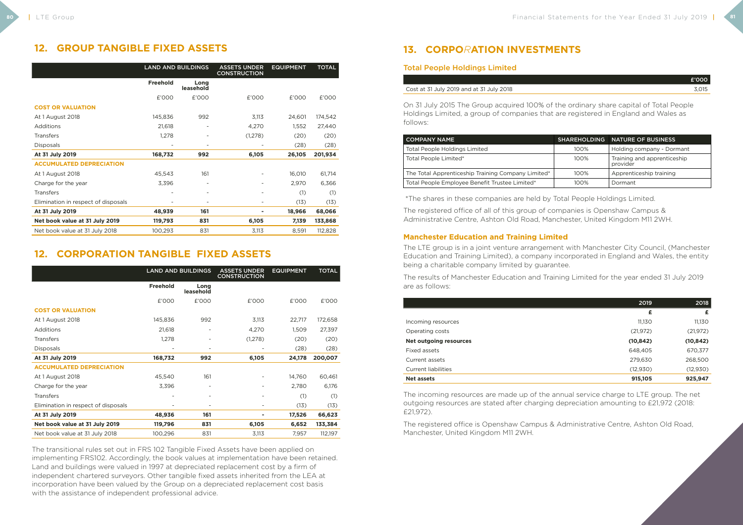## **12. GROUP TANGIBLE FIXED ASSETS**

| <b>LAND AND BUILDINGS</b> |                          | <b>ASSETS UNDER</b><br><b>CONSTRUCTION</b> | <b>EQUIPMENT</b> | <b>TOTAL</b> |
|---------------------------|--------------------------|--------------------------------------------|------------------|--------------|
| <b>Freehold</b>           | Long<br>leasehold        |                                            |                  |              |
| £'000                     | £'000                    | £'000                                      | £'000            | £'000        |
|                           |                          |                                            |                  |              |
| 145,836                   | 992                      | 3,113                                      | 24,601           | 174,542      |
| 21,618                    |                          | 4,270                                      | 1,552            | 27,440       |
| 1,278                     | $\overline{\phantom{a}}$ | (1,278)                                    | (20)             | (20)         |
|                           | $\overline{\phantom{a}}$ |                                            | (28)             | (28)         |
| 168,732                   | 992                      | 6,105                                      | 26,105           | 201,934      |
|                           |                          |                                            |                  |              |
| 45,543                    | 161                      |                                            | 16,010           | 61,714       |
| 3,396                     |                          |                                            | 2,970            | 6,366        |
|                           | $\overline{\phantom{a}}$ |                                            | (1)              | (1)          |
|                           | ۰                        | $\overline{a}$                             | (13)             | (13)         |
| 48,939                    | 161                      |                                            | 18,966           | 68,066       |
| 119,793                   | 831                      | 6,105                                      | 7,139            | 133,868      |
| 100,293                   | 831                      | 3,113                                      | 8,591            | 112,828      |
|                           |                          |                                            |                  |              |

## **12. CORPORATION TANGIBLE FIXED ASSETS**

|                                     | <b>LAND AND BUILDINGS</b> |                              | <b>ASSETS UNDER</b><br><b>CONSTRUCTION</b> | <b>EQUIPMENT</b> | <b>TOTAL</b> |
|-------------------------------------|---------------------------|------------------------------|--------------------------------------------|------------------|--------------|
|                                     | <b>Freehold</b>           | Long<br>leasehold            |                                            |                  |              |
|                                     | £'000                     | £'000                        | £'000                                      | £'000            | £'000        |
| <b>COST OR VALUATION</b>            |                           |                              |                                            |                  |              |
| At 1 August 2018                    | 145,836                   | 992                          | 3,113                                      | 22,717           | 172,658      |
| <b>Additions</b>                    | 21,618                    |                              | 4,270                                      | 1,509            | 27,397       |
| <b>Transfers</b>                    | 1,278                     |                              | (1, 278)                                   | (20)             | (20)         |
| <b>Disposals</b>                    |                           | $\qquad \qquad \blacksquare$ |                                            | (28)             | (28)         |
| At 31 July 2019                     | 168,732                   | 992                          | 6,105                                      | 24,178           | 200,007      |
| <b>ACCUMULATED DEPRECIATION</b>     |                           |                              |                                            |                  |              |
| At 1 August 2018                    | 45,540                    | 161                          |                                            | 14,760           | 60,461       |
| Charge for the year                 | 3,396                     | $\overline{\phantom{a}}$     |                                            | 2,780            | 6,176        |
| <b>Transfers</b>                    |                           | $\overline{\phantom{a}}$     |                                            | (1)              | (1)          |
| Elimination in respect of disposals |                           | $\overline{\phantom{0}}$     |                                            | (13)             | (13)         |
| At 31 July 2019                     | 48,936                    | 161                          | ۰                                          | 17,526           | 66,623       |
| Net book value at 31 July 2019      | 119,796                   | 831                          | 6,105                                      | 6,652            | 133,384      |
| Net book value at 31 July 2018      | 100,296                   | 831                          | 3,113                                      | 7,957            | 112,197      |

The transitional rules set out in FRS 102 Tangible Fixed Assets have been applied on implementing FRS102. Accordingly, the book values at implementation have been retained. Land and buildings were valued in 1997 at depreciated replacement cost by a firm of independent chartered surveyors. Other tangible fixed assets inherited from the LEA at incorporation have been valued by the Group on a depreciated replacement cost basis with the assistance of independent professional advice.

## **13. CORPO***R***ATION INVESTMENTS**

### Total People Holdings Limited

#### Cost at 31 July 2019 and at 31 July 2018

| £'000 |
|-------|
| 3,015 |

On 31 July 2015 The Group acquired 100% of the ordinary share capital of Total People Holdings Limited, a group of companies that are registered in England and Wales as follows:

| I COMPANY NAME                                     |         | SHAREHOLDING NATURE OF BUSINESS         |
|----------------------------------------------------|---------|-----------------------------------------|
| <b>Total People Holdings Limited</b>               | $100\%$ | Holding company - Dormant               |
| Total People Limited*                              | $100\%$ | Training and apprenticeship<br>provider |
| The Total Apprenticeship Training Company Limited* | $100\%$ | Apprenticeship training                 |
| Total People Employee Benefit Trustee Limited*     | $100\%$ | Dormant                                 |

\*The shares in these companies are held by Total People Holdings Limited.

The registered office of all of this group of companies is Openshaw Campus & Administrative Centre, Ashton Old Road, Manchester, United Kingdom M11 2WH.

### **Manchester Education and Training Limited**

The LTE group is in a joint venture arrangement with Manchester City Council, (Manchester Education and Training Limited), a company incorporated in England and Wales, the entity being a charitable company limited by guarantee.

The results of Manchester Education and Training Limited for the year ended 31 July 2019 are as follows:

|                               | 2019      | 2018      |
|-------------------------------|-----------|-----------|
|                               | £         | £         |
| Incoming resources            | 11,130    | 11,130    |
| Operating costs               | (21, 972) | (21, 972) |
| <b>Net outgoing resources</b> | (10, 842) | (10, 842) |
| Fixed assets                  | 648,405   | 670,377   |
| Current assets                | 279,630   | 268,500   |
| <b>Current liabilities</b>    | (12,930)  | (12,930)  |
| <b>Net assets</b>             | 915,105   | 925,947   |

The incoming resources are made up of the annual service charge to LTE group. The net outgoing resources are stated after charging depreciation amounting to £21,972 (2018: £21,972).

The registered office is Openshaw Campus & Administrative Centre, Ashton Old Road, Manchester, United Kingdom M11 2WH.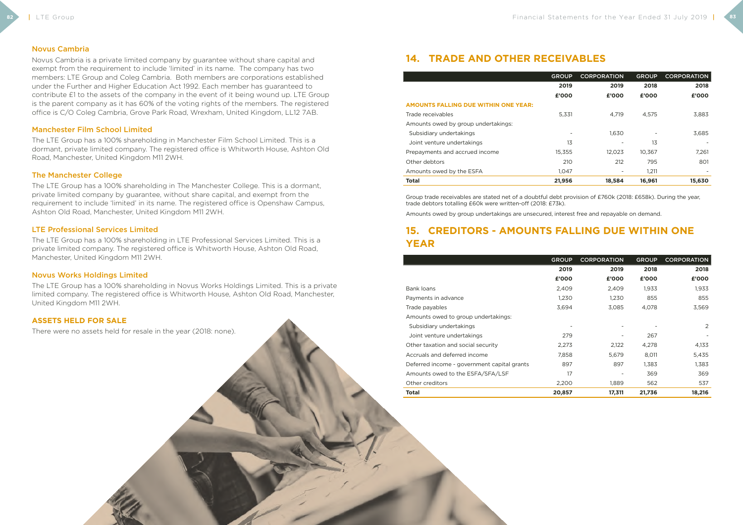#### Novus Cambria

Novus Cambria is a private limited company by guarantee without share capital and exempt from the requirement to include 'limited' in its name. The company has two members: LTE Group and Coleg Cambria. Both members are corporations established under the Further and Higher Education Act 1992. Each member has guaranteed to contribute £1 to the assets of the company in the event of it being wound up. LTE Group is the parent company as it has 60% of the voting rights of the members. The registered office is C/O Coleg Cambria, Grove Park Road, Wrexham, United Kingdom, LL12 7AB.

#### Manchester Film School Limited

The LTE Group has a 100% shareholding in Manchester Film School Limited. This is a dormant, private limited company. The registered office is Whitworth House, Ashton Old Road, Manchester, United Kingdom M11 2WH.

#### The Manchester College

The LTE Group has a 100% shareholding in The Manchester College. This is a dormant, private limited company by guarantee, without share capital, and exempt from the requirement to include 'limited' in its name. The registered office is Openshaw Campus, Ashton Old Road, Manchester, United Kingdom M11 2WH.

#### LTE Professional Services Limited

The LTE Group has a 100% shareholding in LTE Professional Services Limited. This is a private limited company. The registered office is Whitworth House, Ashton Old Road, Manchester, United Kingdom M11 2WH.

#### Novus Works Holdings Limited

The LTE Group has a 100% shareholding in Novus Works Holdings Limited. This is a private limited company. The registered office is Whitworth House, Ashton Old Road, Manchester, United Kingdom M11 2WH.

#### **ASSETS HELD FOR SALE**

There were no assets held for resale in the year (2018: none).

## **14. TRADE AND OTHER RECEIVABLES**

|                                             | <b>GROUP</b> | <b>CORPORATION</b> | <b>GROUP</b> | <b>CORPORATION</b> |
|---------------------------------------------|--------------|--------------------|--------------|--------------------|
|                                             | 2019         | 2019               | 2018         | 2018               |
|                                             | £'000        | £'000              | £'000        | £'000              |
| <b>AMOUNTS FALLING DUE WITHIN ONE YEAR:</b> |              |                    |              |                    |
| Trade receivables                           | 5,331        | 4.719              | 4,575        | 3,883              |
| Amounts owed by group undertakings:         |              |                    |              |                    |
| Subsidiary undertakings                     |              | 1,630              |              | 3,685              |
| Joint venture undertakings                  | 13           |                    | 13           |                    |
| Prepayments and accrued income              | 15,355       | 12.023             | 10.367       | 7,261              |
| Other debtors                               | 210          | 212                | 795          | 801                |
| Amounts owed by the ESFA                    | 1.047        |                    | 1,211        |                    |
| <b>Total</b>                                | 21,956       | 18,584             | 16,961       | 15,630             |

Group trade receivables are stated net of a doubtful debt provision of £760k (2018: £658k). During the year, trade debtors totalling £60k were written-off (2018: £73k).

Amounts owed by group undertakings are unsecured, interest free and repayable on demand.

## **15. CREDITORS - AMOUNTS FALLING DUE WITHIN ONE YEAR**

|                                             | <b>GROUP</b>             | <b>CORPORATION</b> | <b>GROUP</b> | <b>CORPORATION</b> |
|---------------------------------------------|--------------------------|--------------------|--------------|--------------------|
|                                             | 2019                     | 2019               | 2018         | 2018               |
|                                             | £'000                    | £'000              | £'000        | £'000              |
| Bank loans                                  | 2,409                    | 2,409              | 1,933        | 1,933              |
| Payments in advance                         | 1,230                    | 1,230              | 855          | 855                |
| Trade payables                              | 3,694                    | 3,085              | 4,078        | 3,569              |
| Amounts owed to group undertakings:         |                          |                    |              |                    |
| Subsidiary undertakings                     | $\overline{\phantom{a}}$ |                    |              | 2                  |
| Joint venture undertakings                  | 279                      |                    | 267          |                    |
| Other taxation and social security          | 2,273                    | 2,122              | 4,278        | 4,133              |
| Accruals and deferred income                | 7,858                    | 5,679              | 8,011        | 5,435              |
| Deferred income - government capital grants | 897                      | 897                | 1,383        | 1,383              |
| Amounts owed to the ESFA/SFA/LSF            | 17                       |                    | 369          | 369                |
| Other creditors                             | 2,200                    | 1,889              | 562          | 537                |
| Total                                       | 20,857                   | 17,311             | 21,736       | 18,216             |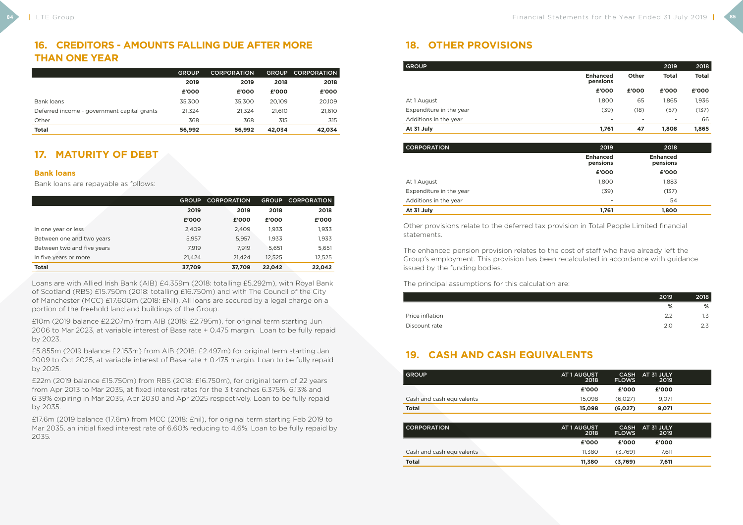## **16. CREDITORS - AMOUNTS FALLING DUE AFTER MORE THAN ONE YEAR**

|                                             | <b>GROUP</b> | <b>CORPORATION</b> | <b>GROUP</b> | <b>CORPORATION</b> |
|---------------------------------------------|--------------|--------------------|--------------|--------------------|
|                                             | 2019         | 2019               | 2018         | 2018               |
|                                             | £'000        | £'000              | £'000        | £'000              |
| Bank loans                                  | 35,300       | 35,300             | 20.109       | 20,109             |
| Deferred income - government capital grants | 21,324       | 21.324             | 21.610       | 21,610             |
| Other                                       | 368          | 368                | 315          | 315                |
| <b>Total</b>                                | 56,992       | 56,992             | 42,034       | 42,034             |

## **17. MATURITY OF DEBT**

#### **Bank loans**

Bank loans are repayable as follows:

|                            | <b>GROUP</b> | <b>CORPORATION</b> | <b>GROUP</b> | <b>CORPORATION</b> |
|----------------------------|--------------|--------------------|--------------|--------------------|
|                            | 2019         | 2019               | 2018         | 2018               |
|                            | £'000        | £'000              | £'000        | £'000              |
| In one year or less        | 2,409        | 2,409              | 1,933        | 1,933              |
| Between one and two years  | 5,957        | 5,957              | 1,933        | 1,933              |
| Between two and five years | 7.919        | 7.919              | 5.651        | 5,651              |
| In five years or more      | 21.424       | 21.424             | 12,525       | 12,525             |
| <b>Total</b>               | 37,709       | 37,709             | 22,042       | 22,042             |

Loans are with Allied Irish Bank (AIB) £4.359m (2018: totalling £5.292m), with Royal Bank of Scotland (RBS) £15.750m (2018: totalling £16.750m) and with The Council of the City of Manchester (MCC) £17.600m (2018: £Nil). All loans are secured by a legal charge on a portion of the freehold land and buildings of the Group.

£10m (2019 balance £2.207m) from AIB (2018: £2.795m), for original term starting Jun 2006 to Mar 2023, at variable interest of Base rate + 0.475 margin. Loan to be fully repaid by 2023.

£5.855m (2019 balance £2.153m) from AIB (2018: £2.497m) for original term starting Jan 2009 to Oct 2025, at variable interest of Base rate + 0.475 margin. Loan to be fully repaid by 2025.

£22m (2019 balance £15.750m) from RBS (2018: £16.750m), for original term of 22 years from Apr 2013 to Mar 2035, at fixed interest rates for the 3 tranches 6.375%, 6.13% and 6.39% expiring in Mar 2035, Apr 2030 and Apr 2025 respectively. Loan to be fully repaid by 2035.

£17.6m (2019 balance (17.6m) from MCC (2018: £nil), for original term starting Feb 2019 to Mar 2035, an initial fixed interest rate of 6.60% reducing to 4.6%. Loan to be fully repaid by 2035.

## **18. OTHER PROVISIONS**

| <b>GROUP</b>            |                             |                          | 2019                     | 2018         |
|-------------------------|-----------------------------|--------------------------|--------------------------|--------------|
|                         | <b>Enhanced</b><br>pensions | <b>Other</b>             | <b>Total</b>             | <b>Total</b> |
|                         | £'000                       | £'000                    | £'000                    | £'000        |
| At 1 August             | 1,800                       | 65                       | 1,865                    | 1,936        |
| Expenditure in the year | (39)                        | (18)                     | (57)                     | (137)        |
| Additions in the year   | $\overline{\phantom{0}}$    | $\overline{\phantom{a}}$ | $\overline{\phantom{a}}$ | 66           |
| At 31 July              | 1,761                       | 47                       | 1,808                    | 1,865        |

| 2019                        | 2018                        |  |
|-----------------------------|-----------------------------|--|
| <b>Enhanced</b><br>pensions | <b>Enhanced</b><br>pensions |  |
| £'000                       | £'000                       |  |
| 1,800                       | 1,883                       |  |
| (39)                        | (137)                       |  |
| $\overline{\phantom{a}}$    | 54                          |  |
| 1,761                       | 1,800                       |  |
|                             |                             |  |

|                         | £'000 | £'000 |
|-------------------------|-------|-------|
| At 1 August             | 1.800 | 1.883 |
| Expenditure in the year | (39)  | (137) |
| Additions in the year   | -     | 54    |
|                         |       |       |

Other provisions relate to the deferred tax provision in Total People Limited financial statements.

The enhanced pension provision relates to the cost of staff who have already left the Group's employment. This provision has been recalculated in accordance with guidance issued by the funding bodies.

The principal assumptions for this calculation are:

| 2019 | 2018 |
|------|------|
| %    | $\%$ |
| 2.2  | 1.3  |
| 2.0  | 2.3  |
|      |      |

## **19. CASH AND CASH EQUIVALENTS**

| <b>GROUP</b>              | <b>AT 1 AUGUST</b><br>2018 | <b>CASH</b><br><b>FLOWS</b> | AT 31 JULY<br>2019 |  |
|---------------------------|----------------------------|-----------------------------|--------------------|--|
|                           | £'000                      | £'000                       | £'000              |  |
| Cash and cash equivalents | 15,098                     | (6,027)                     | 9,071              |  |
| <b>Total</b>              | 15,098                     | (6,027)                     | 9,071              |  |
|                           |                            |                             |                    |  |
| <b>CORPORATION</b>        | <b>AT 1 AUGUST</b><br>2018 | <b>CASH</b><br><b>FLOWS</b> | AT 31 JULY<br>2019 |  |
|                           | £'000                      | £'000                       | £'000              |  |
| Cash and cash equivalents | 11,380                     | (3,769)                     | 7,611              |  |
|                           |                            |                             |                    |  |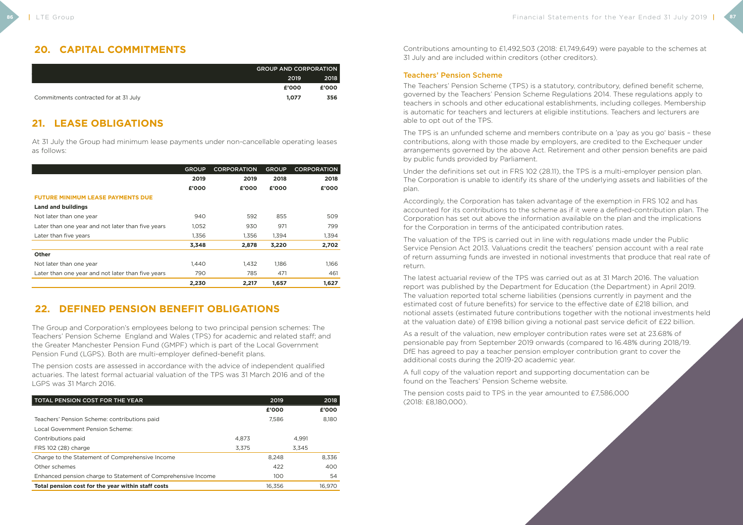## **20. CAPITAL COMMITMENTS**

|                                       | <b>GROUP AND CORPORATION</b> |       |  |
|---------------------------------------|------------------------------|-------|--|
|                                       | 2019                         | 2018  |  |
|                                       | £'000                        | £'000 |  |
| Commitments contracted for at 31 July | 1.077                        | 356   |  |

## **21. LEASE OBLIGATIONS**

At 31 July the Group had minimum lease payments under non-cancellable operating leases as follows:

|                                                   | <b>GROUP</b> | <b>CORPORATION</b> | <b>GROUP</b> | <b>CORPORATION</b> |
|---------------------------------------------------|--------------|--------------------|--------------|--------------------|
|                                                   | 2019         | 2019               | 2018         | 2018               |
|                                                   | £'000        | £'000              | £'000        | £'000              |
| <b>FUTURE MINIMUM LEASE PAYMENTS DUE</b>          |              |                    |              |                    |
| <b>Land and buildings</b>                         |              |                    |              |                    |
| Not later than one year                           | 940          | 592                | 855          | 509                |
| Later than one year and not later than five years | 1,052        | 930                | 971          | 799                |
| Later than five years                             | 1,356        | 1,356              | 1,394        | 1,394              |
|                                                   | 3,348        | 2,878              | 3,220        | 2,702              |
| <b>Other</b>                                      |              |                    |              |                    |
| Not later than one year                           | 1.440        | 1,432              | 1,186        | 1,166              |
| Later than one year and not later than five years | 790          | 785                | 471          | 461                |
|                                                   | 2,230        | 2,217              | 1,657        | 1.627              |

## **22. DEFINED PENSION BENEFIT OBLIGATIONS**

The Group and Corporation's employees belong to two principal pension schemes: The Teachers' Pension Scheme England and Wales (TPS) for academic and related staff; and the Greater Manchester Pension Fund (GMPF) which is part of the Local Government Pension Fund (LGPS). Both are multi-employer defined-benefit plans.

The pension costs are assessed in accordance with the advice of independent qualified actuaries. The latest formal actuarial valuation of the TPS was 31 March 2016 and of the LGPS was 31 March 2016.

| <b>TOTAL PENSION COST FOR THE YEAR</b>                       |       | 2019   |       | 2018   |
|--------------------------------------------------------------|-------|--------|-------|--------|
|                                                              |       | £'000  |       | £'000  |
| Teachers' Pension Scheme: contributions paid                 |       | 7.586  |       | 8.180  |
| Local Government Pension Scheme:                             |       |        |       |        |
| Contributions paid                                           | 4.873 |        | 4.991 |        |
| FRS 102 (28) charge                                          | 3.375 |        | 3.345 |        |
| Charge to the Statement of Comprehensive Income              |       | 8.248  |       | 8,336  |
| Other schemes                                                |       | 422    |       | 400    |
| Enhanced pension charge to Statement of Comprehensive Income |       | 100    |       | 54     |
| Total pension cost for the year within staff costs           |       | 16,356 |       | 16.970 |

Contributions amounting to £1,492,503 (2018: £1,749,649) were payable to the schemes at 31 July and are included within creditors (other creditors).

### Teachers' Pension Scheme

The Teachers' Pension Scheme (TPS) is a statutory, contributory, defined benefit scheme, governed by the Teachers' Pension Scheme Regulations 2014. These regulations apply to teachers in schools and other educational establishments, including colleges. Membership is automatic for teachers and lecturers at eligible institutions. Teachers and lecturers are able to opt out of the TPS.

The TPS is an unfunded scheme and members contribute on a 'pay as you go' basis – these contributions, along with those made by employers, are credited to the Exchequer under arrangements governed by the above Act. Retirement and other pension benefits are paid by public funds provided by Parliament.

Under the definitions set out in FRS 102 (28.11), the TPS is a multi-employer pension plan. The Corporation is unable to identify its share of the underlying assets and liabilities of the plan.

Accordingly, the Corporation has taken advantage of the exemption in FRS 102 and has accounted for its contributions to the scheme as if it were a defined-contribution plan. The Corporation has set out above the information available on the plan and the implications for the Corporation in terms of the anticipated contribution rates.

The valuation of the TPS is carried out in line with regulations made under the Public Service Pension Act 2013. Valuations credit the teachers' pension account with a real rate of return assuming funds are invested in notional investments that produce that real rate of return.

The latest actuarial review of the TPS was carried out as at 31 March 2016. The valuation report was published by the Department for Education (the Department) in April 2019. The valuation reported total scheme liabilities (pensions currently in payment and the estimated cost of future benefits) for service to the effective date of £218 billion, and notional assets (estimated future contributions together with the notional investments held at the valuation date) of £198 billion giving a notional past service deficit of £22 billion.

As a result of the valuation, new employer contribution rates were set at 23.68% of pensionable pay from September 2019 onwards (compared to 16.48% during 2018/19. DfE has agreed to pay a teacher pension employer contribution grant to cover the additional costs during the 2019-20 academic year.

A full copy of the valuation report and supporting documentation can be found on the Teachers' Pension Scheme website.

The pension costs paid to TPS in the year amounted to £7,586,000 (2018: £8,180,000).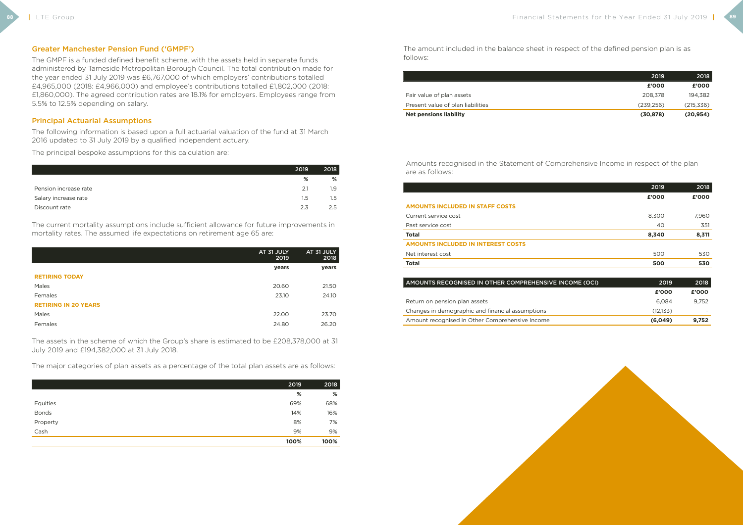#### Greater Manchester Pension Fund ('GMPF')

The GMPF is a funded defined benefit scheme, with the assets held in separate funds administered by Tameside Metropolitan Borough Council. The total contribution made for the year ended 31 July 2019 was £6,767,000 of which employers' contributions totalled £4,965,000 (2018: £4,966,000) and employee's contributions totalled £1,802,000 (2018: £1,860,000). The agreed contribution rates are 18.1% for employers. Employees range from 5.5% to 12.5% depending on salary.

#### Principal Actuarial Assumptions

The following information is based upon a full actuarial valuation of the fund at 31 March 2016 updated to 31 July 2019 by a qualified independent actuary.

The principal bespoke assumptions for this calculation are:

|                       | 2019    | 2018    |
|-----------------------|---------|---------|
|                       | %       | %       |
| Pension increase rate | 2.1     | 1.9     |
| Salary increase rate  | $1.5\,$ | $1.5\,$ |
| Discount rate         | 2.3     | 2.5     |

The current mortality assumptions include sufficient allowance for future improvements in mortality rates. The assumed life expectations on retirement age 65 are:

|                             | AT 31 JULY<br>2019 | AT 31 JULY<br>2018 |
|-----------------------------|--------------------|--------------------|
|                             | years              | years              |
| <b>RETIRING TODAY</b>       |                    |                    |
| Males                       | 20.60              | 21.50              |
| Females                     | 23.10              | 24.10              |
| <b>RETIRING IN 20 YEARS</b> |                    |                    |
| Males                       | 22.00              | 23.70              |
| Females                     | 24.80              | 26.20              |

The assets in the scheme of which the Group's share is estimated to be £208,378,000 at 31 July 2019 and £194,382,000 at 31 July 2018.

The major categories of plan assets as a percentage of the total plan assets are as follows:

|              | 2019 | 2018 |
|--------------|------|------|
|              | %    | %    |
| Equities     | 69%  | 68%  |
| <b>Bonds</b> | 14%  | 16%  |
| Property     | 8%   | 7%   |
| Cash         | 9%   | 9%   |
|              | 100% | 100% |

The amount included in the balance sheet in respect of the defined pension plan is as follows:

| Present value of plan liabilities |
|-----------------------------------|
| Fair value of plan assets         |

|                                   | 2019       | 2018       |
|-----------------------------------|------------|------------|
|                                   | £'000      | £'000      |
| Fair value of plan assets         | 208.378    | 194.382    |
| Present value of plan liabilities | (239, 256) | (215, 336) |
| <b>Net pensions liability</b>     | (30, 878)  | (20, 954)  |

Amounts recognised in the Statement of Comprehensive Income in respect of the plan are as follows:

#### **AMOUNTS INCLUDED IN STAFF COSTS**

#### AMOUNTS RECOGNISED IN OTHER COMPREHENSIVE I

Return on pension plan assets

Changes in demographic and financial assumptions

|                                           | 2019  | 2018  |
|-------------------------------------------|-------|-------|
|                                           | £'000 | £'000 |
| <b>AMOUNTS INCLUDED IN STAFF COSTS</b>    |       |       |
| Current service cost                      | 8,300 | 7,960 |
| Past service cost                         | 40    | 351   |
| <b>Total</b>                              | 8,340 | 8,311 |
| <b>AMOUNTS INCLUDED IN INTEREST COSTS</b> |       |       |
| Net interest cost                         | 500   | 530   |
| <b>Total</b>                              | 500   | 530   |

| NCOMÉ (OCI) | 2019     | 2018  |
|-------------|----------|-------|
|             | £'000    | £'000 |
|             | 6,084    | 9,752 |
|             | (12,133) |       |
|             | (6,049)  | 9,752 |
|             |          |       |

Amount recognised in Other Comprehensive Income **(6,049) 9,752**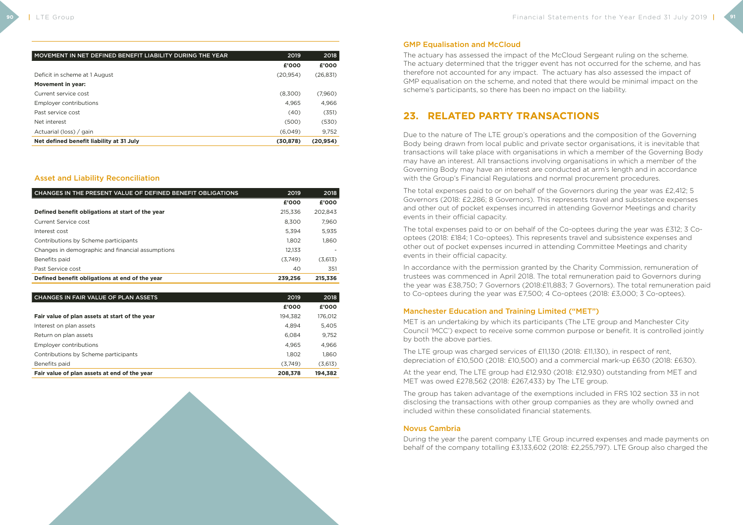| MOVEMENT IN NET DEFINED BENEFIT LIABILITY DURING THE YEAR | 2019      | 2018      |
|-----------------------------------------------------------|-----------|-----------|
|                                                           | £'000     | £'000     |
| Deficit in scheme at 1 August                             | (20, 954) | (26, 831) |
| <b>Movement in year:</b>                                  |           |           |
| Current service cost                                      | (8,300)   | (7,960)   |
| Employer contributions                                    | 4.965     | 4.966     |
| Past service cost                                         | (40)      | (351)     |
| Net interest                                              | (500)     | (530)     |
| Actuarial (loss) / gain                                   | (6,049)   | 9,752     |
| Net defined benefit liability at 31 July                  | (30, 878) | (20, 954) |

### Asset and Liability Reconciliation

| CHANGES IN THE PRESENT VALUE OF DEFINED BENEFIT OBLIGATIONS | 2019    | 2018    |
|-------------------------------------------------------------|---------|---------|
|                                                             | £'000   | £'000   |
| Defined benefit obligations at start of the year            | 215,336 | 202.843 |
| Current Service cost                                        | 8.300   | 7,960   |
| Interest cost                                               | 5.394   | 5,935   |
| Contributions by Scheme participants                        | 1.802   | 1,860   |
| Changes in demographic and financial assumptions            | 12.133  |         |
| Benefits paid                                               | (3.749) | (3,613) |
| Past Service cost                                           | 40      | 351     |
| Defined benefit obligations at end of the year              | 239.256 | 215.336 |

| CHANGES IN FAIR VALUE OF PLAN ASSETS           | 2019    | 2018    |
|------------------------------------------------|---------|---------|
|                                                | £'000   | £'000   |
| Fair value of plan assets at start of the year | 194.382 | 176,012 |
| Interest on plan assets                        | 4.894   | 5,405   |
| Return on plan assets                          | 6,084   | 9,752   |
| Employer contributions                         | 4.965   | 4,966   |
| Contributions by Scheme participants           | 1.802   | 1,860   |
| Benefits paid                                  | (3,749) | (3,613) |
| Fair value of plan assets at end of the year   | 208,378 | 194,382 |

#### GMP Equalisation and McCloud

The actuary has assessed the impact of the McCloud Sergeant ruling on the scheme. The actuary determined that the trigger event has not occurred for the scheme, and has therefore not accounted for any impact. The actuary has also assessed the impact of GMP equalisation on the scheme, and noted that there would be minimal impact on the scheme's participants, so there has been no impact on the liability.

## **23. RELATED PARTY TRANSACTIONS**

Due to the nature of The LTE group's operations and the composition of the Governing Body being drawn from local public and private sector organisations, it is inevitable that transactions will take place with organisations in which a member of the Governing Body may have an interest. All transactions involving organisations in which a member of the Governing Body may have an interest are conducted at arm's length and in accordance with the Group's Financial Regulations and normal procurement procedures.

The total expenses paid to or on behalf of the Governors during the year was £2,412; 5 Governors (2018: £2,286; 8 Governors). This represents travel and subsistence expenses and other out of pocket expenses incurred in attending Governor Meetings and charity events in their official capacity.

The total expenses paid to or on behalf of the Co-optees during the year was £312; 3 Cooptees (2018: £184; 1 Co-optees). This represents travel and subsistence expenses and other out of pocket expenses incurred in attending Committee Meetings and charity events in their official capacity.

In accordance with the permission granted by the Charity Commission, remuneration of trustees was commenced in April 2018. The total remuneration paid to Governors during the year was £38,750; 7 Governors (2018:£11,883; 7 Governors). The total remuneration paid to Co-optees during the year was £7,500; 4 Co-optees (2018: £3,000; 3 Co-optees).

### Manchester Education and Training Limited ("MET")

MET is an undertaking by which its participants (The LTE group and Manchester City Council 'MCC') expect to receive some common purpose or benefit. It is controlled jointly by both the above parties.

The LTE group was charged services of £11,130 (2018: £11,130), in respect of rent, depreciation of £10,500 (2018: £10,500) and a commercial mark-up £630 (2018: £630).

At the year end, The LTE group had £12,930 (2018: £12,930) outstanding from MET and MET was owed £278,562 (2018: £267,433) by The LTE group.

The group has taken advantage of the exemptions included in FRS 102 section 33 in not disclosing the transactions with other group companies as they are wholly owned and included within these consolidated financial statements.

#### Novus Cambria

During the year the parent company LTE Group incurred expenses and made payments on behalf of the company totalling £3,133,602 (2018: £2,255,797). LTE Group also charged the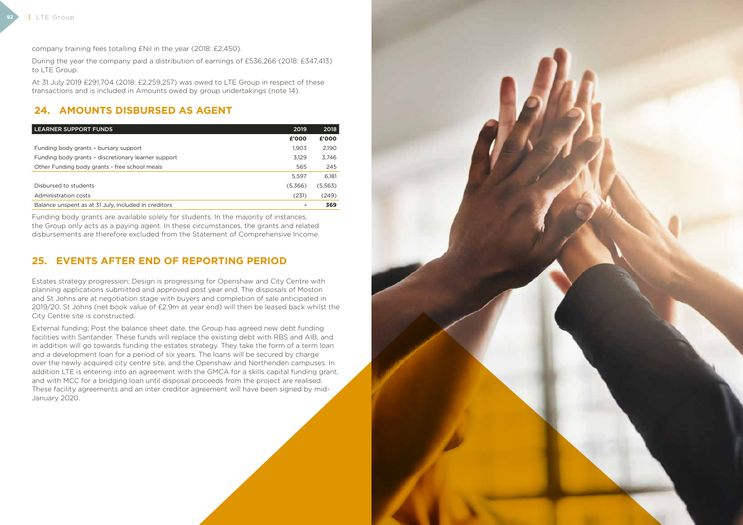**92**



company training fees totalling £Nil in the year (2018: £2,450).

During the year the company paid a distribution of earnings of £536,266 (2018: £347,413) to LTE Group.

At 31 July 2019 £291,704 (2018: £2,259,257) was owed to LTE Group in respect of these transactions and is included in Amounts owed by group undertakings (note 14).

## **24. AMOUNTS DISBURSED AS AGENT**

| <b>LEARNER SUPPORT FUNDS</b>                         | 2019    | 2018    |
|------------------------------------------------------|---------|---------|
|                                                      | £'000   | £'000   |
| Funding body grants - bursary support                | 1,903   | 2,190   |
| Funding body grants - discretionary learner support  | 3.129   | 3,746   |
| Other Funding body grants - free school meals        | 565     | 245     |
|                                                      | 5.597   | 6.181   |
| Disbursed to students                                | (5,366) | (5,563) |
| Administration costs                                 | (231)   | (249)   |
| Balance unspent as at 31 July, included in creditors |         | 369     |

Funding body grants are available solely for students. In the majority of instances, the Group only acts as a paying agent. In these circumstances, the grants and related disbursements are therefore excluded from the Statement of Comprehensive Income.

## **25. EVENTS AFTER END OF REPORTING PERIOD**

Estates strategy progression; Design is progressing for Openshaw and City Centre with planning applications submitted and approved post year end. The disposals of Moston and St Johns are at negotiation stage with buyers and completion of sale anticipated in 2019/20. St Johns (net book value of £2.9m at year end) will then be leased back whilst the City Centre site is constructed.

External funding; Post the balance sheet date, the Group has agreed new debt funding facilities with Santander. These funds will replace the existing debt with RBS and AIB, and in addition will go towards funding the estates strategy. They take the form of a term loan and a development loan for a period of six years. The loans will be secured by charge over the newly acquired city centre site, and the Openshaw and Northenden campuses. In addition LTE is entering into an agreement with the GMCA for a skills capital funding grant, and with MCC for a bridging loan until disposal proceeds from the project are realised. These facility agreements and an inter creditor agreement will have been signed by mid-January 2020.